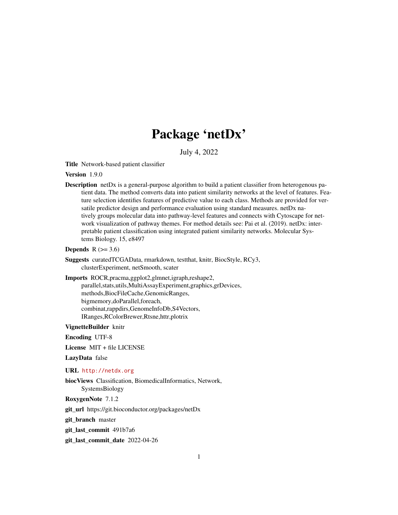# Package 'netDx'

July 4, 2022

Title Network-based patient classifier

Version 1.9.0

**Description** netDx is a general-purpose algorithm to build a patient classifier from heterogenous patient data. The method converts data into patient similarity networks at the level of features. Feature selection identifies features of predictive value to each class. Methods are provided for versatile predictor design and performance evaluation using standard measures. netDx natively groups molecular data into pathway-level features and connects with Cytoscape for network visualization of pathway themes. For method details see: Pai et al. (2019). netDx: interpretable patient classification using integrated patient similarity networks. Molecular Systems Biology. 15, e8497

#### Depends  $R$  ( $>= 3.6$ )

Suggests curatedTCGAData, rmarkdown, testthat, knitr, BiocStyle, RCy3, clusterExperiment, netSmooth, scater

Imports ROCR,pracma,ggplot2,glmnet,igraph,reshape2,

parallel,stats,utils,MultiAssayExperiment,graphics,grDevices, methods,BiocFileCache,GenomicRanges, bigmemory,doParallel,foreach, combinat,rappdirs,GenomeInfoDb,S4Vectors, IRanges,RColorBrewer,Rtsne,httr,plotrix

VignetteBuilder knitr

Encoding UTF-8

License MIT + file LICENSE

LazyData false

URL <http://netdx.org>

biocViews Classification, BiomedicalInformatics, Network, SystemsBiology

RoxygenNote 7.1.2

git\_url https://git.bioconductor.org/packages/netDx

git branch master

git last commit 491b7a6

git\_last\_commit\_date 2022-04-26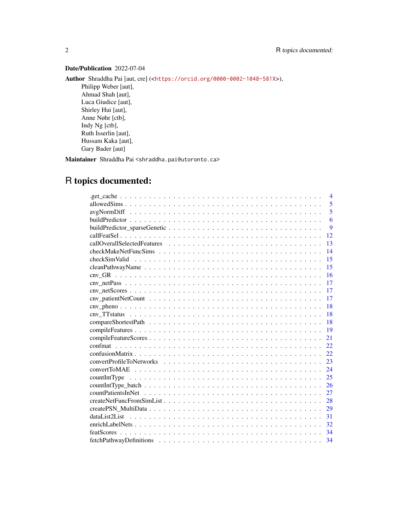# Date/Publication 2022-07-04

Author Shraddha Pai [aut, cre] (<<https://orcid.org/0000-0002-1048-581X>>), Philipp Weber [aut], Ahmad Shah [aut], Luca Giudice [aut], Shirley Hui [aut], Anne Nøhr [ctb], Indy Ng [ctb], Ruth Isserlin [aut], Hussam Kaka [aut], Gary Bader [aut]

Maintainer Shraddha Pai <shraddha.pai@utoronto.ca>

# R topics documented:

| 4                                                                                                                          |
|----------------------------------------------------------------------------------------------------------------------------|
| 5                                                                                                                          |
| 5                                                                                                                          |
| 6                                                                                                                          |
| 9                                                                                                                          |
| 12                                                                                                                         |
| 13                                                                                                                         |
| 14                                                                                                                         |
| 15                                                                                                                         |
| 15                                                                                                                         |
| 16                                                                                                                         |
| $env\_netPass \dots \dots \dots \dots \dots \dots \dots \dots \dots \dots \dots \dots \dots \dots \dots \dots \dots$<br>17 |
| 17                                                                                                                         |
| 17                                                                                                                         |
| 18                                                                                                                         |
| 18                                                                                                                         |
| 18                                                                                                                         |
| 19                                                                                                                         |
| 21                                                                                                                         |
| 22.                                                                                                                        |
| 22.                                                                                                                        |
| 23                                                                                                                         |
| 24                                                                                                                         |
| 25                                                                                                                         |
| 26                                                                                                                         |
| 27                                                                                                                         |
| 28                                                                                                                         |
| 29                                                                                                                         |
| 31                                                                                                                         |
| 32                                                                                                                         |
|                                                                                                                            |
|                                                                                                                            |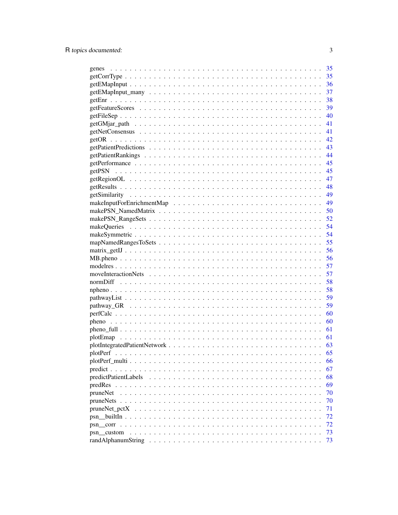|                          | 35 |
|--------------------------|----|
|                          | 35 |
|                          | 36 |
|                          | 37 |
|                          | 38 |
|                          | 39 |
|                          | 40 |
|                          | 41 |
|                          | 41 |
|                          |    |
|                          |    |
|                          |    |
|                          |    |
|                          |    |
|                          |    |
|                          |    |
|                          |    |
|                          |    |
|                          |    |
|                          |    |
|                          | 54 |
|                          | 54 |
|                          | 55 |
|                          | 56 |
|                          |    |
|                          |    |
|                          |    |
|                          | 57 |
|                          | 58 |
|                          | 58 |
|                          | 59 |
|                          | 59 |
|                          |    |
|                          |    |
|                          | 61 |
|                          |    |
|                          | 63 |
|                          | 65 |
|                          | 66 |
|                          | 67 |
| predictPatientLabels     | 68 |
|                          | 69 |
| pruneNet                 | 70 |
|                          | 70 |
| pruneNet <sub>petX</sub> | 71 |
|                          | 72 |
|                          | 72 |
| psn custom               | 73 |
|                          | 73 |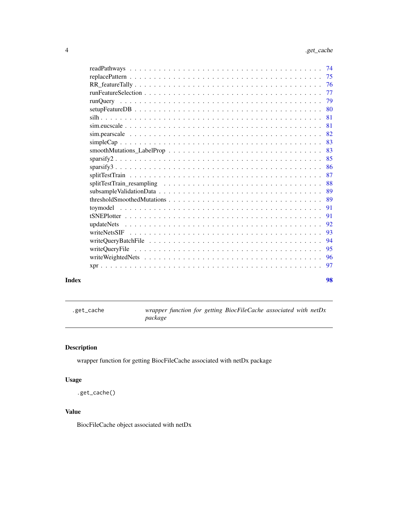<span id="page-3-0"></span>

|       | -81 |
|-------|-----|
|       |     |
|       |     |
|       |     |
|       |     |
|       |     |
|       |     |
|       |     |
|       |     |
|       |     |
|       |     |
|       | -91 |
|       | 91  |
|       |     |
|       | 93  |
|       | -94 |
|       | -95 |
|       |     |
|       |     |
|       |     |
| Index | 98  |

.get\_cache *wrapper function for getting BiocFileCache associated with netDx package*

# Description

wrapper function for getting BiocFileCache associated with netDx package

# Usage

```
.get_cache()
```
# Value

BiocFileCache object associated with netDx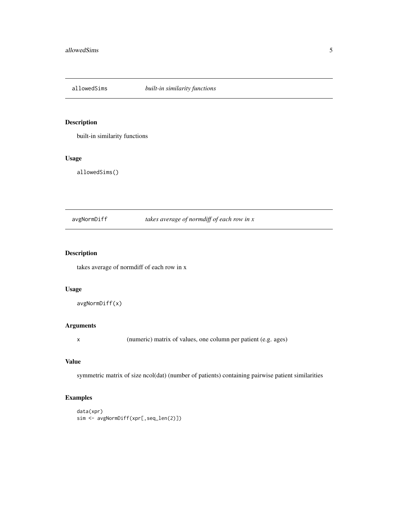<span id="page-4-0"></span>

built-in similarity functions

# Usage

allowedSims()

#### avgNormDiff *takes average of normdiff of each row in x*

# Description

takes average of normdiff of each row in x

# Usage

```
avgNormDiff(x)
```
# Arguments

x (numeric) matrix of values, one column per patient (e.g. ages)

# Value

symmetric matrix of size ncol(dat) (number of patients) containing pairwise patient similarities

```
data(xpr)
sim <- avgNormDiff(xpr[,seq_len(2)])
```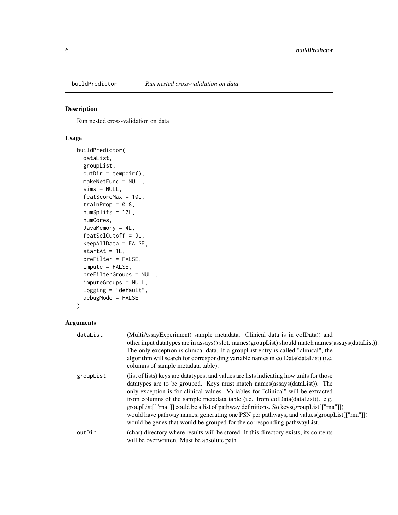<span id="page-5-0"></span>

Run nested cross-validation on data

# Usage

```
buildPredictor(
  dataList,
  groupList,
  outDir = tempdir(),makeNetFunc = NULL,
  sims = NULL,
  featScoreMax = 10L,
  trainProp = 0.8,
  numSplits = 10L,
  numCores,
  JavaMemory = 4L,
  featSelCutoff = 9L,
  keepAllData = FALSE,
  startAt = 1L,
  preFilter = FALSE,
  impute = FALSE,
  preFilterGroups = NULL,
  imputeGroups = NULL,
  logging = "default",
  debugMode = FALSE
)
```

| dataList  | (MultiAssayExperiment) sample metadata. Clinical data is in colData() and<br>other input datatypes are in assays() slot. names(groupList) should match names(assays(dataList)).<br>The only exception is clinical data. If a groupList entry is called "clinical", the<br>algorithm will search for corresponding variable names in colData(dataList) (i.e.<br>columns of sample metadata table).                                                                                                                                                                                                                  |
|-----------|--------------------------------------------------------------------------------------------------------------------------------------------------------------------------------------------------------------------------------------------------------------------------------------------------------------------------------------------------------------------------------------------------------------------------------------------------------------------------------------------------------------------------------------------------------------------------------------------------------------------|
| groupList | (list of lists) keys are data types, and values are lists indicating how units for those<br>datatypes are to be grouped. Keys must match names (assays (dataList)). The<br>only exception is for clinical values. Variables for "clinical" will be extracted<br>from columns of the sample metadata table (i.e. from colData(dataList)). e.g.<br>groupList[["rna"]] could be a list of pathway definitions. So keys(groupList[["rna"]])<br>would have pathway names, generating one PSN per pathways, and values (groupList [["rna"]])<br>would be genes that would be grouped for the corresponding pathway List. |
| outDir    | (char) directory where results will be stored. If this directory exists, its contents<br>will be overwritten. Must be absolute path                                                                                                                                                                                                                                                                                                                                                                                                                                                                                |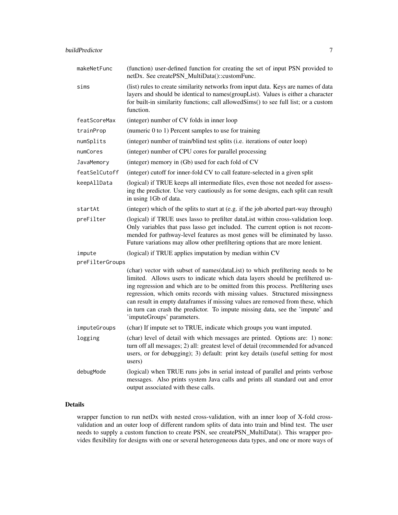| makeNetFunc     | (function) user-defined function for creating the set of input PSN provided to<br>netDx. See createPSN_MultiData()::customFunc.                                                                                                                                                                                                                                                                                                                                                                                                    |
|-----------------|------------------------------------------------------------------------------------------------------------------------------------------------------------------------------------------------------------------------------------------------------------------------------------------------------------------------------------------------------------------------------------------------------------------------------------------------------------------------------------------------------------------------------------|
| sims            | (list) rules to create similarity networks from input data. Keys are names of data<br>layers and should be identical to names(groupList). Values is either a character<br>for built-in similarity functions; call allowed Sims() to see full list; or a custom<br>function.                                                                                                                                                                                                                                                        |
| featScoreMax    | (integer) number of CV folds in inner loop                                                                                                                                                                                                                                                                                                                                                                                                                                                                                         |
| trainProp       | (numeric 0 to 1) Percent samples to use for training                                                                                                                                                                                                                                                                                                                                                                                                                                                                               |
| numSplits       | (integer) number of train/blind test splits (i.e. iterations of outer loop)                                                                                                                                                                                                                                                                                                                                                                                                                                                        |
| numCores        | (integer) number of CPU cores for parallel processing                                                                                                                                                                                                                                                                                                                                                                                                                                                                              |
| JavaMemory      | (integer) memory in (Gb) used for each fold of CV                                                                                                                                                                                                                                                                                                                                                                                                                                                                                  |
| featSelCutoff   | (integer) cutoff for inner-fold CV to call feature-selected in a given split                                                                                                                                                                                                                                                                                                                                                                                                                                                       |
| keepAllData     | (logical) if TRUE keeps all intermediate files, even those not needed for assess-<br>ing the predictor. Use very cautiously as for some designs, each split can result<br>in using 1Gb of data.                                                                                                                                                                                                                                                                                                                                    |
| startAt         | (integer) which of the splits to start at (e.g. if the job aborted part-way through)                                                                                                                                                                                                                                                                                                                                                                                                                                               |
| preFilter       | (logical) if TRUE uses lasso to prefilter dataList within cross-validation loop.<br>Only variables that pass lasso get included. The current option is not recom-<br>mended for pathway-level features as most genes will be eliminated by lasso.<br>Future variations may allow other prefiltering options that are more lenient.                                                                                                                                                                                                 |
| impute          | (logical) if TRUE applies imputation by median within CV                                                                                                                                                                                                                                                                                                                                                                                                                                                                           |
| preFilterGroups |                                                                                                                                                                                                                                                                                                                                                                                                                                                                                                                                    |
|                 | (char) vector with subset of names(dataList) to which prefiltering needs to be<br>limited. Allows users to indicate which data layers should be prefiltered us-<br>ing regression and which are to be omitted from this process. Prefiltering uses<br>regression, which omits records with missing values. Structured missingness<br>can result in empty dataframes if missing values are removed from these, which<br>in turn can crash the predictor. To impute missing data, see the 'impute' and<br>'imputeGroups' parameters. |
| imputeGroups    | (char) If impute set to TRUE, indicate which groups you want imputed.                                                                                                                                                                                                                                                                                                                                                                                                                                                              |
| logging         | (char) level of detail with which messages are printed. Options are: 1) none:<br>turn off all messages; 2) all: greatest level of detail (recommended for advanced<br>users, or for debugging); 3) default: print key details (useful setting for most<br>users)                                                                                                                                                                                                                                                                   |
| debugMode       | (logical) when TRUE runs jobs in serial instead of parallel and prints verbose<br>messages. Also prints system Java calls and prints all standard out and error<br>output associated with these calls.                                                                                                                                                                                                                                                                                                                             |

# Details

wrapper function to run netDx with nested cross-validation, with an inner loop of X-fold crossvalidation and an outer loop of different random splits of data into train and blind test. The user needs to supply a custom function to create PSN, see createPSN\_MultiData(). This wrapper provides flexibility for designs with one or several heterogeneous data types, and one or more ways of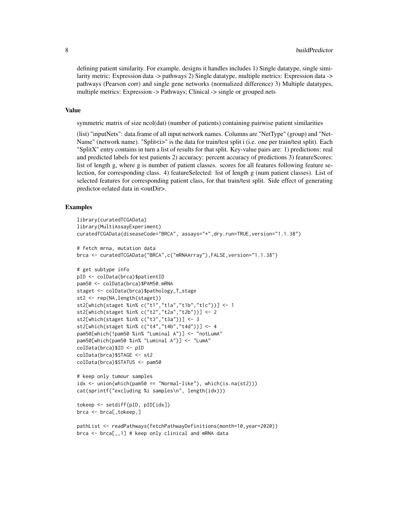defining patient similarity. For example, designs it handles includes 1) Single datatype, single similarity metric: Expression data -> pathways 2) Single datatype, multiple metrics: Expression data -> pathways (Pearson corr) and single gene networks (normalized difference) 3) Multiple datatypes, multiple metrics: Expression -> Pathways; Clinical -> single or grouped nets

# Value

symmetric matrix of size ncol(dat) (number of patients) containing pairwise patient similarities

(list) "inputNets": data.frame of all input network names. Columns are "NetType" (group) and "Net-Name" (network name). "Split<i>" is the data for train/test split i (i.e. one per train/test split). Each "SplitX" entry contains in turn a list of results for that split. Key-value pairs are: 1) predictions: real and predicted labels for test patients 2) accuracy: percent accuracy of predictions 3) featureScores: list of length g, where g is number of patient classes. scores for all features following feature selection, for corresponding class. 4) featureSelected: list of length g (num patient classes). List of selected features for corresponding patient class, for that train/test split. Side effect of generating predictor-related data in <outDir>.

```
library(curatedTCGAData)
library(MultiAssayExperiment)
curatedTCGAData(diseaseCode="BRCA", assays="*",dry.run=TRUE,version="1.1.38")
# fetch mrna, mutation data
brca <- curatedTCGAData("BRCA",c("mRNAArray"),FALSE,version="1.1.38")
# get subtype info
pID <- colData(brca)$patientID
pam50 <- colData(brca)$PAM50.mRNA
staget <- colData(brca)$pathology_T_stage
st2 <- rep(NA,length(staget))
st2[which(staget %in% c("t1","t1a","t1b","t1c"))] <- 1
st2[which(staget %in% c("t2","t2a","t2b"))] <- 2
st2[which(staget %in% c("t3","t3a"))] <- 3
st2[which(staget %in% c("t4","t4b","t4d"))] <- 4
pam50[which(!pam50 %in% "Luminal A")] <- "notLumA"
pam50[which(pam50 %in% "Luminal A")] <- "LumA"
colData(brca)$ID <- pID
colData(brca)$STAGE <- st2
colData(brca)$STATUS <- pam50
# keep only tumour samples
idx <- union(which(pam50 == "Normal-like"), which(is.na(st2)))
cat(sprintf("excluding %i samples\n", length(idx)))
tokeep <- setdiff(pID, pID[idx])
brca <- brca[,tokeep,]
pathList <- readPathways(fetchPathwayDefinitions(month=10,year=2020))
brca <- brca[,,1] # keep only clinical and mRNA data
```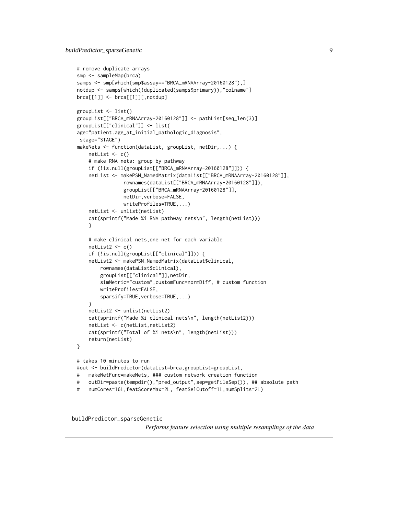```
# remove duplicate arrays
smp <- sampleMap(brca)
samps <- smp[which(smp$assay=="BRCA_mRNAArray-20160128"),]
notdup <- samps[which(!duplicated(samps$primary)),"colname"]
brca[[1]] <- brca[[1]][,notdup]
groupList <- list()
groupList[["BRCA_mRNAArray-20160128"]] <- pathList[seq_len(3)]
groupList[["clinical"]] <- list(
age="patient.age_at_initial_pathologic_diagnosis",
stage="STAGE")
makeNets <- function(dataList, groupList, netDir,...) {
   netList \leq c()# make RNA nets: group by pathway
    if (!is.null(groupList[["BRCA_mRNAArray-20160128"]])) {
    netList <- makePSN_NamedMatrix(dataList[["BRCA_mRNAArray-20160128"]],
                rownames(dataList[["BRCA_mRNAArray-20160128"]]),
                groupList[["BRCA_mRNAArray-20160128"]],
                netDir,verbose=FALSE,
                writeProfiles=TRUE,...)
   netList <- unlist(netList)
   cat(sprintf("Made %i RNA pathway nets\n", length(netList)))
    }
    # make clinical nets,one net for each variable
    netList2 \leftarrow c()if (!is.null(groupList[["clinical"]])) {
   netList2 <- makePSN_NamedMatrix(dataList$clinical,
       rownames(dataList$clinical),
       groupList[["clinical"]],netDir,
       simMetric="custom",customFunc=normDiff, # custom function
       writeProfiles=FALSE,
       sparsify=TRUE, verbose=TRUE,...)
    }
   netList2 <- unlist(netList2)
    cat(sprintf("Made %i clinical nets\n", length(netList2)))
   netList <- c(netList,netList2)
    cat(sprintf("Total of %i nets\n", length(netList)))
    return(netList)
}
# takes 10 minutes to run
#out <- buildPredictor(dataList=brca,groupList=groupList,
# makeNetFunc=makeNets, ### custom network creation function
# outDir=paste(tempdir(),"pred_output",sep=getFileSep()), ## absolute path
# numCores=16L,featScoreMax=2L, featSelCutoff=1L,numSplits=2L)
```
# buildPredictor\_sparseGenetic

*Performs feature selection using multiple resamplings of the data*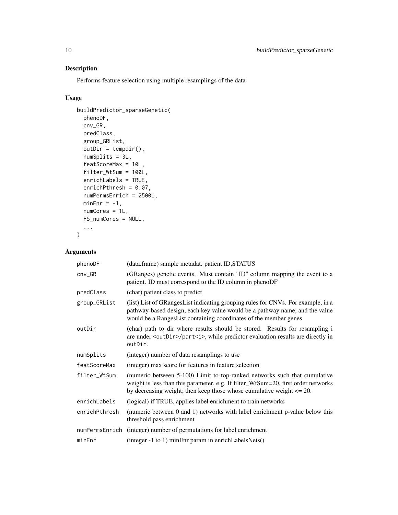Performs feature selection using multiple resamplings of the data

# Usage

```
buildPredictor_sparseGenetic(
 phenoDF,
 cnv_GR,
 predClass,
 group_GRList,
 outDir = tempdir(),numSplits = 3L,
  featScoreMax = 10L,
  filter_WtSum = 100L,
 enrichLabels = TRUE,
 enrichPthresh = 0.07,
  numPermsEnrich = 2500L,
 minEnr = -1,
 numCores = 1L,
 FS_numCores = NULL,
  ...
\mathcal{L}
```

| phenoDF        | (data.frame) sample metadat. patient ID, STATUS                                                                                                                                                                                            |
|----------------|--------------------------------------------------------------------------------------------------------------------------------------------------------------------------------------------------------------------------------------------|
| $cnv_GR$       | (GRanges) genetic events. Must contain "ID" column mapping the event to a<br>patient. ID must correspond to the ID column in phenoDF                                                                                                       |
| predClass      | (char) patient class to predict                                                                                                                                                                                                            |
| group_GRList   | (list) List of GRangesList indicating grouping rules for CNVs. For example, in a<br>pathway-based design, each key value would be a pathway name, and the value<br>would be a RangesList containing coordinates of the member genes        |
| outDir         | (char) path to dir where results should be stored. Results for resampling i<br>are under <outdir>/part<i>, while predictor evaluation results are directly in<br/>outDir.</i></outdir>                                                     |
| numSplits      | (integer) number of data resamplings to use                                                                                                                                                                                                |
| featScoreMax   | (integer) max score for features in feature selection                                                                                                                                                                                      |
| filter_WtSum   | (numeric between 5-100) Limit to top-ranked networks such that cumulative<br>weight is less than this parameter. e.g. If filter_WtSum=20, first order networks<br>by decreasing weight; then keep those whose cumulative weight $\leq$ 20. |
| enrichLabels   | (logical) if TRUE, applies label enrichment to train networks                                                                                                                                                                              |
| enrichPthresh  | (numeric between 0 and 1) networks with label enrichment p-value below this<br>threshold pass enrichment                                                                                                                                   |
| numPermsEnrich | (integer) number of permutations for label enrichment                                                                                                                                                                                      |
| minEnr         | (integer -1 to 1) minEnr param in enrichLabelsNets()                                                                                                                                                                                       |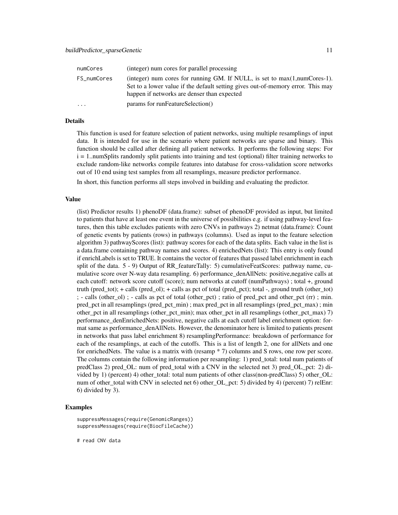| numCores    | (integer) num cores for parallel processing                                                                                                                                                                     |
|-------------|-----------------------------------------------------------------------------------------------------------------------------------------------------------------------------------------------------------------|
| FS_numCores | (integer) num cores for running GM. If NULL, is set to $max(1, numCores-1)$ .<br>Set to a lower value if the default setting gives out-of-memory error. This may<br>happen if networks are denser than expected |
| .           | params for runFeatureSelection()                                                                                                                                                                                |

#### Details

This function is used for feature selection of patient networks, using multiple resamplings of input data. It is intended for use in the scenario where patient networks are sparse and binary. This function should be called after defining all patient networks. It performs the following steps: For i = 1..numSplits randomly split patients into training and test (optional) filter training networks to exclude random-like networks compile features into database for cross-validation score networks out of 10 end using test samples from all resamplings, measure predictor performance.

In short, this function performs all steps involved in building and evaluating the predictor.

#### Value

(list) Predictor results 1) phenoDF (data.frame): subset of phenoDF provided as input, but limited to patients that have at least one event in the universe of possibilities e.g. if using pathway-level features, then this table excludes patients with zero CNVs in pathways 2) netmat (data.frame): Count of genetic events by patients (rows) in pathways (columns). Used as input to the feature selection algorithm 3) pathwayScores (list): pathway scores for each of the data splits. Each value in the list is a data.frame containing pathway names and scores. 4) enrichedNets (list): This entry is only found if enrichLabels is set to TRUE. It contains the vector of features that passed label enrichment in each split of the data. 5 - 9) Output of RR\_featureTally: 5) cumulativeFeatScores: pathway name, cumulative score over N-way data resampling. 6) performance\_denAllNets: positive,negative calls at each cutoff: network score cutoff (score); num networks at cutoff (numPathways) ; total +, ground truth (pred\_tot); + calls (pred\_ol); + calls as pct of total (pred\_pct); total -, ground truth (other\_tot) ; - calls (other\_ol) ; - calls as pct of total (other\_pct) ; ratio of pred\_pct and other\_pct (rr) ; min. pred\_pct in all resamplings (pred\_pct\_min) ; max pred\_pct in all resamplings (pred\_pct\_max) ; min other\_pct in all resamplings (other\_pct\_min); max other\_pct in all resamplings (other\_pct\_max) 7) performance\_denEnrichedNets: positive, negative calls at each cutoff label enrichment option: format same as performance\_denAllNets. However, the denominator here is limited to patients present in networks that pass label enrichment 8) resamplingPerformance: breakdown of performance for each of the resamplings, at each of the cutoffs. This is a list of length 2, one for allNets and one for enrichedNets. The value is a matrix with (resamp \* 7) columns and S rows, one row per score. The columns contain the following information per resampling: 1) pred\_total: total num patients of predClass 2) pred OL: num of pred total with a CNV in the selected net 3) pred OL pct: 2) divided by 1) (percent) 4) other\_total: total num patients of other class(non-predClass) 5) other\_OL: num of other\_total with CNV in selected net 6) other\_OL\_pct: 5) divided by 4) (percent) 7) relEnr: 6) divided by 3).

# Examples

```
suppressMessages(require(GenomicRanges))
suppressMessages(require(BiocFileCache))
```
# read CNV data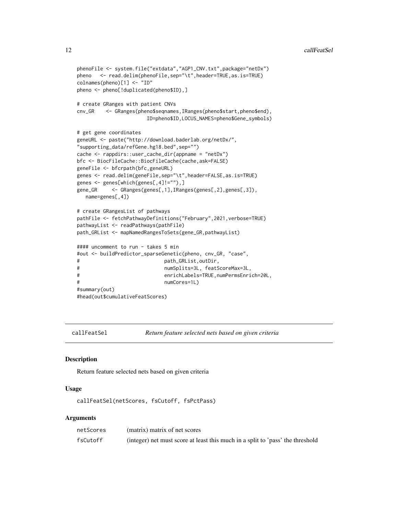#### <span id="page-11-0"></span>12 callFeatSel

```
phenoFile <- system.file("extdata","AGP1_CNV.txt",package="netDx")
pheno <- read.delim(phenoFile,sep="\t",header=TRUE,as.is=TRUE)
colnames(pheno)[1] <- "ID"
pheno <- pheno[!duplicated(pheno$ID),]
# create GRanges with patient CNVs
cnv_GR <- GRanges(pheno$seqnames,IRanges(pheno$start,pheno$end),
                      ID=pheno$ID,LOCUS_NAMES=pheno$Gene_symbols)
# get gene coordinates
geneURL <- paste("http://download.baderlab.org/netDx/",
"supporting_data/refGene.hg18.bed",sep="")
cache <- rappdirs::user_cache_dir(appname = "netDx")
bfc <- BiocFileCache::BiocFileCache(cache,ask=FALSE)
geneFile <- bfcrpath(bfc,geneURL)
genes <- read.delim(geneFile,sep="\t",header=FALSE,as.is=TRUE)
genes <- genes[which(genes[,4]!=""),]
gene_GR <- GRanges(genes[,1],IRanges(genes[,2],genes[,3]),
  name=genes[,4])
# create GRangesList of pathways
pathFile <- fetchPathwayDefinitions("February",2021,verbose=TRUE)
pathwayList <- readPathways(pathFile)
path_GRList <- mapNamedRangesToSets(gene_GR,pathwayList)
#### uncomment to run - takes 5 min
#out <- buildPredictor_sparseGenetic(pheno, cnv_GR, "case",
# path_GRList,outDir,
# numSplits=3L, featScoreMax=3L,
# enrichLabels=TRUE,numPermsEnrich=20L,
# numCores=1L)
#summary(out)
#head(out$cumulativeFeatScores)
```
callFeatSel *Return feature selected nets based on given criteria*

# Description

Return feature selected nets based on given criteria

#### Usage

callFeatSel(netScores, fsCutoff, fsPctPass)

| netScores | (matrix) matrix of net scores                                                  |
|-----------|--------------------------------------------------------------------------------|
| fsCutoff  | (integer) net must score at least this much in a split to 'pass' the threshold |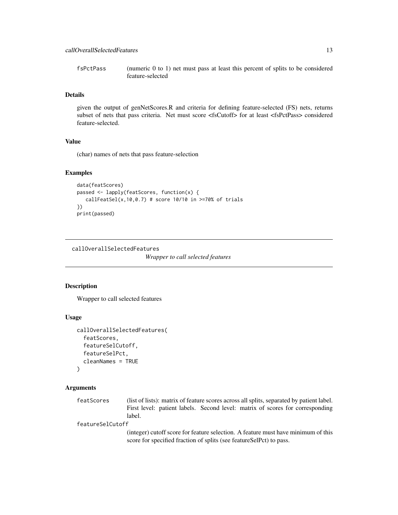<span id="page-12-0"></span>fsPctPass (numeric 0 to 1) net must pass at least this percent of splits to be considered feature-selected

# Details

given the output of genNetScores.R and criteria for defining feature-selected (FS) nets, returns subset of nets that pass criteria. Net must score <fsCutoff> for at least <fsPctPass> considered feature-selected.

# Value

(char) names of nets that pass feature-selection

#### Examples

```
data(featScores)
passed <- lapply(featScores, function(x) {
  callFeatSel(x,10,0.7) # score 10/10 in \geq=70% of trials
})
print(passed)
```
callOverallSelectedFeatures

*Wrapper to call selected features*

# Description

Wrapper to call selected features

#### Usage

```
callOverallSelectedFeatures(
  featScores,
  featureSelCutoff,
  featureSelPct,
  cleanNames = TRUE
\lambda
```
#### Arguments

featScores (list of lists): matrix of feature scores across all splits, separated by patient label. First level: patient labels. Second level: matrix of scores for corresponding label.

featureSelCutoff

(integer) cutoff score for feature selection. A feature must have minimum of this score for specified fraction of splits (see featureSelPct) to pass.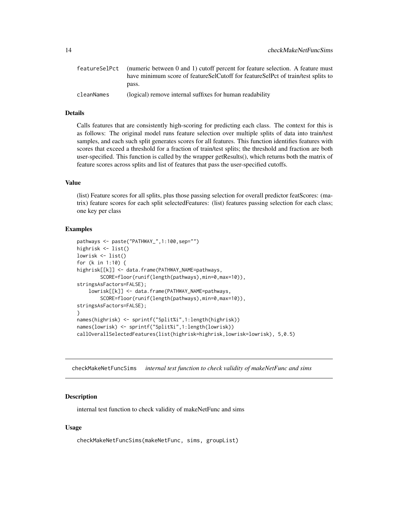<span id="page-13-0"></span>

|            | feature SelPct (numeric between 0 and 1) cutoff percent for feature selection. A feature must |
|------------|-----------------------------------------------------------------------------------------------|
|            | have minimum score of featureSelCutoff for featureSelPct of train/test splits to              |
|            | pass.                                                                                         |
| cleanNames | (logical) remove internal suffixes for human readability                                      |

#### Details

Calls features that are consistently high-scoring for predicting each class. The context for this is as follows: The original model runs feature selection over multiple splits of data into train/test samples, and each such split generates scores for all features. This function identifies features with scores that exceed a threshold for a fraction of train/test splits; the threshold and fraction are both user-specified. This function is called by the wrapper getResults(), which returns both the matrix of feature scores across splits and list of features that pass the user-specified cutoffs.

# Value

(list) Feature scores for all splits, plus those passing selection for overall predictor featScores: (matrix) feature scores for each split selectedFeatures: (list) features passing selection for each class; one key per class

# Examples

```
pathways <- paste("PATHWAY_",1:100,sep="")
highrisk <- list()
lowrisk <- list()
for (k in 1:10) {
highrisk[[k]] <- data.frame(PATHWAY_NAME=pathways,
        SCORE=floor(runif(length(pathways),min=0,max=10)),
stringsAsFactors=FALSE);
    lowrisk[[k]] <- data.frame(PATHWAY_NAME=pathways,
        SCORE=floor(runif(length(pathways),min=0,max=10)),
stringsAsFactors=FALSE);
}
names(highrisk) <- sprintf("Split%i",1:length(highrisk))
names(lowrisk) <- sprintf("Split%i",1:length(lowrisk))
callOverallSelectedFeatures(list(highrisk=highrisk,lowrisk=lowrisk), 5,0.5)
```
checkMakeNetFuncSims *internal test function to check validity of makeNetFunc and sims*

## Description

internal test function to check validity of makeNetFunc and sims

#### Usage

checkMakeNetFuncSims(makeNetFunc, sims, groupList)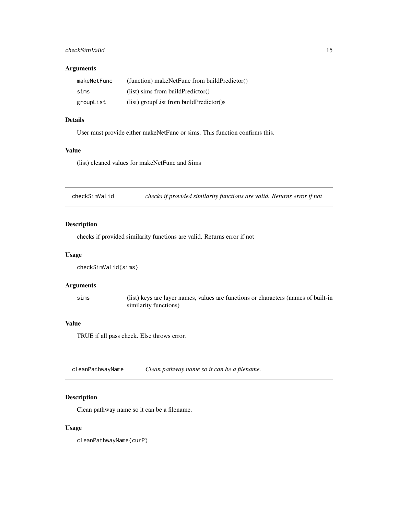# <span id="page-14-0"></span>checkSimValid 15

# Arguments

| makeNetFunc | (function) makeNetFunc from buildPredictor() |
|-------------|----------------------------------------------|
| sims        | (list) sims from buildPredictor()            |
| groupList   | (list) groupList from buildPredictor()s      |

#### Details

User must provide either makeNetFunc or sims. This function confirms this.

# Value

(list) cleaned values for makeNetFunc and Sims

checkSimValid *checks if provided similarity functions are valid. Returns error if not*

# Description

checks if provided similarity functions are valid. Returns error if not

# Usage

```
checkSimValid(sims)
```
#### Arguments

sims (list) keys are layer names, values are functions or characters (names of built-in similarity functions)

# Value

TRUE if all pass check. Else throws error.

cleanPathwayName *Clean pathway name so it can be a filename.*

# Description

Clean pathway name so it can be a filename.

# Usage

cleanPathwayName(curP)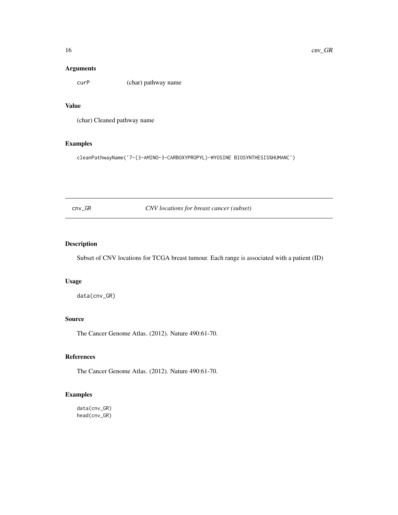# <span id="page-15-0"></span>Arguments

curP (char) pathway name

# Value

(char) Cleaned pathway name

# Examples

cleanPathwayName('7-(3-AMINO-3-CARBOXYPROPYL)-WYOSINE BIOSYNTHESIS%HUMANC')

cnv\_GR *CNV locations for breast cancer (subset)*

# Description

Subset of CNV locations for TCGA breast tumour. Each range is associated with a patient (ID)

# Usage

data(cnv\_GR)

# Source

The Cancer Genome Atlas. (2012). Nature 490:61-70.

#### References

The Cancer Genome Atlas. (2012). Nature 490:61-70.

# Examples

data(cnv\_GR) head(cnv\_GR)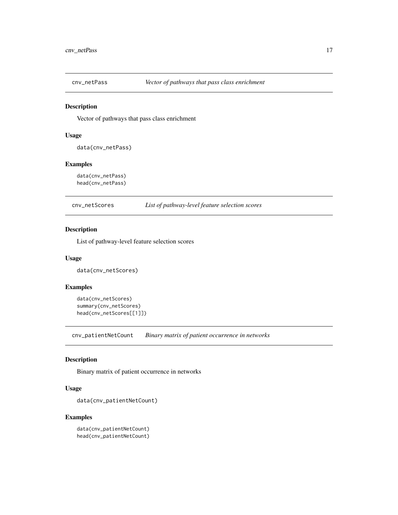<span id="page-16-0"></span>

Vector of pathways that pass class enrichment

# Usage

data(cnv\_netPass)

# Examples

data(cnv\_netPass) head(cnv\_netPass)

cnv\_netScores *List of pathway-level feature selection scores*

# Description

List of pathway-level feature selection scores

# Usage

data(cnv\_netScores)

# Examples

data(cnv\_netScores) summary(cnv\_netScores) head(cnv\_netScores[[1]])

cnv\_patientNetCount *Binary matrix of patient occurrence in networks*

# Description

Binary matrix of patient occurrence in networks

# Usage

```
data(cnv_patientNetCount)
```
#### Examples

data(cnv\_patientNetCount) head(cnv\_patientNetCount)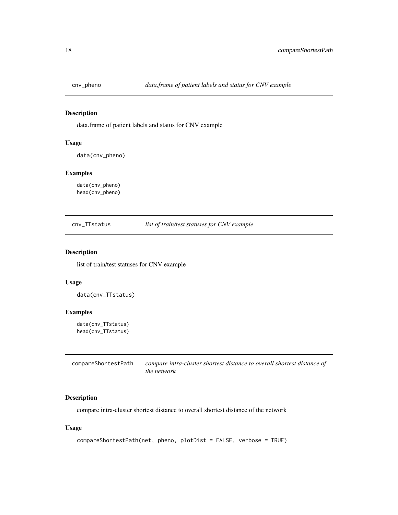<span id="page-17-0"></span>

data.frame of patient labels and status for CNV example

# Usage

```
data(cnv_pheno)
```
#### Examples

data(cnv\_pheno) head(cnv\_pheno)

cnv\_TTstatus *list of train/test statuses for CNV example*

#### Description

list of train/test statuses for CNV example

# Usage

data(cnv\_TTstatus)

#### Examples

data(cnv\_TTstatus) head(cnv\_TTstatus)

| compareShortestPath | compare intra-cluster shortest distance to overall shortest distance of |
|---------------------|-------------------------------------------------------------------------|
|                     | <i>the network</i>                                                      |

# Description

compare intra-cluster shortest distance to overall shortest distance of the network

# Usage

```
compareShortestPath(net, pheno, plotDist = FALSE, verbose = TRUE)
```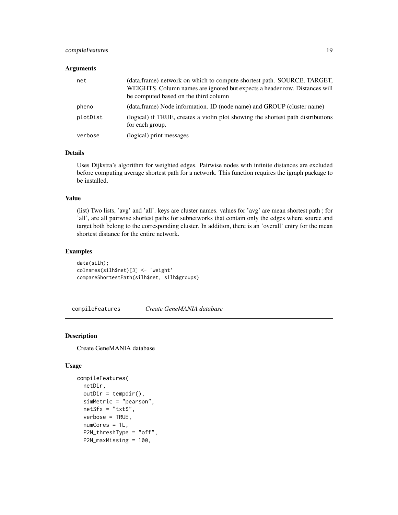# <span id="page-18-0"></span>compileFeatures 19

#### **Arguments**

| net      | (data.frame) network on which to compute shortest path. SOURCE, TARGET,<br>WEIGHTS. Column names are ignored but expects a header row. Distances will<br>be computed based on the third column |
|----------|------------------------------------------------------------------------------------------------------------------------------------------------------------------------------------------------|
| pheno    | (data.frame) Node information. ID (node name) and GROUP (cluster name)                                                                                                                         |
| plotDist | (logical) if TRUE, creates a violin plot showing the shortest path distributions<br>for each group.                                                                                            |
| verbose  | (logical) print messages                                                                                                                                                                       |

# Details

Uses Dijkstra's algorithm for weighted edges. Pairwise nodes with infinite distances are excluded before computing average shortest path for a network. This function requires the igraph package to be installed.

#### Value

(list) Two lists, 'avg' and 'all'. keys are cluster names. values for 'avg' are mean shortest path ; for 'all', are all pairwise shortest paths for subnetworks that contain only the edges where source and target both belong to the corresponding cluster. In addition, there is an 'overall' entry for the mean shortest distance for the entire network.

# Examples

```
data(silh);
colnames(silh$net)[3] <- 'weight'
compareShortestPath(silh$net, silh$groups)
```
compileFeatures *Create GeneMANIA database*

# Description

Create GeneMANIA database

#### Usage

```
compileFeatures(
 netDir,
  outDir = tempdir(),simMetric = "pearson",
  netSfx = "txt$",verbose = TRUE,
  numCores = 1L,
 P2N_threshType = "off",
 P2N_maxMissing = 100,
```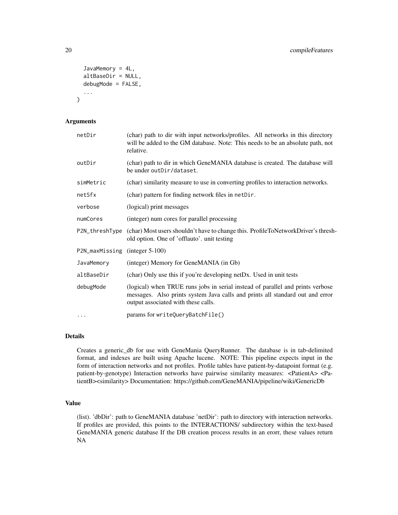```
JavaMemory = 4L,
  altBaseDir = NULL,
  debugMode = FALSE,
  ...
)
```
# Arguments

| netDir                         | (char) path to dir with input networks/profiles. All networks in this directory<br>will be added to the GM database. Note: This needs to be an absolute path, not<br>relative.                         |
|--------------------------------|--------------------------------------------------------------------------------------------------------------------------------------------------------------------------------------------------------|
| outDir                         | (char) path to dir in which GeneMANIA database is created. The database will<br>be under outDir/dataset.                                                                                               |
| simMetric                      | (char) similarity measure to use in converting profiles to interaction networks.                                                                                                                       |
| netSfx                         | (char) pattern for finding network files in netDir.                                                                                                                                                    |
| verbose                        | (logical) print messages                                                                                                                                                                               |
| numCores                       | (integer) num cores for parallel processing                                                                                                                                                            |
|                                | P2N_threshType (char) Most users shouldn't have to change this. ProfileToNetworkDriver's thresh-<br>old option. One of 'offlauto'. unit testing                                                        |
| P2N_maxMissing (integer 5-100) |                                                                                                                                                                                                        |
| JavaMemory                     | (integer) Memory for GeneMANIA (in Gb)                                                                                                                                                                 |
| altBaseDir                     | (char) Only use this if you're developing netDx. Used in unit tests                                                                                                                                    |
| debugMode                      | (logical) when TRUE runs jobs in serial instead of parallel and prints verbose<br>messages. Also prints system Java calls and prints all standard out and error<br>output associated with these calls. |
| $\cdots$                       | params for writeQueryBatchFile()                                                                                                                                                                       |

# Details

Creates a generic\_db for use with GeneMania QueryRunner. The database is in tab-delimited format, and indexes are built using Apache lucene. NOTE: This pipeline expects input in the form of interaction networks and not profiles. Profile tables have patient-by-datapoint format (e.g. patient-by-genotype) Interaction networks have pairwise similarity measures: <PatientA> <PatientB><similarity> Documentation: https://github.com/GeneMANIA/pipeline/wiki/GenericDb

#### Value

(list). 'dbDir': path to GeneMANIA database 'netDir': path to directory with interaction networks. If profiles are provided, this points to the INTERACTIONS/ subdirectory within the text-based GeneMANIA generic database If the DB creation process results in an erorr, these values return NA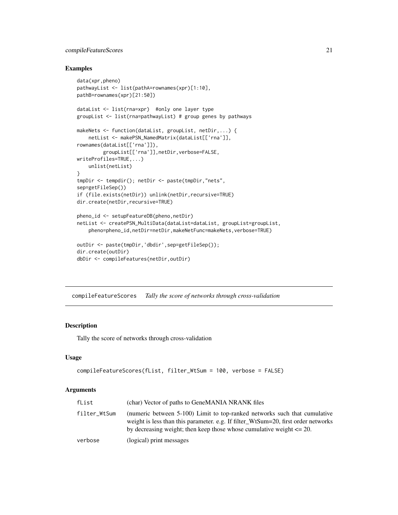# <span id="page-20-0"></span>compileFeatureScores 21

#### Examples

```
data(xpr,pheno)
pathwayList <- list(pathA=rownames(xpr)[1:10],
pathB=rownames(xpr)[21:50])
dataList <- list(rna=xpr) #only one layer type
groupList <- list(rna=pathwayList) # group genes by pathways
makeNets <- function(dataList, groupList, netDir,...) {
   netList <- makePSN_NamedMatrix(dataList[['rna']],
rownames(dataList[['rna']]),
        groupList[['rna']],netDir,verbose=FALSE,
writeProfiles=TRUE,...)
   unlist(netList)
}
tmpDir <- tempdir(); netDir <- paste(tmpDir,"nets",
sep=getFileSep())
if (file.exists(netDir)) unlink(netDir,recursive=TRUE)
dir.create(netDir,recursive=TRUE)
pheno_id <- setupFeatureDB(pheno,netDir)
netList <- createPSN_MultiData(dataList=dataList, groupList=groupList,
    pheno=pheno_id,netDir=netDir,makeNetFunc=makeNets,verbose=TRUE)
outDir <- paste(tmpDir,'dbdir',sep=getFileSep());
dir.create(outDir)
dbDir <- compileFeatures(netDir,outDir)
```
compileFeatureScores *Tally the score of networks through cross-validation*

# Description

Tally the score of networks through cross-validation

#### Usage

```
compileFeatureScores(fList, filter_WtSum = 100, verbose = FALSE)
```

| fList        | (char) Vector of paths to GeneMANIA NRANK files                                                                                                                                                                                             |
|--------------|---------------------------------------------------------------------------------------------------------------------------------------------------------------------------------------------------------------------------------------------|
| filter_WtSum | (numeric between 5-100) Limit to top-ranked networks such that cumulative<br>weight is less than this parameter. e.g. If filter_WtSum=20, first order networks<br>by decreasing weight; then keep those whose cumulative weight $\leq 20$ . |
| verbose      | (logical) print messages                                                                                                                                                                                                                    |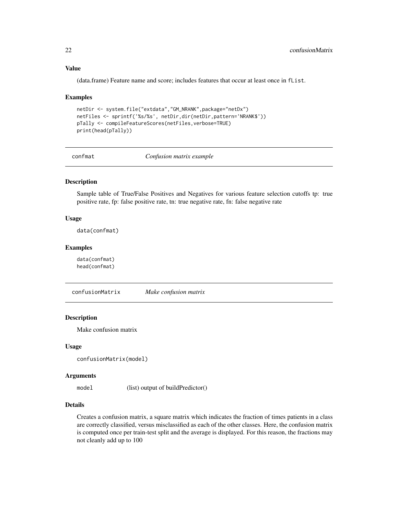#### Value

(data.frame) Feature name and score; includes features that occur at least once in fList.

#### Examples

```
netDir <- system.file("extdata","GM_NRANK",package="netDx")
netFiles <- sprintf('%s/%s', netDir,dir(netDir,pattern='NRANK$'))
pTally <- compileFeatureScores(netFiles,verbose=TRUE)
print(head(pTally))
```
confmat *Confusion matrix example*

# Description

Sample table of True/False Positives and Negatives for various feature selection cutoffs tp: true positive rate, fp: false positive rate, tn: true negative rate, fn: false negative rate

# Usage

data(confmat)

# Examples

data(confmat) head(confmat)

confusionMatrix *Make confusion matrix*

# Description

Make confusion matrix

#### Usage

```
confusionMatrix(model)
```
#### Arguments

model (list) output of buildPredictor()

#### Details

Creates a confusion matrix, a square matrix which indicates the fraction of times patients in a class are correctly classified, versus misclassified as each of the other classes. Here, the confusion matrix is computed once per train-test split and the average is displayed. For this reason, the fractions may not cleanly add up to 100

<span id="page-21-0"></span>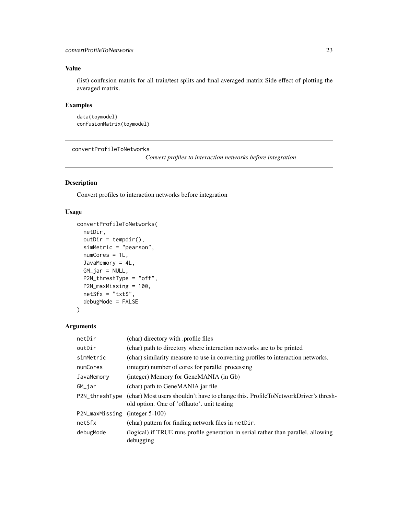# <span id="page-22-0"></span>convertProfileToNetworks 23

# Value

(list) confusion matrix for all train/test splits and final averaged matrix Side effect of plotting the averaged matrix.

# Examples

```
data(toymodel)
confusionMatrix(toymodel)
```
convertProfileToNetworks

*Convert profiles to interaction networks before integration*

# Description

Convert profiles to interaction networks before integration

# Usage

```
convertProfileToNetworks(
 netDir,
 outDir = tempdir(),simMetric = "pearson",
 numCores = 1L,
  JavaMemory = 4L,
 GM_jar = NULL,
 P2N_threshType = "off",
 P2N_maxMissing = 100,
 netSfx = "txt$",debugMode = FALSE
)
```

| netDir         | (char) directory with profile files                                                                                              |
|----------------|----------------------------------------------------------------------------------------------------------------------------------|
| outDir         | (char) path to directory where interaction networks are to be printed                                                            |
| simMetric      | (char) similarity measure to use in converting profiles to interaction networks.                                                 |
| numCores       | (integer) number of cores for parallel processing                                                                                |
| JavaMemory     | (integer) Memory for GeneMANIA (in Gb)                                                                                           |
| GM_jar         | (char) path to GeneMANIA jar file                                                                                                |
| P2N_threshType | (char) Most users shouldn't have to change this. ProfileToNetworkDriver's thresh-<br>old option. One of 'offlauto', unit testing |
| P2N_maxMissing | $(integer 5-100)$                                                                                                                |
| netSfx         | (char) pattern for finding network files in netDir.                                                                              |
| debugMode      | (logical) if TRUE runs profile generation in serial rather than parallel, allowing<br>debugging                                  |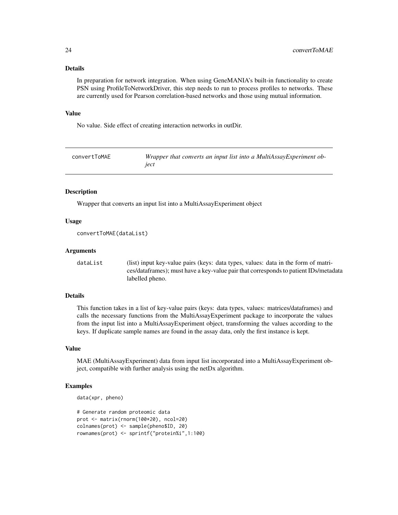# <span id="page-23-0"></span>Details

In preparation for network integration. When using GeneMANIA's built-in functionality to create PSN using ProfileToNetworkDriver, this step needs to run to process profiles to networks. These are currently used for Pearson correlation-based networks and those using mutual information.

#### Value

No value. Side effect of creating interaction networks in outDir.

| convertToMAE | Wrapper that converts an input list into a MultiAssayExperiment ob- |
|--------------|---------------------------------------------------------------------|
|              | iect                                                                |

#### Description

Wrapper that converts an input list into a MultiAssayExperiment object

#### Usage

```
convertToMAE(dataList)
```
#### Arguments

dataList (list) input key-value pairs (keys: data types, values: data in the form of matrices/dataframes); must have a key-value pair that corresponds to patient IDs/metadata labelled pheno.

#### Details

This function takes in a list of key-value pairs (keys: data types, values: matrices/dataframes) and calls the necessary functions from the MultiAssayExperiment package to incorporate the values from the input list into a MultiAssayExperiment object, transforming the values according to the keys. If duplicate sample names are found in the assay data, only the first instance is kept.

#### Value

MAE (MultiAssayExperiment) data from input list incorporated into a MultiAssayExperiment object, compatible with further analysis using the netDx algorithm.

```
data(xpr, pheno)
```

```
# Generate random proteomic data
prot <- matrix(rnorm(100*20), ncol=20)
colnames(prot) <- sample(pheno$ID, 20)
rownames(prot) <- sprintf("protein%i",1:100)
```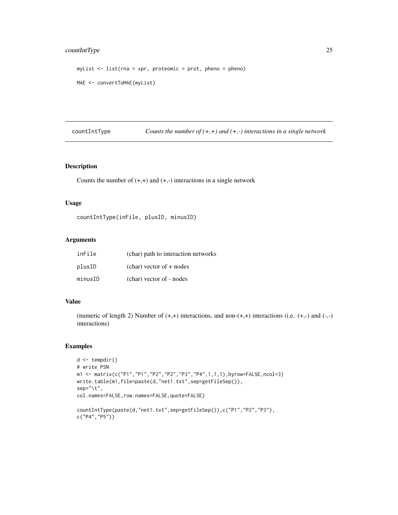# <span id="page-24-0"></span>countIntType 25

```
myList <- list(rna = xpr, proteomic = prot, pheno = pheno)
MAE <- convertToMAE(myList)
```
countIntType *Counts the number of (+,+) and (+,-) interactions in a single network*

#### Description

Counts the number of  $(+,+)$  and  $(+,-)$  interactions in a single network

#### Usage

```
countIntType(inFile, plusID, minusID)
```
# Arguments

| inFile  | (char) path to interaction networks |
|---------|-------------------------------------|
| plusID  | $(char)$ vector of $+$ nodes        |
| minusID | (char) vector of - nodes            |

# Value

(numeric of length 2) Number of  $(+,+)$  interactions, and non- $(+,+)$  interactions (i.e.  $(+,-)$ ) and  $(-,-)$ interactions)

```
d \leftarrow tempdir()# write PSN
m1 <- matrix(c("P1","P1","P2","P2","P3","P4",1,1,1),byrow=FALSE,ncol=3)
write.table(m1,file=paste(d,"net1.txt",sep=getFileSep()),
sep="\t",
col.names=FALSE,row.names=FALSE,quote=FALSE)
countIntType(paste(d,"net1.txt",sep=getFileSep()),c("P1","P2","P3"),
c("P4","P5"))
```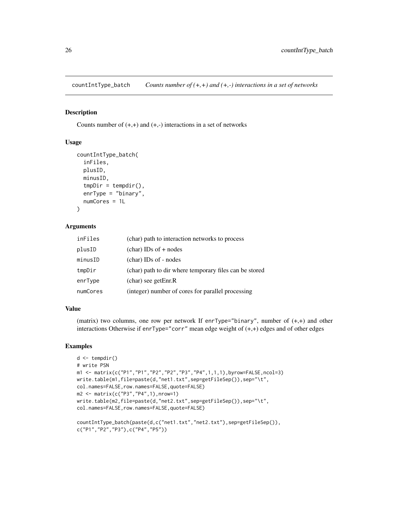<span id="page-25-0"></span>countIntType\_batch *Counts number of (+,+) and (+,-) interactions in a set of networks*

#### Description

Counts number of  $(+,+)$  and  $(+,-)$  interactions in a set of networks

#### Usage

```
countIntType_batch(
  inFiles,
 plusID,
 minusID,
  tmpDir = template(),enrType = "binary",
  numCores = 1L
)
```
#### Arguments

| inFiles  | (char) path to interaction networks to process         |
|----------|--------------------------------------------------------|
| plusID   | $(char)$ IDs of $+$ nodes                              |
| minusID  | (char) IDs of - nodes                                  |
| tmpDir   | (char) path to dir where temporary files can be stored |
| enrType  | $(char)$ see getEnr.R                                  |
| numCores | (integer) number of cores for parallel processing      |

#### Value

(matrix) two columns, one row per network If enrType="binary", number of  $(+,+)$  and other interactions Otherwise if enrType="corr" mean edge weight of (+,+) edges and of other edges

```
d <- tempdir()
# write PSN
m1 <- matrix(c("P1","P1","P2","P2","P3","P4",1,1,1),byrow=FALSE,ncol=3)
write.table(m1,file=paste(d,"net1.txt",sep=getFileSep()),sep="\t",
col.names=FALSE,row.names=FALSE,quote=FALSE)
m2 <- matrix(c("P3","P4",1),nrow=1)
write.table(m2,file=paste(d,"net2.txt",sep=getFileSep()),sep="\t",
col.names=FALSE,row.names=FALSE,quote=FALSE)
countIntType_batch(paste(d,c("net1.txt","net2.txt"),sep=getFileSep()),
c("P1","P2","P3"),c("P4","P5"))
```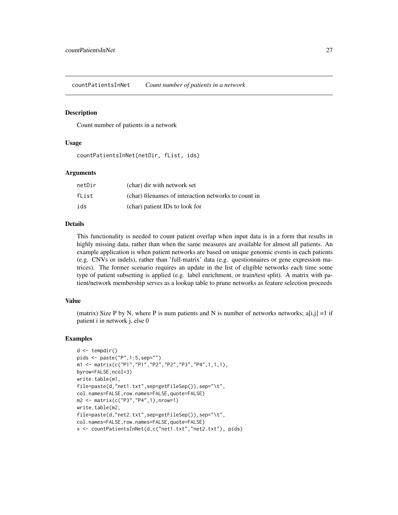<span id="page-26-0"></span>countPatientsInNet *Count number of patients in a network*

#### Description

Count number of patients in a network

# Usage

countPatientsInNet(netDir, fList, ids)

#### Arguments

| netDir | (char) dir with network set                          |
|--------|------------------------------------------------------|
| fList  | (char) filenames of interaction networks to count in |
| ids    | (char) patient IDs to look for                       |

#### Details

This functionality is needed to count patient overlap when input data is in a form that results in highly missing data, rather than when the same measures are available for almost all patients. An example application is when patient networks are based on unique genomic events in each patients (e.g. CNVs or indels), rather than 'full-matrix' data (e.g. questionnaires or gene expression matrices). The former scenario requires an update in the list of eligible networks each time some type of patient subsetting is applied (e.g. label enrichment, or train/test split). A matrix with patient/network membership serves as a lookup table to prune networks as feature selection proceeds

## Value

(matrix) Size P by N, where P is num patients and N is number of networks networks;  $a[i,j] = 1$  if patient i in network j, else 0

```
d <- tempdir()
pids <- paste("P",1:5,sep="")
m1 <- matrix(c("P1","P1","P2","P2","P3","P4",1,1,1),
byrow=FALSE,ncol=3)
write.table(m1,
file=paste(d,"net1.txt",sep=getFileSep()),sep="\t",
col.names=FALSE,row.names=FALSE,quote=FALSE)
m2 <- matrix(c("P3","P4",1),nrow=1)
write.table(m2,
file=paste(d,"net2.txt",sep=getFileSep()),sep="\t",
col.names=FALSE,row.names=FALSE,quote=FALSE)
x <- countPatientsInNet(d,c("net1.txt","net2.txt"), pids)
```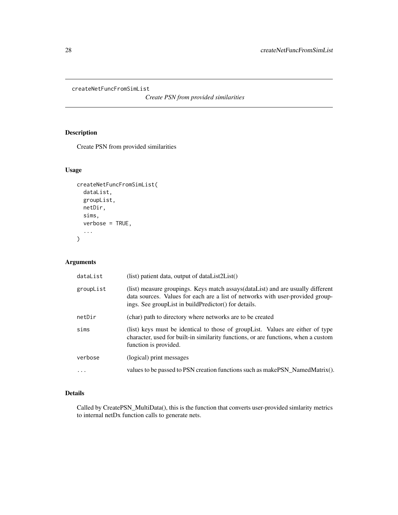<span id="page-27-0"></span>createNetFuncFromSimList

*Create PSN from provided similarities*

# Description

Create PSN from provided similarities

# Usage

```
createNetFuncFromSimList(
  dataList,
  groupList,
  netDir,
  sims,
  verbose = TRUE,
  ...
)
```
# Arguments

| dataList  | $(list)$ patient data, output of dataList $2List()$                                                                                                                                                                            |
|-----------|--------------------------------------------------------------------------------------------------------------------------------------------------------------------------------------------------------------------------------|
| groupList | (list) measure groupings. Keys match assays (data List) and are usually different<br>data sources. Values for each are a list of networks with user-provided group-<br>ings. See group List in build Predictor () for details. |
| netDir    | (char) path to directory where networks are to be created                                                                                                                                                                      |
| sims      | (list) keys must be identical to those of groupList. Values are either of type<br>character, used for built-in similarity functions, or are functions, when a custom<br>function is provided.                                  |
| verbose   | (logical) print messages                                                                                                                                                                                                       |
| $\ddotsc$ | values to be passed to PSN creation functions such as makePSN_NamedMatrix().                                                                                                                                                   |

# Details

Called by CreatePSN\_MultiData(), this is the function that converts user-provided simlarity metrics to internal netDx function calls to generate nets.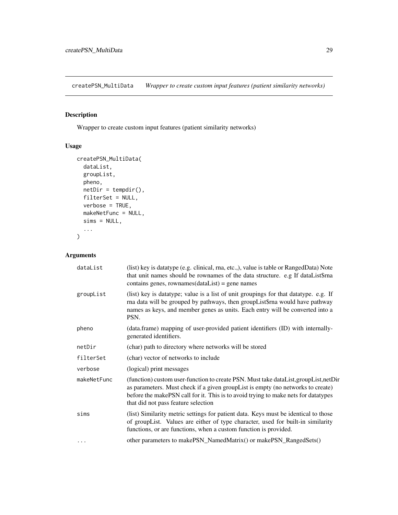<span id="page-28-0"></span>createPSN\_MultiData *Wrapper to create custom input features (patient similarity networks)*

# Description

Wrapper to create custom input features (patient similarity networks)

# Usage

```
createPSN_MultiData(
 dataList,
  groupList,
 pheno,
 netDir = tempdir(),filterSet = NULL,
 verbose = TRUE,
 makeNetFunc = NULL,
 sims = NULL,...
\mathcal{L}
```

| dataList    | (list) key is datatype (e.g. clinical, rna, etc.,), value is table or RangedData) Note<br>that unit names should be rownames of the data structure. e.g If dataList\$rna<br>contains genes, rownames $(dataList)$ = gene names                                                                       |
|-------------|------------------------------------------------------------------------------------------------------------------------------------------------------------------------------------------------------------------------------------------------------------------------------------------------------|
| groupList   | (list) key is datatype; value is a list of unit groupings for that datatype. e.g. If<br>rna data will be grouped by pathways, then groupList\$rna would have pathway<br>names as keys, and member genes as units. Each entry will be converted into a<br>PSN.                                        |
| pheno       | (data.frame) mapping of user-provided patient identifiers (ID) with internally-<br>generated identifiers.                                                                                                                                                                                            |
| netDir      | (char) path to directory where networks will be stored                                                                                                                                                                                                                                               |
| filterSet   | (char) vector of networks to include                                                                                                                                                                                                                                                                 |
| verbose     | (logical) print messages                                                                                                                                                                                                                                                                             |
| makeNetFunc | (function) custom user-function to create PSN. Must take dataList, groupList, netDir<br>as parameters. Must check if a given groupList is empty (no networks to create)<br>before the makePSN call for it. This is to avoid trying to make nets for datatypes<br>that did not pass feature selection |
| sims        | (list) Similarity metric settings for patient data. Keys must be identical to those<br>of groupList. Values are either of type character, used for built-in similarity<br>functions, or are functions, when a custom function is provided.                                                           |
| $\cdots$    | other parameters to makePSN_NamedMatrix() or makePSN_RangedSets()                                                                                                                                                                                                                                    |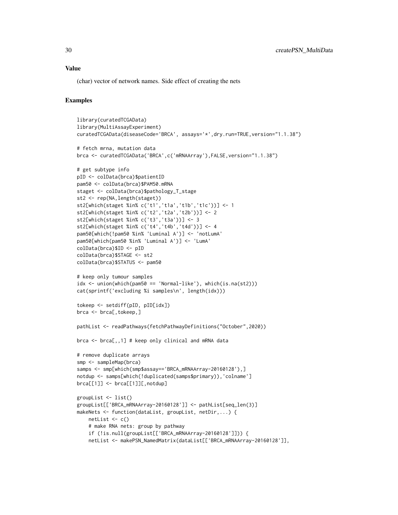#### Value

(char) vector of network names. Side effect of creating the nets

```
library(curatedTCGAData)
library(MultiAssayExperiment)
curatedTCGAData(diseaseCode='BRCA', assays='*',dry.run=TRUE,version="1.1.38")
# fetch mrna, mutation data
brca <- curatedTCGAData('BRCA',c('mRNAArray'),FALSE,version="1.1.38")
# get subtype info
pID <- colData(brca)$patientID
pam50 <- colData(brca)$PAM50.mRNA
staget <- colData(brca)$pathology_T_stage
st2 <- rep(NA,length(staget))
st2[which(staget %in% c('t1','t1a','t1b','t1c'))] <- 1
st2[which(staget %in% c('t2','t2a','t2b'))] <- 2
st2[which(staget %in% c('t3','t3a'))] <- 3
st2[which(staget %in% c('t4','t4b','t4d'))] <- 4
pam50[which(!pam50 %in% 'Luminal A')] <- 'notLumA'
pam50[which(pam50 %in% 'Luminal A')] <- 'LumA'
colData(brca)$ID <- pID
colData(brca)$STAGE <- st2
colData(brca)$STATUS <- pam50
# keep only tumour samples
idx <- union(which(pam50 == 'Normal-like'), which(is.na(st2)))
cat(sprintf('excluding %i samples\n', length(idx)))
tokeep <- setdiff(pID, pID[idx])
brca <- brca[,tokeep,]
pathList <- readPathways(fetchPathwayDefinitions("October",2020))
brca <- brca[,,1] # keep only clinical and mRNA data
# remove duplicate arrays
smp <- sampleMap(brca)
samps <- smp[which(smp$assay=='BRCA_mRNAArray-20160128'),]
notdup <- samps[which(!duplicated(samps$primary)),'colname']
brca[[1]] <- brca[[1]][,notdup]
groupList <- list()
groupList[['BRCA_mRNAArray-20160128']] <- pathList[seq_len(3)]
makeNets <- function(dataList, groupList, netDir,...) {
   netList \leq c()# make RNA nets: group by pathway
    if (!is.null(groupList[['BRCA_mRNAArray-20160128']])) {
    netList <- makePSN_NamedMatrix(dataList[['BRCA_mRNAArray-20160128']],
```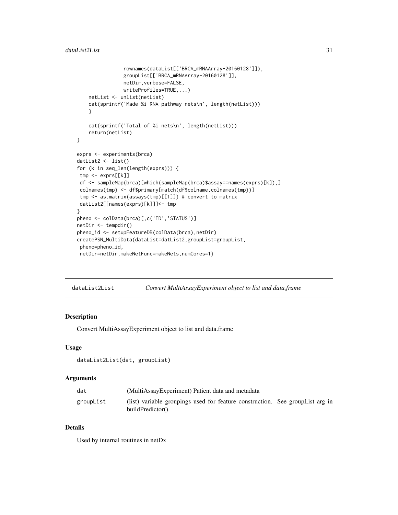```
rownames(dataList[['BRCA_mRNAArray-20160128']]),
                groupList[['BRCA_mRNAArray-20160128']],
                netDir,verbose=FALSE,
                writeProfiles=TRUE,...)
   netList <- unlist(netList)
   cat(sprintf('Made %i RNA pathway nets\n', length(netList)))
    }
    cat(sprintf('Total of %i nets\n', length(netList)))
    return(netList)
}
exprs <- experiments(brca)
datList2 <- list()
for (k in seq_len(length(exprs))) {
tmp <- exprs[[k]]
df <- sampleMap(brca)[which(sampleMap(brca)$assay==names(exprs)[k]),]
colnames(tmp) <- df$primary[match(df$colname,colnames(tmp))]
tmp <- as.matrix(assays(tmp)[[1]]) # convert to matrix
datList2[[names(exprs)[k]]]<- tmp
}
pheno <- colData(brca)[,c('ID','STATUS')]
netDir <- tempdir()
pheno_id <- setupFeatureDB(colData(brca),netDir)
createPSN_MultiData(dataList=datList2,groupList=groupList,
pheno=pheno_id,
netDir=netDir,makeNetFunc=makeNets,numCores=1)
```
dataList2List *Convert MultiAssayExperiment object to list and data.frame*

#### Description

Convert MultiAssayExperiment object to list and data.frame

# Usage

```
dataList2List(dat, groupList)
```
#### Arguments

| dat       | (MultiAssayExperiment) Patient data and metadata                                                       |  |
|-----------|--------------------------------------------------------------------------------------------------------|--|
| groupList | (list) variable groupings used for feature construction. See group List arg in<br>$buildPredictor()$ . |  |

#### Details

Used by internal routines in netDx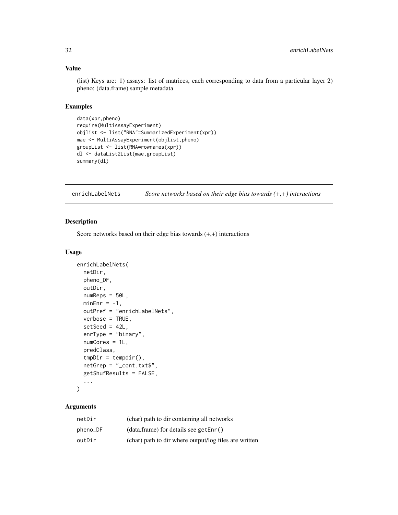#### <span id="page-31-0"></span>Value

(list) Keys are: 1) assays: list of matrices, each corresponding to data from a particular layer 2) pheno: (data.frame) sample metadata

#### Examples

```
data(xpr,pheno)
require(MultiAssayExperiment)
objlist <- list("RNA"=SummarizedExperiment(xpr))
mae <- MultiAssayExperiment(objlist,pheno)
groupList <- list(RNA=rownames(xpr))
dl <- dataList2List(mae,groupList)
summary(dl)
```

| enrichLabelNets | Score networks based on their edge bias towards $(+,+)$ interactions |
|-----------------|----------------------------------------------------------------------|
|-----------------|----------------------------------------------------------------------|

# Description

Score networks based on their edge bias towards  $(+,+)$  interactions

#### Usage

```
enrichLabelNets(
  netDir,
 pheno_DF,
 outDir,
  numReps = 50L,
 minEnr = -1,
 outPref = "enrichLabelNets",
  verbose = TRUE,
  setSeq = 42L,
  enrType = "binary",
  numCores = 1L,
  predClass,
  tmpDir = template(),netGrep = "_cont.txt$",
  getShufResults = FALSE,
  ...
```

```
)
```

| netDir   | (char) path to dir containing all networks            |
|----------|-------------------------------------------------------|
| pheno_DF | (data.frame) for details see getEnr()                 |
| outDir   | (char) path to dir where output/log files are written |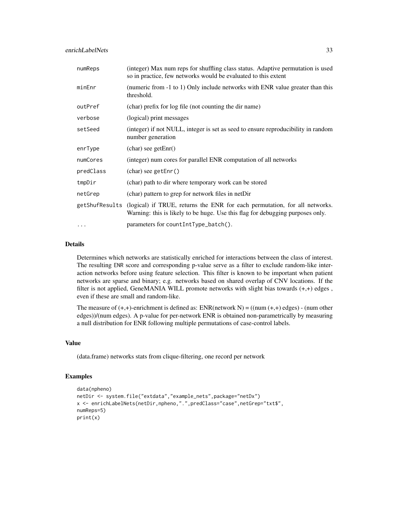enrichLabelNets 33

| numReps        | (integer) Max num reps for shuffling class status. Adaptive permutation is used<br>so in practice, few networks would be evaluated to this extent            |
|----------------|--------------------------------------------------------------------------------------------------------------------------------------------------------------|
| minEnr         | (numeric from -1 to 1) Only include networks with ENR value greater than this<br>threshold.                                                                  |
| outPref        | (char) prefix for log file (not counting the dir name)                                                                                                       |
| verbose        | (logical) print messages                                                                                                                                     |
| setSeed        | (integer) if not NULL, integer is set as seed to ensure reproducibility in random<br>number generation                                                       |
| enrType        | $(char)$ see getEnr $()$                                                                                                                                     |
| numCores       | (integer) num cores for parallel ENR computation of all networks                                                                                             |
| predClass      | $(char)$ see getEnr $()$                                                                                                                                     |
| tmpDir         | (char) path to dir where temporary work can be stored                                                                                                        |
| netGrep        | (char) pattern to grep for network files in netDir                                                                                                           |
| getShufResults | (logical) if TRUE, returns the ENR for each permutation, for all networks.<br>Warning: this is likely to be huge. Use this flag for debugging purposes only. |
| $\cdots$       | parameters for countIntType_batch().                                                                                                                         |

#### Details

Determines which networks are statistically enriched for interactions between the class of interest. The resulting ENR score and corresponding p-value serve as a filter to exclude random-like interaction networks before using feature selection. This filter is known to be important when patient networks are sparse and binary; e.g. networks based on shared overlap of CNV locations. If the filter is not applied, GeneMANIA WILL promote networks with slight bias towards (+,+) edges , even if these are small and random-like.

The measure of  $(+,+)$ -enrichment is defined as: ENR(network N) = ((num  $(+,+)$  edges) - (num other edges))/(num edges). A p-value for per-network ENR is obtained non-parametrically by measuring a null distribution for ENR following multiple permutations of case-control labels.

#### Value

(data.frame) networks stats from clique-filtering, one record per network

```
data(npheno)
netDir <- system.file("extdata","example_nets",package="netDx")
x <- enrichLabelNets(netDir,npheno,".",predClass="case",netGrep="txt$",
numReps=5)
print(x)
```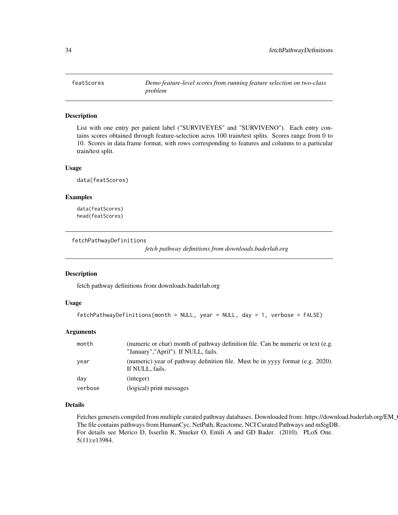<span id="page-33-0"></span>

List with one entry per patient label ("SURVIVEYES" and "SURVIVENO"). Each entry contains scores obtained through feature-selection acros 100 train/test splits. Scores range from 0 to 10. Scores in data.frame format, with rows corresponding to features and columns to a particular train/test split.

#### Usage

data(featScores)

# Examples

data(featScores) head(featScores)

fetchPathwayDefinitions

*fetch pathway definitions from downloads.baderlab.org*

#### Description

fetch pathway definitions from downloads.baderlab.org

# Usage

```
fetchPathwayDefinitions(month = NULL, year = NULL, day = 1, verbose = FALSE)
```
# Arguments

| month   | (numeric or char) month of pathway definition file. Can be numeric or text (e.g.<br>"January","April"). If NULL, fails. |
|---------|-------------------------------------------------------------------------------------------------------------------------|
| year    | (numeric) year of pathway definition file. Must be in yyyy format (e.g. 2020).<br>If NULL, fails.                       |
| day     | (integer)                                                                                                               |
| verbose | (logical) print messages                                                                                                |

# Details

Fetches genesets compiled from multiple curated pathway databases. Downloaded from: https://download.baderlab.org/EM\_ The file contains pathways from HumanCyc, NetPath, Reactome, NCI Curated Pathways and mSigDB. For details see Merico D, Isserlin R, Stueker O, Emili A and GD Bader. (2010). PLoS One. 5(11):e13984.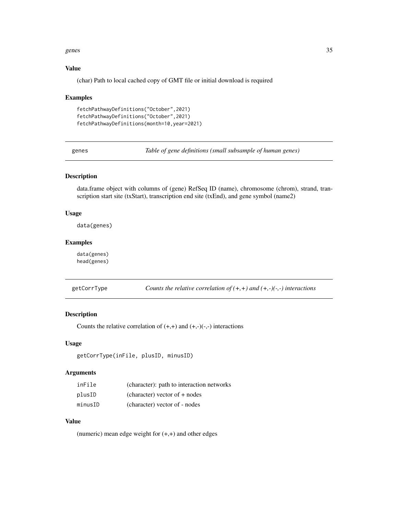#### <span id="page-34-0"></span>genes 35

# Value

(char) Path to local cached copy of GMT file or initial download is required

#### Examples

```
fetchPathwayDefinitions("October",2021)
fetchPathwayDefinitions("October",2021)
fetchPathwayDefinitions(month=10,year=2021)
```
genes *Table of gene definitions (small subsample of human genes)*

#### Description

data.frame object with columns of (gene) RefSeq ID (name), chromosome (chrom), strand, transcription start site (txStart), transcription end site (txEnd), and gene symbol (name2)

#### Usage

data(genes)

# Examples

data(genes) head(genes)

getCorrType *Counts the relative correlation of (+,+) and (+,-)(-,-) interactions*

# Description

Counts the relative correlation of  $(+,+)$  and  $(+,-)(-,-)$  interactions

# Usage

```
getCorrType(inFile, plusID, minusID)
```
#### Arguments

| inFile  | (character): path to interaction networks |
|---------|-------------------------------------------|
| plusID  | $(character) vector of + nodes$           |
| minusID | (character) vector of - nodes             |

# Value

(numeric) mean edge weight for  $(+,+)$  and other edges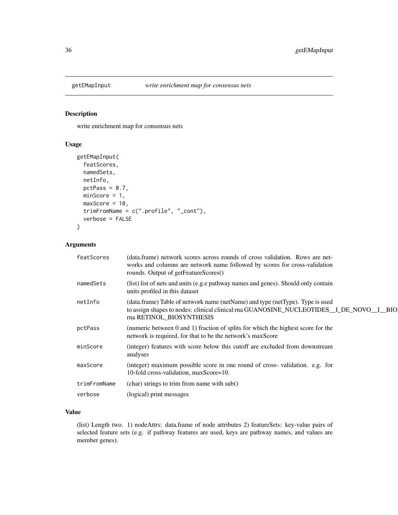<span id="page-35-0"></span>

write enrichment map for consensus nets

# Usage

```
getEMapInput(
  featScores,
 namedSets,
 netInfo,
 pctPass = 0.7,
 minScore = 1,
 maxScore = 10,
  trimFromName = c(".profile", "_cont"),
  verbose = FALSE
)
```
# Arguments

| featScores   | (data.frame) network scores across rounds of cross validation. Rows are net-<br>works and columns are network name followed by scores for cross-validation<br>rounds. Output of getFeatureScores()  |
|--------------|-----------------------------------------------------------------------------------------------------------------------------------------------------------------------------------------------------|
| namedSets    | (list) list of nets and units (e.g.e pathway names and genes). Should only contain<br>units profiled in this dataset                                                                                |
| netInfo      | (data.frame) Table of network name (netName) and type (netType). Type is used<br>to assign shapes to nodes: clinical clinical rna GUANOSINE_NUCLEOTIDES_I_DE_NOVO_I_BIO<br>rna RETINOL BIOSYNTHESIS |
| pctPass      | (numeric between 0 and 1) fraction of splits for which the highest score for the<br>network is required, for that to be the network's maxScore                                                      |
| minScore     | (integer) features with score below this cutoff are excluded from downstream<br>analyses                                                                                                            |
| maxScore     | (integer) maximum possible score in one round of cross-validation. e.g. for<br>10-fold cross-validation, maxScore=10.                                                                               |
| trimFromName | (char) strings to trim from name with sub()                                                                                                                                                         |
| verbose      | (logical) print messages                                                                                                                                                                            |
|              |                                                                                                                                                                                                     |

#### Value

(list) Length two. 1) nodeAttrs: data.frame of node attributes 2) featureSets: key-value pairs of selected feature sets (e.g. if pathway features are used, keys are pathway names, and values are member genes).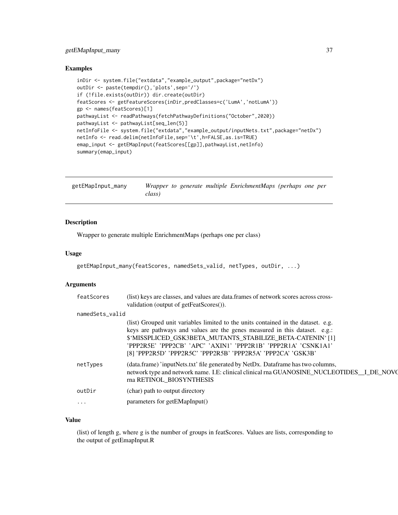# getEMapInput\_many 37

#### Examples

```
inDir <- system.file("extdata","example_output",package="netDx")
outDir <- paste(tempdir(),'plots',sep='/')
if (!file.exists(outDir)) dir.create(outDir)
featScores <- getFeatureScores(inDir,predClasses=c('LumA','notLumA'))
gp <- names(featScores)[1]
pathwayList <- readPathways(fetchPathwayDefinitions("October",2020))
pathwayList <- pathwayList[seq_len(5)]
netInfoFile <- system.file("extdata","example_output/inputNets.txt",package="netDx")
netInfo <- read.delim(netInfoFile,sep='\t',h=FALSE,as.is=TRUE)
emap_input <- getEMapInput(featScores[[gp]],pathwayList,netInfo)
summary(emap_input)
```

| getEMapInput_many |        |  | Wrapper to generate multiple EnrichmentMaps (perhaps one per |  |  |
|-------------------|--------|--|--------------------------------------------------------------|--|--|
|                   | class) |  |                                                              |  |  |

# Description

Wrapper to generate multiple EnrichmentMaps (perhaps one per class)

## Usage

```
getEMapInput_many(featScores, namedSets_valid, netTypes, outDir, ...)
```
#### Arguments

| featScores      | (list) keys are classes, and values are data.frames of network scores across cross-<br>validation (output of getFeatScores()).                                                                                                                                                                 |
|-----------------|------------------------------------------------------------------------------------------------------------------------------------------------------------------------------------------------------------------------------------------------------------------------------------------------|
| namedSets_valid |                                                                                                                                                                                                                                                                                                |
|                 | (list) Grouped unit variables limited to the units contained in the dataset. e.g.<br>keys are pathways and values are the genes measured in this dataset. e.g.:<br>\$'MISSPLICED GSK3BETA MUTANTS STABILIZE BETA-CATENIN'[1]<br>'PPP2R5E' 'PPP2CB' 'APC' 'AXIN1' 'PPP2R1B' 'PPP2R1A' 'CSNK1A1' |
|                 | [8] 'PPP2R5D' 'PPP2R5C' 'PPP2R5B' 'PPP2R5A' 'PPP2CA' 'GSK3B'                                                                                                                                                                                                                                   |
| netTypes        | (data.frame) 'inputNets.txt' file generated by NetDx. Dataframe has two columns,<br>network type and network name. I.E: clinical clinical rna GUANOSINE_NUCLEOTIDES_I_DE_NOVC<br>rna RETINOL BIOSYNTHESIS                                                                                      |
| outDir          | (char) path to output directory                                                                                                                                                                                                                                                                |
|                 | parameters for getEMapInput()                                                                                                                                                                                                                                                                  |
|                 |                                                                                                                                                                                                                                                                                                |

## Value

(list) of length g, where g is the number of groups in featScores. Values are lists, corresponding to the output of getEmapInput.R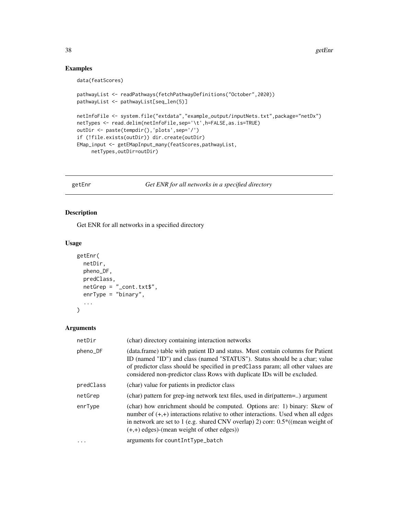# Examples

```
data(featScores)
```

```
pathwayList <- readPathways(fetchPathwayDefinitions("October",2020))
pathwayList <- pathwayList[seq_len(5)]
netInfoFile <- system.file("extdata","example_output/inputNets.txt",package="netDx")
netTypes <- read.delim(netInfoFile,sep='\t',h=FALSE,as.is=TRUE)
outDir <- paste(tempdir(),'plots',sep='/')
if (!file.exists(outDir)) dir.create(outDir)
EMap_input <- getEMapInput_many(featScores,pathwayList,
    netTypes,outDir=outDir)
```
#### getEnr *Get ENR for all networks in a specified directory*

# Description

Get ENR for all networks in a specified directory

## Usage

```
getEnr(
  netDir,
 pheno_DF,
 predClass,
 netGrep = "_cont.txt$",
  enrType = "binary",
  ...
```
 $\mathcal{L}$ 

## Arguments

| netDir    | (char) directory containing interaction networks                                                                                                                                                                                                                                                                             |
|-----------|------------------------------------------------------------------------------------------------------------------------------------------------------------------------------------------------------------------------------------------------------------------------------------------------------------------------------|
| pheno_DF  | (data.frame) table with patient ID and status. Must contain columns for Patient<br>ID (named "ID") and class (named "STATUS"). Status should be a char; value<br>of predictor class should be specified in predClass param; all other values are<br>considered non-predictor class Rows with duplicate IDs will be excluded. |
| predClass | (char) value for patients in predictor class                                                                                                                                                                                                                                                                                 |
| netGrep   | (char) pattern for grep-ing network text files, used in dir(pattern=) argument                                                                                                                                                                                                                                               |
| enrType   | (char) how enrichment should be computed. Options are: 1) binary: Skew of<br>number of $(+,+)$ interactions relative to other interactions. Used when all edges<br>in network are set to 1 (e.g. shared CNV overlap) 2) corr: $0.5^*$ ((mean weight of<br>$(+,+)$ edges)-(mean weight of other edges))                       |
| $\ddots$  | arguments for countIntType_batch                                                                                                                                                                                                                                                                                             |
|           |                                                                                                                                                                                                                                                                                                                              |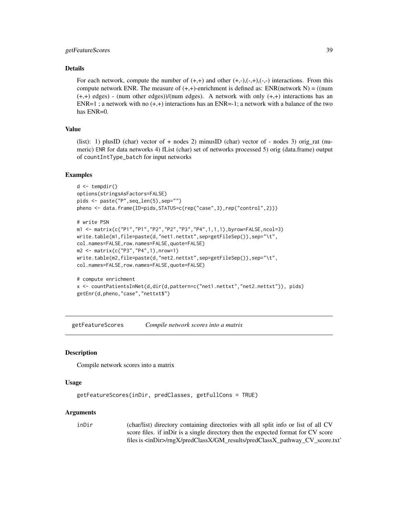# getFeatureScores 39

#### Details

For each network, compute the number of  $(+,+)$  and other  $(+,+),(-,+),(-,-)$  interactions. From this compute network ENR. The measure of  $(+,+)$ -enrichment is defined as: ENR(network N) = ((num  $(+,+)$  edges) - (num other edges))/(num edges). A network with only  $(+,+)$  interactions has an  $ENR=1$ ; a network with no  $(+,+)$  interactions has an  $ENR=1$ ; a network with a balance of the two has ENR=0.

# Value

(list): 1) plusID (char) vector of + nodes 2) minusID (char) vector of - nodes 3) orig\_rat (numeric) ENR for data networks 4) fList (char) set of networks processed 5) orig (data.frame) output of countIntType\_batch for input networks

#### Examples

```
d \leftarrow tempdir()options(stringsAsFactors=FALSE)
pids <- paste("P",seq_len(5),sep="")
pheno <- data.frame(ID=pids,STATUS=c(rep("case",3),rep("control",2)))
# write PSN
m1 <- matrix(c("P1","P1","P2","P2","P3","P4",1,1,1),byrow=FALSE,ncol=3)
write.table(m1,file=paste(d,"net1.nettxt",sep=getFileSep()),sep="\t",
col.names=FALSE,row.names=FALSE,quote=FALSE)
m2 <- matrix(c("P3","P4",1),nrow=1)
write.table(m2,file=paste(d,"net2.nettxt",sep=getFileSep()),sep="\t",
col.names=FALSE,row.names=FALSE,quote=FALSE)
# compute enrichment
x <- countPatientsInNet(d,dir(d,pattern=c("net1.nettxt","net2.nettxt")), pids)
getEnr(d,pheno,"case","nettxt$")
```
getFeatureScores *Compile network scores into a matrix*

#### Description

Compile network scores into a matrix

#### Usage

```
getFeatureScores(inDir, predClasses, getFullCons = TRUE)
```
#### Arguments

inDir (char/list) directory containing directories with all split info or list of all CV score files. if inDir is a single directory then the expected format for CV score files is <inDir>/rngX/predClassX/GM\_results/predClassX\_pathway\_CV\_score.txt'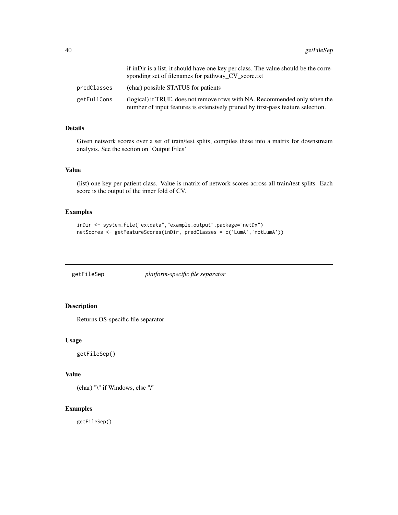|             | if in Dir is a list, it should have one key per class. The value should be the corre-<br>sponding set of filenames for pathway_CV_score.txt                   |
|-------------|---------------------------------------------------------------------------------------------------------------------------------------------------------------|
| predClasses | (char) possible STATUS for patients                                                                                                                           |
| getFullCons | (logical) if TRUE, does not remove rows with NA. Recommended only when the<br>number of input features is extensively pruned by first-pass feature selection. |

## Details

Given network scores over a set of train/test splits, compiles these into a matrix for downstream analysis. See the section on 'Output Files'

## Value

(list) one key per patient class. Value is matrix of network scores across all train/test splits. Each score is the output of the inner fold of CV.

# Examples

```
inDir <- system.file("extdata","example_output",package="netDx")
netScores <- getFeatureScores(inDir, predClasses = c('LumA','notLumA'))
```
getFileSep *platform-specific file separator*

# Description

Returns OS-specific file separator

# Usage

getFileSep()

## Value

(char) "\" if Windows, else "/"

## Examples

getFileSep()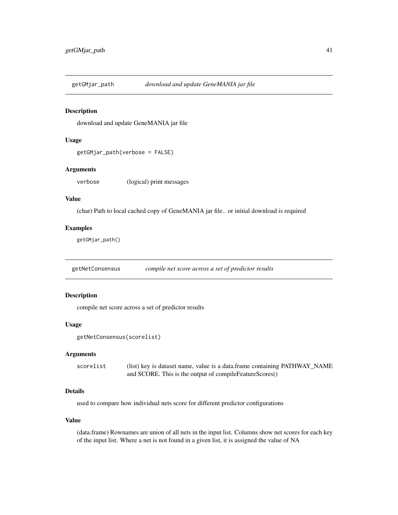download and update GeneMANIA jar file

#### Usage

```
getGMjar_path(verbose = FALSE)
```
## Arguments

verbose (logical) print messages

#### Value

(char) Path to local cached copy of GeneMANIA jar file.. or initial download is required

#### Examples

getGMjar\_path()

getNetConsensus *compile net score across a set of predictor results*

## Description

compile net score across a set of predictor results

#### Usage

```
getNetConsensus(scorelist)
```
## Arguments

scorelist (list) key is dataset name, value is a data.frame containing PATHWAY\_NAME and SCORE. This is the output of compileFeatureScores()

# Details

used to compare how individual nets score for different predictor configurations

#### Value

(data.frame) Rownames are union of all nets in the input list. Columns show net scores for each key of the input list. Where a net is not found in a given list, it is assigned the value of NA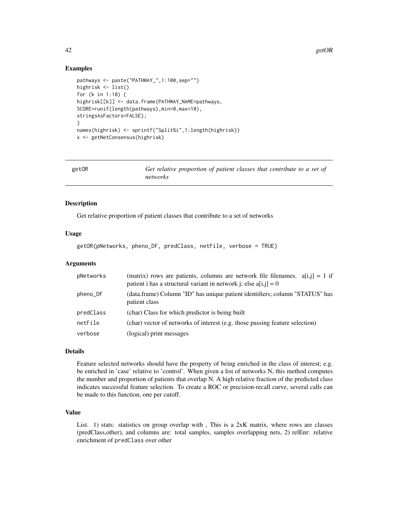42 getOR

## Examples

```
pathways <- paste("PATHWAY_",1:100,sep="")
highrisk <- list()
for (k in 1:10) {
highrisk[[k]] <- data.frame(PATHWAY_NAME=pathways,
SCORE=runif(length(pathways),min=0,max=10),
stringsAsFactors=FALSE);
}
names(highrisk) <- sprintf("Split%i",1:length(highrisk))
x <- getNetConsensus(highrisk)
```

| getOR | Get relative proportion of patient classes that contribute to a set of<br>networks |
|-------|------------------------------------------------------------------------------------|
|       |                                                                                    |

# Description

Get relative proportion of patient classes that contribute to a set of networks

## Usage

getOR(pNetworks, pheno\_DF, predClass, netFile, verbose = TRUE)

## Arguments

| pNetworks | (matrix) rows are patients, columns are network file filenames. $a[i,j] = 1$ if<br>patient i has a structural variant in network j; else $a[i,j] = 0$ |
|-----------|-------------------------------------------------------------------------------------------------------------------------------------------------------|
| pheno_DF  | (data.frame) Column "ID" has unique patient identifiers; column "STATUS" has<br>patient class                                                         |
| predClass | (char) Class for which predictor is being built                                                                                                       |
| netFile   | (char) vector of networks of interest (e.g. those passing feature selection)                                                                          |
| verbose   | (logical) print messages                                                                                                                              |

#### Details

Feature selected networks should have the property of being enriched in the class of interest; e.g. be enriched in 'case' relative to 'control'. When given a list of networks N, this method computes the number and proportion of patients that overlap N. A high relative fraction of the predicted class indicates successful feature selection. To create a ROC or precision-recall curve, several calls can be made to this function, one per cutoff.

## Value

List. 1) stats: statistics on group overlap with, This is a 2xK matrix, where rows are classes (predClass,other), and columns are: total samples, samples overlapping nets, 2) relEnr: relative enrichment of predClass over other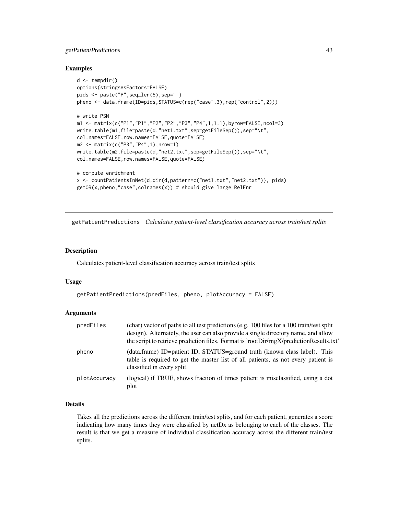# getPatientPredictions 43

## Examples

```
d \leftarrow tempdir()options(stringsAsFactors=FALSE)
pids <- paste("P",seq_len(5),sep="")
pheno <- data.frame(ID=pids,STATUS=c(rep("case",3),rep("control",2)))
# write PSN
m1 <- matrix(c("P1","P1","P2","P2","P3","P4",1,1,1),byrow=FALSE,ncol=3)
write.table(m1,file=paste(d,"net1.txt",sep=getFileSep()),sep="\t",
col.names=FALSE,row.names=FALSE,quote=FALSE)
m2 <- matrix(c("P3","P4",1),nrow=1)
write.table(m2,file=paste(d,"net2.txt",sep=getFileSep()),sep="\t",
col.names=FALSE,row.names=FALSE,quote=FALSE)
# compute enrichment
x <- countPatientsInNet(d,dir(d,pattern=c("net1.txt","net2.txt")), pids)
```
getOR(x,pheno,"case",colnames(x)) # should give large RelEnr

getPatientPredictions *Calculates patient-level classification accuracy across train/test splits*

## Description

Calculates patient-level classification accuracy across train/test splits

#### Usage

```
getPatientPredictions(predFiles, pheno, plotAccuracy = FALSE)
```
#### Arguments

| predFiles    | (char) vector of paths to all test predictions (e.g. 100 files for a 100 train/test split<br>design). Alternately, the user can also provide a single directory name, and allow<br>the script to retrieve prediction files. Format is 'rootDir/rngX/predictionResults.txt' |
|--------------|----------------------------------------------------------------------------------------------------------------------------------------------------------------------------------------------------------------------------------------------------------------------------|
| pheno        | (data.frame) ID=patient ID, STATUS=ground truth (known class label). This<br>table is required to get the master list of all patients, as not every patient is<br>classified in every split.                                                                               |
| plotAccuracy | (logical) if TRUE, shows fraction of times patient is misclassified, using a dot<br>plot                                                                                                                                                                                   |

## Details

Takes all the predictions across the different train/test splits, and for each patient, generates a score indicating how many times they were classified by netDx as belonging to each of the classes. The result is that we get a measure of individual classification accuracy across the different train/test splits.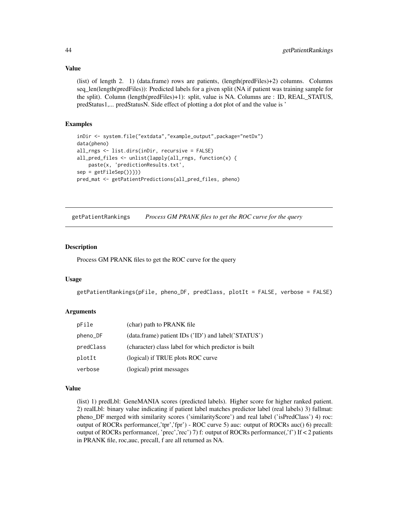#### Value

(list) of length 2. 1) (data.frame) rows are patients, (length(predFiles)+2) columns. Columns seq\_len(length(predFiles)): Predicted labels for a given split (NA if patient was training sample for the split). Column (length(predFiles)+1): split, value is NA. Columns are : ID, REAL\_STATUS, predStatus1,... predStatusN. Side effect of plotting a dot plot of and the value is '

## Examples

```
inDir <- system.file("extdata","example_output",package="netDx")
data(pheno)
all_rngs <- list.dirs(inDir, recursive = FALSE)
all_pred_files <- unlist(lapply(all_rngs, function(x) {
   paste(x, 'predictionResults.txt',
sep = getFileSep())}))
pred_mat <- getPatientPredictions(all_pred_files, pheno)
```
getPatientRankings *Process GM PRANK files to get the ROC curve for the query*

## Description

Process GM PRANK files to get the ROC curve for the query

#### Usage

```
getPatientRankings(pFile, pheno_DF, predClass, plotIt = FALSE, verbose = FALSE)
```
## Arguments

| pFile     | (char) path to PRANK file                            |
|-----------|------------------------------------------------------|
| pheno_DF  | (data.frame) patient IDs ('ID') and label('STATUS')  |
| predClass | (character) class label for which predictor is built |
| plotIt    | (logical) if TRUE plots ROC curve                    |
| verbose   | (logical) print messages                             |

## Value

(list) 1) predLbl: GeneMANIA scores (predicted labels). Higher score for higher ranked patient. 2) realLbl: binary value indicating if patient label matches predictor label (real labels) 3) fullmat: pheno\_DF merged with similarity scores ('similarityScore') and real label ('isPredClass') 4) roc: output of ROCRs performance(,'tpr','fpr') - ROC curve 5) auc: output of ROCRs auc() 6) precall: output of ROCRs performance(, 'prec','rec') 7) f: output of ROCRs performance(,'f') If < 2 patients in PRANK file, roc,auc, precall, f are all returned as NA.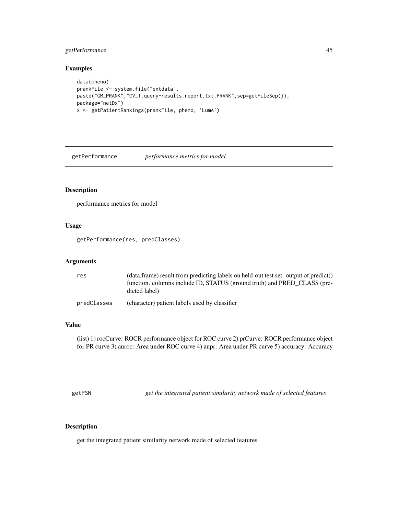# getPerformance 45

## Examples

```
data(pheno)
prankFile <- system.file("extdata",
paste("GM_PRANK","CV_1.query-results.report.txt.PRANK",sep=getFileSep()),
package="netDx")
x <- getPatientRankings(prankFile, pheno, 'LumA')
```
getPerformance *performance metrics for model*

# Description

performance metrics for model

## Usage

getPerformance(res, predClasses)

## Arguments

| res         | (data.frame) result from predicting labels on held-out test set, output of predict()<br>function. columns include ID, STATUS (ground truth) and PRED CLASS (pre- |
|-------------|------------------------------------------------------------------------------------------------------------------------------------------------------------------|
|             | dicted label)                                                                                                                                                    |
| predClasses | (character) patient labels used by classifier                                                                                                                    |

## Value

(list) 1) rocCurve: ROCR performance object for ROC curve 2) prCurve: ROCR performance object for PR curve 3) auroc: Area under ROC curve 4) aupr: Area under PR curve 5) accuracy: Accuracy

getPSN *get the integrated patient similarity network made of selected features*

## Description

get the integrated patient similarity network made of selected features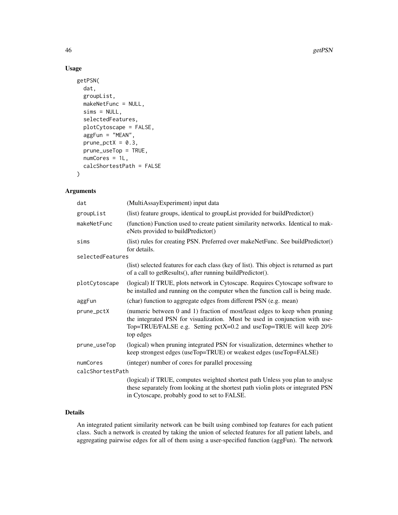## Usage

```
getPSN(
 dat,
  groupList,
 makeNetFunc = NULL,
  sims = NULL,
  selectedFeatures,
  plotCytoscape = FALSE,
  aggFun = "MEAN",
 prune\_petX = 0.3,
 prune_useTop = TRUE,
 numCores = 1L,
  calcShortestPath = FALSE
)
```
# Arguments

| dat              | (MultiAssayExperiment) input data                                                                                                                                                                                                                |
|------------------|--------------------------------------------------------------------------------------------------------------------------------------------------------------------------------------------------------------------------------------------------|
| groupList        | (list) feature groups, identical to groupList provided for buildPredictor()                                                                                                                                                                      |
| makeNetFunc      | (function) Function used to create patient similarity networks. Identical to mak-<br>eNets provided to buildPredictor()                                                                                                                          |
| sims             | (list) rules for creating PSN. Preferred over makeNetFunc. See buildPredictor()<br>for details.                                                                                                                                                  |
| selectedFeatures |                                                                                                                                                                                                                                                  |
|                  | (list) selected features for each class (key of list). This object is returned as part<br>of a call to getResults(), after running buildPredictor().                                                                                             |
| plotCytoscape    | (logical) If TRUE, plots network in Cytoscape. Requires Cytoscape software to<br>be installed and running on the computer when the function call is being made.                                                                                  |
| aggFun           | (char) function to aggregate edges from different PSN (e.g. mean)                                                                                                                                                                                |
| prune_pctX       | (numeric between 0 and 1) fraction of most/least edges to keep when pruning<br>the integrated PSN for visualization. Must be used in conjunction with use-<br>Top=TRUE/FALSE e.g. Setting pctX=0.2 and useTop=TRUE will keep $20\%$<br>top edges |
| prune_useTop     | (logical) when pruning integrated PSN for visualization, determines whether to<br>keep strongest edges (useTop=TRUE) or weakest edges (useTop=FALSE)                                                                                             |
| numCores         | (integer) number of cores for parallel processing                                                                                                                                                                                                |
| calcShortestPath |                                                                                                                                                                                                                                                  |
|                  | (logical) if TRUE, computes weighted shortest path Unless you plan to analyse<br>these separately from looking at the shortest path violin plots or integrated PSN<br>in Cytoscape, probably good to set to FALSE.                               |

## Details

An integrated patient similarity network can be built using combined top features for each patient class. Such a network is created by taking the union of selected features for all patient labels, and aggregating pairwise edges for all of them using a user-specified function (aggFun). The network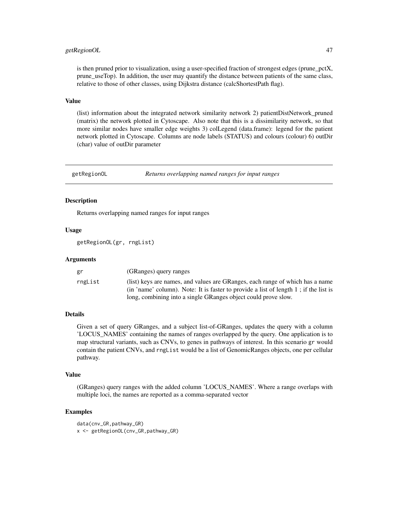# getRegionOL 47

is then pruned prior to visualization, using a user-specified fraction of strongest edges (prune\_pctX, prune\_useTop). In addition, the user may quantify the distance between patients of the same class, relative to those of other classes, using Dijkstra distance (calcShortestPath flag).

#### Value

(list) information about the integrated network similarity network 2) patientDistNetwork\_pruned (matrix) the network plotted in Cytoscape. Also note that this is a dissimilarity network, so that more similar nodes have smaller edge weights 3) colLegend (data.frame): legend for the patient network plotted in Cytoscape. Columns are node labels (STATUS) and colours (colour) 6) outDir (char) value of outDir parameter

getRegionOL *Returns overlapping named ranges for input ranges*

## **Description**

Returns overlapping named ranges for input ranges

## Usage

getRegionOL(gr, rngList)

#### Arguments

| gr      | (GRanges) query ranges                                                               |
|---------|--------------------------------------------------------------------------------------|
| rngList | (list) keys are names, and values are GRanges, each range of which has a name        |
|         | (in 'name' column). Note: It is faster to provide a list of length 1; if the list is |
|         | long, combining into a single GRanges object could prove slow.                       |

# Details

Given a set of query GRanges, and a subject list-of-GRanges, updates the query with a column 'LOCUS\_NAMES' containing the names of ranges overlapped by the query. One application is to map structural variants, such as CNVs, to genes in pathways of interest. In this scenario gr would contain the patient CNVs, and rngList would be a list of GenomicRanges objects, one per cellular pathway.

## Value

(GRanges) query ranges with the added column 'LOCUS\_NAMES'. Where a range overlaps with multiple loci, the names are reported as a comma-separated vector

## Examples

```
data(cnv_GR,pathway_GR)
x <- getRegionOL(cnv_GR,pathway_GR)
```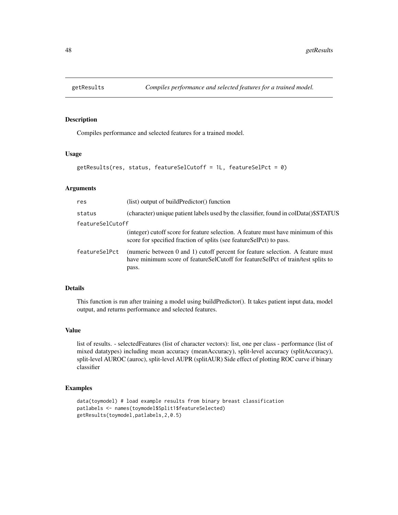Compiles performance and selected features for a trained model.

## Usage

```
getResults(res, status, featureSelCutoff = 1L, featureSelPct = 0)
```
## Arguments

| res              | (list) output of buildPredictor() function                                                                                                                                  |
|------------------|-----------------------------------------------------------------------------------------------------------------------------------------------------------------------------|
| status           | (character) unique patient labels used by the classifier, found in colData()\$STATUS                                                                                        |
| featureSelCutoff |                                                                                                                                                                             |
|                  | (integer) cutoff score for feature selection. A feature must have minimum of this<br>score for specified fraction of splits (see featureSelPct) to pass.                    |
| featureSelPct    | (numeric between 0 and 1) cutoff percent for feature selection. A feature must<br>have minimum score of featureSelCutoff for featureSelPct of train/test splits to<br>pass. |

## Details

This function is run after training a model using buildPredictor(). It takes patient input data, model output, and returns performance and selected features.

#### Value

list of results. - selectedFeatures (list of character vectors): list, one per class - performance (list of mixed datatypes) including mean accuracy (meanAccuracy), split-level accuracy (splitAccuracy), split-level AUROC (auroc), split-level AUPR (splitAUR) Side effect of plotting ROC curve if binary classifier

#### Examples

```
data(toymodel) # load example results from binary breast classification
patlabels <- names(toymodel$Split1$featureSelected)
getResults(toymodel,patlabels,2,0.5)
```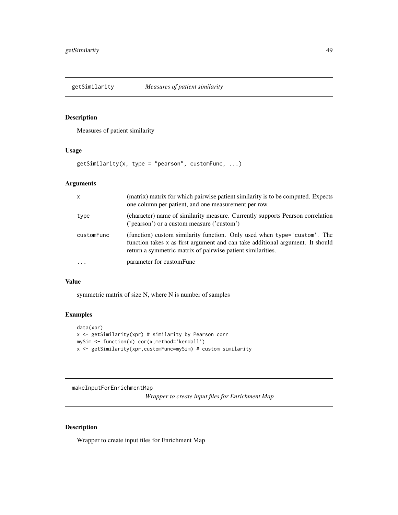Measures of patient similarity

## Usage

 $getSimilarly(x, type = "pearson", customFunc, ...)$ 

## Arguments

| $\mathsf{x}$ | (matrix) matrix for which pairwise patient similarity is to be computed. Expects<br>one column per patient, and one measurement per row.                                                                                  |
|--------------|---------------------------------------------------------------------------------------------------------------------------------------------------------------------------------------------------------------------------|
| type         | (character) name of similarity measure. Currently supports Pearson correlation<br>('pearson') or a custom measure ('custom')                                                                                              |
| customFunc   | (function) custom similarity function. Only used when type='custom'. The<br>function takes x as first argument and can take additional argument. It should<br>return a symmetric matrix of pairwise patient similarities. |
| $\cdots$     | parameter for customFunc                                                                                                                                                                                                  |

#### Value

symmetric matrix of size N, where N is number of samples

# Examples

```
data(xpr)
x <- getSimilarity(xpr) # similarity by Pearson corr
mySim <- function(x) cor(x,method='kendall')
x <- getSimilarity(xpr,customFunc=mySim) # custom similarity
```
makeInputForEnrichmentMap

*Wrapper to create input files for Enrichment Map*

## Description

Wrapper to create input files for Enrichment Map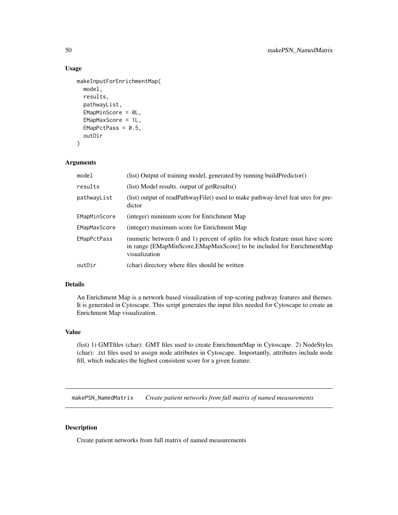## Usage

```
makeInputForEnrichmentMap(
  model,
  results,
  pathwayList,
  EMapMinScore = 0L,
  EMapMaxScore = 1L,
  EMapPctPass = 0.5,
  outDir
\mathcal{L}
```
## Arguments

| model              | (list) Output of training model, generated by running buildPredictor()                                                                                                  |
|--------------------|-------------------------------------------------------------------------------------------------------------------------------------------------------------------------|
| results            | (list) Model results. output of getResults()                                                                                                                            |
| pathwayList        | (list) output of readPathwayFile() used to make pathway-level feat ures for pre-<br>dictor                                                                              |
| EMapMinScore       | (integer) minimum score for Enrichment Map                                                                                                                              |
| EMapMaxScore       | (integer) maximum score for Enrichment Map                                                                                                                              |
| <b>EMapPctPass</b> | (numeric between 0 and 1) percent of splits for which feature must have score<br>in range [EMapMinScore,EMapMaxScore] to be included for EnrichmentMap<br>visualization |
| outDir             | (char) directory where files should be written                                                                                                                          |

## Details

An Enrichment Map is a network-based visualization of top-scoring pathway features and themes. It is generated in Cytoscape. This script generates the input files needed for Cytoscape to create an Enrichment Map visualization.

## Value

(list) 1) GMTfiles (char): GMT files used to create EnrichmentMap in Cytoscape. 2) NodeStyles (char): .txt files used to assign node attributes in Cytoscape. Importantly, attributes include node fill, which indicates the highest consistent score for a given feature.

makePSN\_NamedMatrix *Create patient networks from full matrix of named measurements*

## Description

Create patient networks from full matrix of named measurements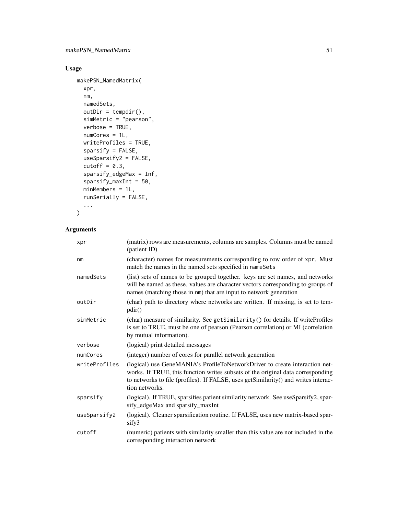# Usage

```
makePSN_NamedMatrix(
 xpr,
 nm,
 namedSets,
 outDir = tempdir(),simMetric = "pearson",
 verbose = TRUE,
 numCores = 1L,
 writeProfiles = TRUE,
  sparsify = FALSE,
 useSparsify2 = FALSE,
 cutoff = 0.3,
  sparsify_edgeMax = Inf,
  sparsify_maxInt = 50,
 minMembers = 1L,
 runSerially = FALSE,
  ...
```

```
)
```
# Arguments

| xpr            | (matrix) rows are measurements, columns are samples. Columns must be named<br>(patient ID)                                                                                                                                                                             |
|----------------|------------------------------------------------------------------------------------------------------------------------------------------------------------------------------------------------------------------------------------------------------------------------|
| n <sub>m</sub> | (character) names for measurements corresponding to row order of xpr. Must<br>match the names in the named sets specified in nameSets                                                                                                                                  |
| namedSets      | (list) sets of names to be grouped together. keys are set names, and networks<br>will be named as these. values are character vectors corresponding to groups of<br>names (matching those in nm) that are input to network generation                                  |
| outDir         | (char) path to directory where networks are written. If missing, is set to tem-<br>pdir()                                                                                                                                                                              |
| simMetric      | (char) measure of similarity. See getSimilarity() for details. If writeProfiles<br>is set to TRUE, must be one of pearson (Pearson correlation) or MI (correlation<br>by mutual information).                                                                          |
| verbose        | (logical) print detailed messages                                                                                                                                                                                                                                      |
| numCores       | (integer) number of cores for parallel network generation                                                                                                                                                                                                              |
| writeProfiles  | (logical) use GeneMANIA's ProfileToNetworkDriver to create interaction net-<br>works. If TRUE, this function writes subsets of the original data corresponding<br>to networks to file (profiles). If FALSE, uses getSimilarity() and writes interac-<br>tion networks. |
| sparsify       | (logical). If TRUE, sparsifies patient similarity network. See useSparsify2, spar-<br>sify_edgeMax and sparsify_maxInt                                                                                                                                                 |
| useSparsify2   | (logical). Cleaner sparsification routine. If FALSE, uses new matrix-based spar-<br>sify3                                                                                                                                                                              |
| cutoff         | (numeric) patients with similarity smaller than this value are not included in the<br>corresponding interaction network                                                                                                                                                |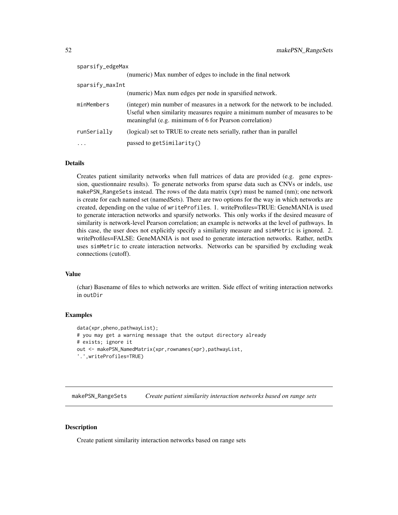| sparsify_edgeMax |                                                                                                                                                                                                                       |
|------------------|-----------------------------------------------------------------------------------------------------------------------------------------------------------------------------------------------------------------------|
|                  | (numeric) Max number of edges to include in the final network                                                                                                                                                         |
| sparsify_maxInt  |                                                                                                                                                                                                                       |
|                  | (numeric) Max num edges per node in sparsified network.                                                                                                                                                               |
| minMembers       | (integer) min number of measures in a network for the network to be included.<br>Useful when similarity measures require a minimum number of measures to be<br>meaningful (e.g. minimum of 6 for Pearson correlation) |
| runSerially      | (logical) set to TRUE to create nets serially, rather than in parallel                                                                                                                                                |
|                  | passed to getSimilarity()                                                                                                                                                                                             |

#### Details

Creates patient similarity networks when full matrices of data are provided (e.g. gene expression, questionnaire results). To generate networks from sparse data such as CNVs or indels, use makePSN\_RangeSets instead. The rows of the data matrix (xpr) must be named (nm); one network is create for each named set (namedSets). There are two options for the way in which networks are created, depending on the value of writeProfiles. 1. writeProfiles=TRUE: GeneMANIA is used to generate interaction networks and sparsify networks. This only works if the desired measure of similarity is network-level Pearson correlation; an example is networks at the level of pathways. In this case, the user does not explicitly specify a similarity measure and simMetric is ignored. 2. writeProfiles=FALSE: GeneMANIA is not used to generate interaction networks. Rather, netDx uses simMetric to create interaction networks. Networks can be sparsified by excluding weak connections (cutoff).

#### Value

(char) Basename of files to which networks are written. Side effect of writing interaction networks in outDir

## Examples

```
data(xpr,pheno,pathwayList);
# you may get a warning message that the output directory already
# exists; ignore it
out <- makePSN_NamedMatrix(xpr,rownames(xpr),pathwayList,
'.',writeProfiles=TRUE)
```
makePSN\_RangeSets *Create patient similarity interaction networks based on range sets*

#### Description

Create patient similarity interaction networks based on range sets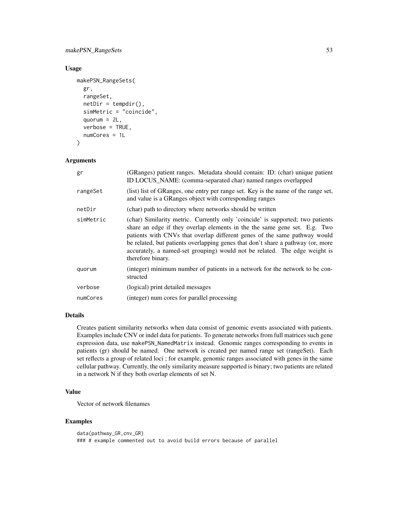# makePSN\_RangeSets 53

## Usage

```
makePSN_RangeSets(
  gr,
  rangeSet,
  netDir = tempdir(),simMetric = "coincide",
  quorum = 2L,
  verbose = TRUE,
  numCores = 1L
)
```
# Arguments

| gr        | (GRanges) patient ranges. Metadata should contain: ID: (char) unique patient<br>ID LOCUS_NAME: (comma-separated char) named ranges overlapped                                                                                                                                                                                                                                                                                  |
|-----------|--------------------------------------------------------------------------------------------------------------------------------------------------------------------------------------------------------------------------------------------------------------------------------------------------------------------------------------------------------------------------------------------------------------------------------|
| rangeSet  | (list) list of GRanges, one entry per range set. Key is the name of the range set,<br>and value is a GRanges object with corresponding ranges                                                                                                                                                                                                                                                                                  |
| netDir    | (char) path to directory where networks should be written                                                                                                                                                                                                                                                                                                                                                                      |
| simMetric | (char) Similarity metric. Currently only 'coincide' is supported; two patients<br>share an edge if they overlap elements in the the same gene set. E.g. Two<br>patients with CNVs that overlap different genes of the same pathway would<br>be related, but patients overlapping genes that don't share a pathway (or, more<br>accurately, a named-set grouping) would not be related. The edge weight is<br>therefore binary. |
| quorum    | (integer) minimum number of patients in a network for the network to be con-<br>structed                                                                                                                                                                                                                                                                                                                                       |
| verbose   | (logical) print detailed messages                                                                                                                                                                                                                                                                                                                                                                                              |
| numCores  | (integer) num cores for parallel processing                                                                                                                                                                                                                                                                                                                                                                                    |
|           |                                                                                                                                                                                                                                                                                                                                                                                                                                |

# Details

Creates patient similarity networks when data consist of genomic events associated with patients. Examples include CNV or indel data for patients. To generate networks from full matrices such gene expression data, use makePSN\_NamedMatrix instead. Genomic ranges corresponding to events in patients (gr) should be named. One network is created per named range set (rangeSet). Each set reflects a group of related loci ; for example, genomic ranges associated with genes in the same cellular pathway. Currently, the only similarity measure supported is binary; two patients are related in a network N if they both overlap elements of set N.

# Value

Vector of network filenames

# Examples

```
data(pathway_GR,cnv_GR)
### # example commented out to avoid build errors because of parallel
```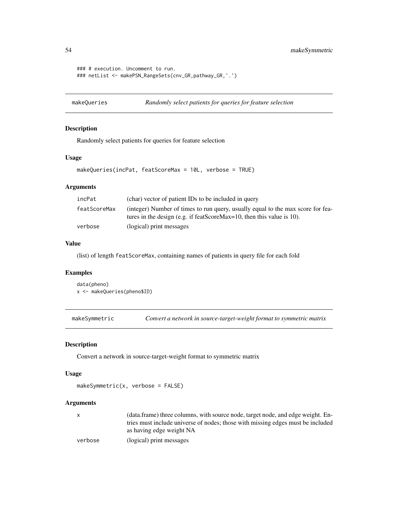54 makeSymmetric

```
### # execution. Uncomment to run.
### netList <- makePSN_RangeSets(cnv_GR,pathway_GR,'.')
```
makeQueries *Randomly select patients for queries for feature selection*

# Description

Randomly select patients for queries for feature selection

# Usage

```
makeQueries(incPat, featScoreMax = 10L, verbose = TRUE)
```
# Arguments

| incPat       | (char) vector of patient IDs to be included in query                                                                                                     |
|--------------|----------------------------------------------------------------------------------------------------------------------------------------------------------|
| featScoreMax | (integer) Number of times to run query, usually equal to the max score for fea-<br>tures in the design (e.g. if featScoreMax=10, then this value is 10). |
| verbose      | (logical) print messages                                                                                                                                 |

## Value

(list) of length featScoreMax, containing names of patients in query file for each fold

# Examples

```
data(pheno)
x <- makeQueries(pheno$ID)
```
makeSymmetric *Convert a network in source-target-weight format to symmetric matrix*

## Description

Convert a network in source-target-weight format to symmetric matrix

## Usage

makeSymmetric(x, verbose = FALSE)

# Arguments

|         | (data.frame) three columns, with source node, target node, and edge weight. En- |
|---------|---------------------------------------------------------------------------------|
|         | tries must include universe of nodes; those with missing edges must be included |
|         | as having edge weight NA                                                        |
| verbose | (logical) print messages                                                        |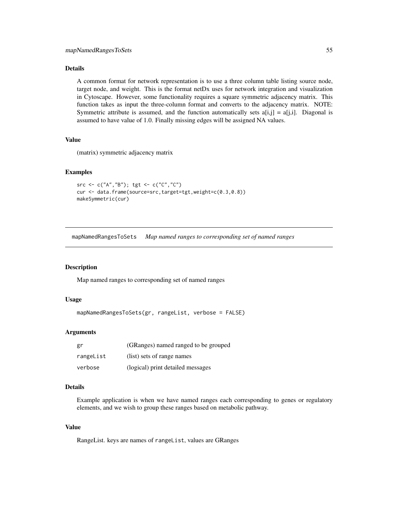## Details

A common format for network representation is to use a three column table listing source node, target node, and weight. This is the format netDx uses for network integration and visualization in Cytoscape. However, some functionality requires a square symmetric adjacency matrix. This function takes as input the three-column format and converts to the adjacency matrix. NOTE: Symmetric attribute is assumed, and the function automatically sets  $a[i,j] = a[j,i]$ . Diagonal is assumed to have value of 1.0. Finally missing edges will be assigned NA values.

# Value

(matrix) symmetric adjacency matrix

## Examples

```
src <- c("A","B"); tgt <- c("C","C")
cur <- data.frame(source=src,target=tgt,weight=c(0.3,0.8))
makeSymmetric(cur)
```
mapNamedRangesToSets *Map named ranges to corresponding set of named ranges*

#### **Description**

Map named ranges to corresponding set of named ranges

#### Usage

```
mapNamedRangesToSets(gr, rangeList, verbose = FALSE)
```
## Arguments

| gr        | (GRanges) named ranged to be grouped |
|-----------|--------------------------------------|
| rangeList | (list) sets of range names           |
| verbose   | (logical) print detailed messages    |

## Details

Example application is when we have named ranges each corresponding to genes or regulatory elements, and we wish to group these ranges based on metabolic pathway.

#### Value

RangeList. keys are names of rangeList, values are GRanges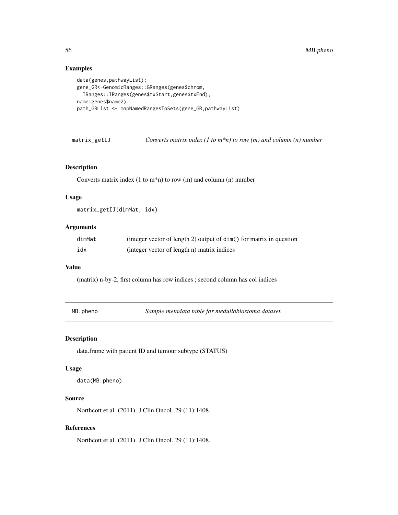## Examples

```
data(genes,pathwayList);
gene_GR<-GenomicRanges::GRanges(genes$chrom,
  IRanges::IRanges(genes$txStart,genes$txEnd),
name=genes$name2)
path_GRList <- mapNamedRangesToSets(gene_GR,pathwayList)
```
matrix\_getIJ *Converts matrix index (1 to m\*n) to row (m) and column (n) number*

# Description

Converts matrix index  $(1 \text{ to } m^*n)$  to row  $(m)$  and column  $(n)$  number

#### Usage

```
matrix_getIJ(dimMat, idx)
```
# Arguments

| dimMat | (integer vector of length 2) output of dim() for matrix in question |
|--------|---------------------------------------------------------------------|
| idx    | (integer vector of length n) matrix indices                         |

#### Value

(matrix) n-by-2, first column has row indices ; second column has col indices

MB.pheno *Sample metadata table for medulloblastoma dataset.*

## Description

data.frame with patient ID and tumour subtype (STATUS)

#### Usage

data(MB.pheno)

# Source

Northcott et al. (2011). J Clin Oncol. 29 (11):1408.

## References

Northcott et al. (2011). J Clin Oncol. 29 (11):1408.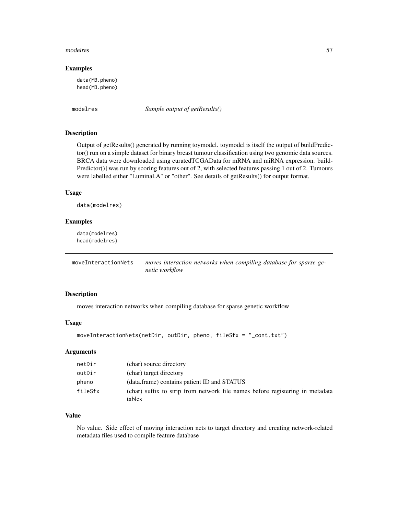#### modelres 57

#### Examples

data(MB.pheno) head(MB.pheno)

modelres *Sample output of getResults()*

## Description

Output of getResults() generated by running toymodel. toymodel is itself the output of buildPredictor() run on a simple dataset for binary breast tumour classification using two genomic data sources. BRCA data were downloaded using curatedTCGAData for mRNA and miRNA expression. build-Predictor()] was run by scoring features out of 2, with selected features passing 1 out of 2. Tumours were labelled either "Luminal.A" or "other". See details of getResults() for output format.

## Usage

data(modelres)

# Examples

data(modelres) head(modelres)

moveInteractionNets *moves interaction networks when compiling database for sparse genetic workflow*

## Description

moves interaction networks when compiling database for sparse genetic workflow

#### Usage

```
moveInteractionNets(netDir, outDir, pheno, fileSfx = "_cont.txt")
```
#### Arguments

| netDir  | (char) source directory                                                                 |
|---------|-----------------------------------------------------------------------------------------|
| outDir  | (char) target directory                                                                 |
| pheno   | (data.frame) contains patient ID and STATUS                                             |
| fileSfx | (char) suffix to strip from network file names before registering in metadata<br>tables |

## Value

No value. Side effect of moving interaction nets to target directory and creating network-related metadata files used to compile feature database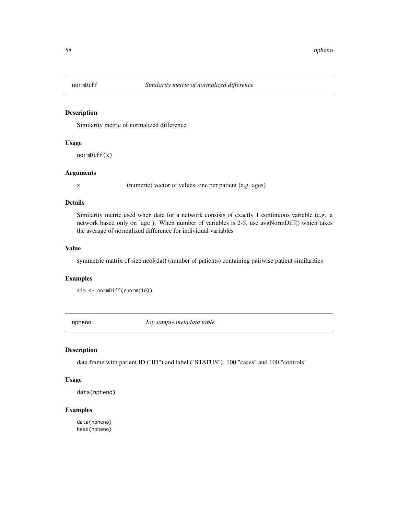Similarity metric of normalized difference

## Usage

normDiff(x)

#### Arguments

x (numeric) vector of values, one per patient (e.g. ages)

#### Details

Similarity metric used when data for a network consists of exactly 1 continuous variable (e.g. a network based only on 'age'). When number of variables is 2-5, use avgNormDiff() which takes the average of normalized difference for individual variables

#### Value

symmetric matrix of size ncol(dat) (number of patients) containing pairwise patient similarities

## Examples

sim <- normDiff(rnorm(10))

npheno *Toy sample metadata table*

## Description

data.frame with patient ID ("ID") and label ("STATUS"). 100 "cases" and 100 "controls"

## Usage

data(npheno)

## Examples

data(npheno) head(npheno)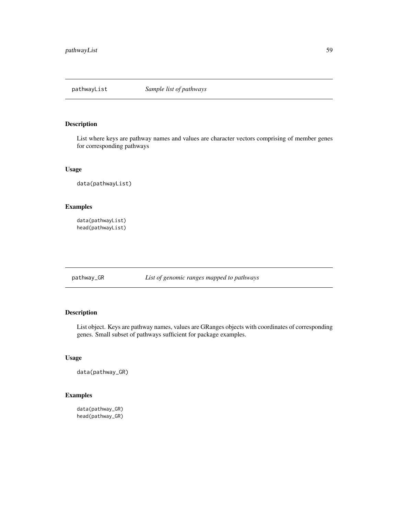List where keys are pathway names and values are character vectors comprising of member genes for corresponding pathways

## Usage

data(pathwayList)

# Examples

```
data(pathwayList)
head(pathwayList)
```
pathway\_GR *List of genomic ranges mapped to pathways*

# Description

List object. Keys are pathway names, values are GRanges objects with coordinates of corresponding genes. Small subset of pathways sufficient for package examples.

# Usage

```
data(pathway_GR)
```
# Examples

data(pathway\_GR) head(pathway\_GR)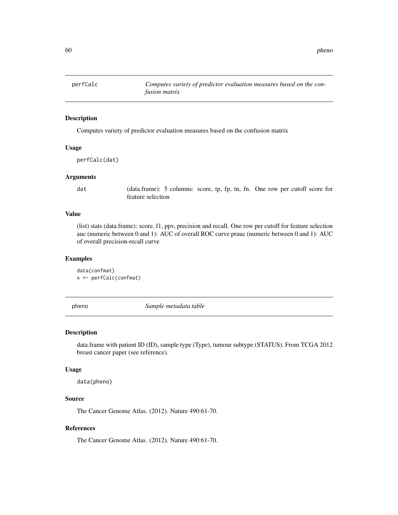Computes variety of predictor evaluation measures based on the confusion matrix

#### Usage

perfCalc(dat)

## Arguments

dat (data.frame): 5 columns: score, tp, fp, tn, fn. One row per cutoff score for feature selection

## Value

(list) stats (data.frame): score, f1, ppv, precision and recall. One row per cutoff for feature selection auc (numeric between 0 and 1): AUC of overall ROC curve prauc (numeric between 0 and 1): AUC of overall precision-recall curve

#### Examples

```
data(confmat)
x <- perfCalc(confmat)
```
pheno *Sample metadata table*

# Description

data.frame with patient ID (ID), sample type (Type), tumour subtype (STATUS). From TCGA 2012 breast cancer paper (see reference).

#### Usage

data(pheno)

# Source

The Cancer Genome Atlas. (2012). Nature 490:61-70.

## References

The Cancer Genome Atlas. (2012). Nature 490:61-70.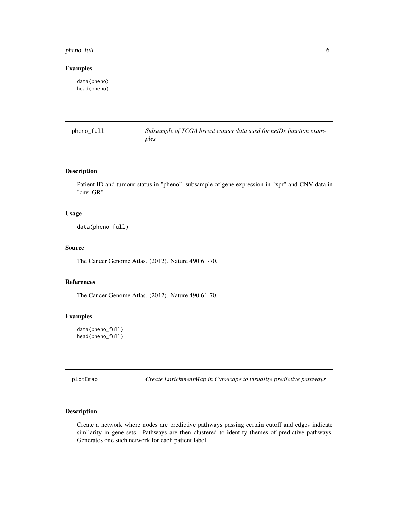# pheno\_full 61

## Examples

data(pheno) head(pheno)

pheno\_full *Subsample of TCGA breast cancer data used for netDx function examples*

# Description

Patient ID and tumour status in "pheno", subsample of gene expression in "xpr" and CNV data in "cnv\_GR"

#### Usage

data(pheno\_full)

# Source

The Cancer Genome Atlas. (2012). Nature 490:61-70.

## References

The Cancer Genome Atlas. (2012). Nature 490:61-70.

# Examples

data(pheno\_full) head(pheno\_full)

plotEmap *Create EnrichmentMap in Cytoscape to visualize predictive pathways*

## Description

Create a network where nodes are predictive pathways passing certain cutoff and edges indicate similarity in gene-sets. Pathways are then clustered to identify themes of predictive pathways. Generates one such network for each patient label.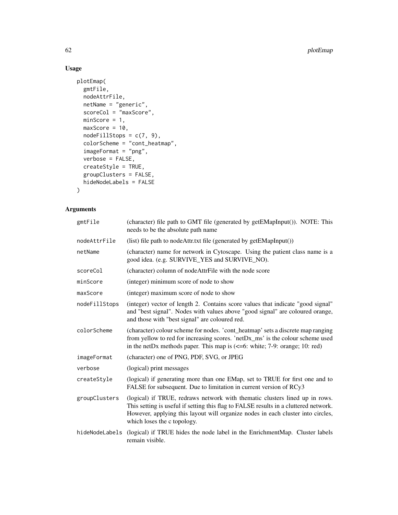# Usage

```
plotEmap(
  gmtFile,
  nodeAttrFile,
  netName = "generic",
  scoreCol = "maxScore",
  minScore = 1,maxScore = 10,
  nodeFillSteps = c(7, 9),colorScheme = "cont_heatmap",
  imageFormat = "png",
  verbose = FALSE,
  createStyle = TRUE,
  groupClusters = FALSE,
  hideNodeLabels = FALSE
\mathcal{L}
```
# Arguments

| gmtFile        | (character) file path to GMT file (generated by getEMapInput()). NOTE: This<br>needs to be the absolute path name                                                                                                                                                                     |
|----------------|---------------------------------------------------------------------------------------------------------------------------------------------------------------------------------------------------------------------------------------------------------------------------------------|
| nodeAttrFile   | (list) file path to nodeAttr.txt file (generated by getEMapInput())                                                                                                                                                                                                                   |
| netName        | (character) name for network in Cytoscape. Using the patient class name is a<br>good idea. (e.g. SURVIVE_YES and SURVIVE_NO).                                                                                                                                                         |
| scoreCol       | (character) column of nodeAttrFile with the node score                                                                                                                                                                                                                                |
| minScore       | (integer) minimum score of node to show                                                                                                                                                                                                                                               |
| maxScore       | (integer) maximum score of node to show                                                                                                                                                                                                                                               |
| nodeFillStops  | (integer) vector of length 2. Contains score values that indicate "good signal"<br>and "best signal". Nodes with values above "good signal" are coloured orange,<br>and those with "best signal" are coloured red.                                                                    |
| colorScheme    | (character) colour scheme for nodes. 'cont_heatmap' sets a discrete map ranging<br>from yellow to red for increasing scores. 'netDx_ms' is the colour scheme used<br>in the netDx methods paper. This map is $\left(\leq-6$ : white; 7-9: orange; 10: red)                            |
| imageFormat    | (character) one of PNG, PDF, SVG, or JPEG                                                                                                                                                                                                                                             |
| verbose        | (logical) print messages                                                                                                                                                                                                                                                              |
| createStyle    | (logical) if generating more than one EMap, set to TRUE for first one and to<br>FALSE for subsequent. Due to limitation in current version of RCy3                                                                                                                                    |
| groupClusters  | (logical) if TRUE, redraws network with thematic clusters lined up in rows.<br>This setting is useful if setting this flag to FALSE results in a cluttered network.<br>However, applying this layout will organize nodes in each cluster into circles,<br>which loses the c topology. |
| hideNodeLabels | (logical) if TRUE hides the node label in the EnrichmentMap. Cluster labels<br>remain visible.                                                                                                                                                                                        |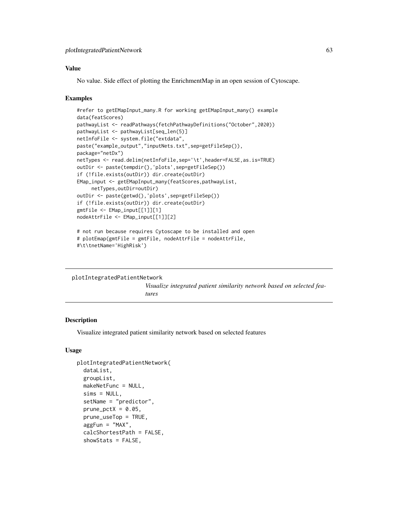## Value

No value. Side effect of plotting the EnrichmentMap in an open session of Cytoscape.

## Examples

```
#refer to getEMapInput_many.R for working getEMapInput_many() example
data(featScores)
pathwayList <- readPathways(fetchPathwayDefinitions("October",2020))
pathwayList <- pathwayList[seq_len(5)]
netInfoFile <- system.file("extdata",
paste("example_output","inputNets.txt",sep=getFileSep()),
package="netDx")
netTypes <- read.delim(netInfoFile,sep='\t',header=FALSE,as.is=TRUE)
outDir <- paste(tempdir(),'plots',sep=getFileSep())
if (!file.exists(outDir)) dir.create(outDir)
EMap_input <- getEMapInput_many(featScores,pathwayList,
     netTypes,outDir=outDir)
outDir <- paste(getwd(),'plots',sep=getFileSep())
if (!file.exists(outDir)) dir.create(outDir)
gmtFile <- EMap_input[[1]][1]
nodeAttrFile <- EMap_input[[1]][2]
# not run because requires Cytoscape to be installed and open
# plotEmap(gmtFile = gmtFile, nodeAttrFile = nodeAttrFile,
```

```
#\t\tnetName='HighRisk')
```

```
plotIntegratedPatientNetwork
```
*Visualize integrated patient similarity network based on selected features*

## **Description**

Visualize integrated patient similarity network based on selected features

#### Usage

```
plotIntegratedPatientNetwork(
  dataList,
  groupList,
  makeNetFunc = NULL,
  sims = NULL,
  setName = "predictor",
  prune\_petX = 0.05,
  prune_useTop = TRUE,
  aggFun = "MAX",
  calcShortestPath = FALSE,
  showStats = FALSE,
```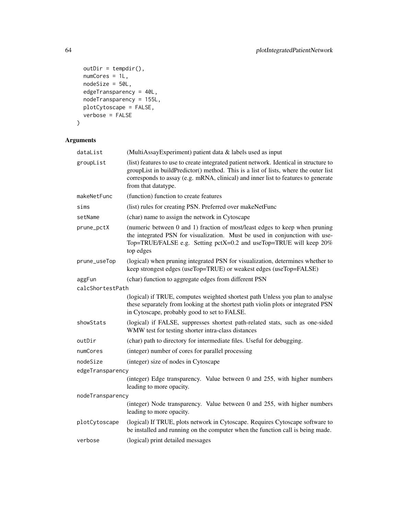```
outDir = tempdir(),numCores = 1L,
 nodeSize = 50L,
 edgeTransparency = 40L,
 nodeTransparency = 155L,
 plotCytoscape = FALSE,
 verbose = FALSE
\mathcal{L}
```
# Arguments

| dataList         | (MultiAssayExperiment) patient data & labels used as input                                                                                                                                                                                                                                |
|------------------|-------------------------------------------------------------------------------------------------------------------------------------------------------------------------------------------------------------------------------------------------------------------------------------------|
| groupList        | (list) features to use to create integrated patient network. Identical in structure to<br>groupList in buildPredictor() method. This is a list of lists, where the outer list<br>corresponds to assay (e.g. mRNA, clinical) and inner list to features to generate<br>from that datatype. |
| makeNetFunc      | (function) function to create features                                                                                                                                                                                                                                                    |
| sims             | (list) rules for creating PSN. Preferred over makeNetFunc                                                                                                                                                                                                                                 |
| setName          | (char) name to assign the network in Cytoscape                                                                                                                                                                                                                                            |
| prune_pctX       | (numeric between 0 and 1) fraction of most/least edges to keep when pruning<br>the integrated PSN for visualization. Must be used in conjunction with use-<br>Top=TRUE/FALSE e.g. Setting pctX=0.2 and useTop=TRUE will keep 20%<br>top edges                                             |
| prune_useTop     | (logical) when pruning integrated PSN for visualization, determines whether to<br>keep strongest edges (useTop=TRUE) or weakest edges (useTop=FALSE)                                                                                                                                      |
| aggFun           | (char) function to aggregate edges from different PSN                                                                                                                                                                                                                                     |
| calcShortestPath |                                                                                                                                                                                                                                                                                           |
|                  | (logical) if TRUE, computes weighted shortest path Unless you plan to analyse<br>these separately from looking at the shortest path violin plots or integrated PSN<br>in Cytoscape, probably good to set to FALSE.                                                                        |
| showStats        | (logical) if FALSE, suppresses shortest path-related stats, such as one-sided<br>WMW test for testing shorter intra-class distances                                                                                                                                                       |
| outDir           | (char) path to directory for intermediate files. Useful for debugging.                                                                                                                                                                                                                    |
| numCores         | (integer) number of cores for parallel processing                                                                                                                                                                                                                                         |
| nodeSize         | (integer) size of nodes in Cytoscape                                                                                                                                                                                                                                                      |
| edgeTransparency |                                                                                                                                                                                                                                                                                           |
|                  | (integer) Edge transparency. Value between 0 and 255, with higher numbers<br>leading to more opacity.                                                                                                                                                                                     |
| nodeTransparency |                                                                                                                                                                                                                                                                                           |
|                  | (integer) Node transparency. Value between 0 and 255, with higher numbers<br>leading to more opacity.                                                                                                                                                                                     |
| plotCytoscape    | (logical) If TRUE, plots network in Cytoscape. Requires Cytoscape software to<br>be installed and running on the computer when the function call is being made.                                                                                                                           |
| verbose          | (logical) print detailed messages                                                                                                                                                                                                                                                         |
|                  |                                                                                                                                                                                                                                                                                           |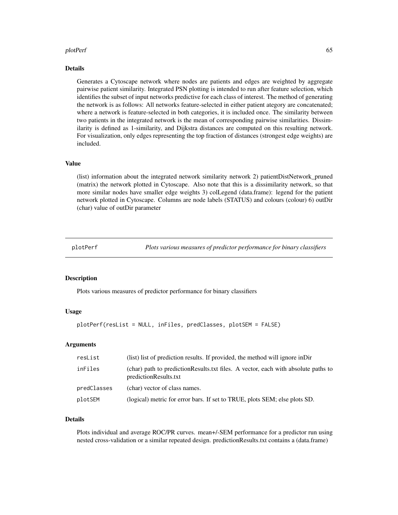#### plotPerf 65

#### Details

Generates a Cytoscape network where nodes are patients and edges are weighted by aggregate pairwise patient similarity. Integrated PSN plotting is intended to run after feature selection, which identifies the subset of input networks predictive for each class of interest. The method of generating the network is as follows: All networks feature-selected in either patient ategory are concatenated; where a network is feature-selected in both categories, it is included once. The similarity between two patients in the integrated network is the mean of corresponding pairwise similarities. Dissimilarity is defined as 1-similarity, and Dijkstra distances are computed on this resulting network. For visualization, only edges representing the top fraction of distances (strongest edge weights) are included.

## Value

(list) information about the integrated network similarity network 2) patientDistNetwork\_pruned (matrix) the network plotted in Cytoscape. Also note that this is a dissimilarity network, so that more similar nodes have smaller edge weights 3) colLegend (data.frame): legend for the patient network plotted in Cytoscape. Columns are node labels (STATUS) and colours (colour) 6) outDir (char) value of outDir parameter

plotPerf *Plots various measures of predictor performance for binary classifiers*

## **Description**

Plots various measures of predictor performance for binary classifiers

## Usage

```
plotPerf(resList = NULL, inFiles, predClasses, plotSEM = FALSE)
```
#### Arguments

| resList     | (list) list of prediction results. If provided, the method will ignore in Dir                              |  |
|-------------|------------------------------------------------------------------------------------------------------------|--|
| inFiles     | (char) path to predictionResults.txt files. A vector, each with absolute paths to<br>predictionResults.txt |  |
| predClasses | (char) vector of class names.                                                                              |  |
| plotSEM     | (logical) metric for error bars. If set to TRUE, plots SEM; else plots SD.                                 |  |

# Details

Plots individual and average ROC/PR curves. mean+/-SEM performance for a predictor run using nested cross-validation or a similar repeated design. predictionResults.txt contains a (data.frame)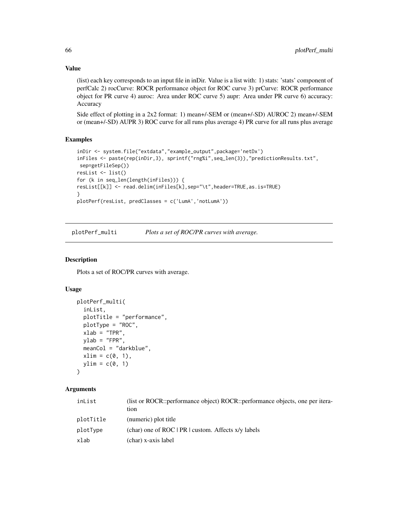Value

(list) each key corresponds to an input file in inDir. Value is a list with: 1) stats: 'stats' component of perfCalc 2) rocCurve: ROCR performance object for ROC curve 3) prCurve: ROCR performance object for PR curve 4) auroc: Area under ROC curve 5) aupr: Area under PR curve 6) accuracy: Accuracy

Side effect of plotting in a 2x2 format: 1) mean+/-SEM or (mean+/-SD) AUROC 2) mean+/-SEM or (mean+/-SD) AUPR 3) ROC curve for all runs plus average 4) PR curve for all runs plus average

# Examples

```
inDir <- system.file("extdata","example_output",package='netDx')
inFiles <- paste(rep(inDir,3), sprintf("rng%i",seq_len(3)),"predictionResults.txt",
sep=getFileSep())
resList <- list()
for (k in seq_len(length(inFiles))) {
resList[[k]] <- read.delim(inFiles[k],sep="\t",header=TRUE,as.is=TRUE)
}
plotPerf(resList, predClasses = c('LumA','notLumA'))
```
plotPerf\_multi *Plots a set of ROC/PR curves with average.*

#### Description

Plots a set of ROC/PR curves with average.

## Usage

```
plotPerf_multi(
  inList,
 plotTitle = "performance",
 plotType = "ROC",
 xlab = "TPR",vlab = "FPR",meanCol = "darkblue",
 xlim = c(0, 1),ylim = c(0, 1))
```
## Arguments

| inList    | (list or ROCR::performance object) ROCR::performance objects, one per itera-<br>tion |
|-----------|--------------------------------------------------------------------------------------|
| plotTitle | (numeric) plot title                                                                 |
| plotType  | $(char)$ one of ROC   PR   custom. Affects $x/y$ labels                              |
| xlab      | (char) x-axis label                                                                  |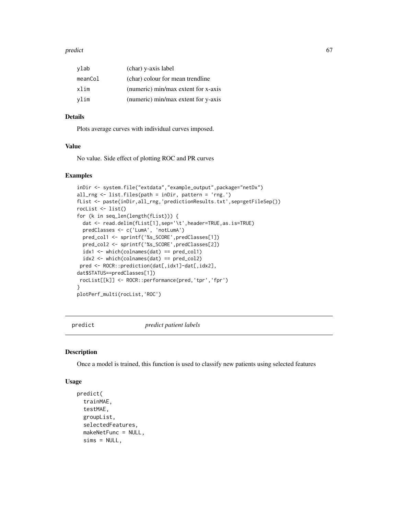#### predict 67

| vlab    | (char) y-axis label                 |
|---------|-------------------------------------|
| meanCol | (char) colour for mean trendline    |
| xlim    | (numeric) min/max extent for x-axis |
| vlim    | (numeric) min/max extent for y-axis |

## Details

Plots average curves with individual curves imposed.

## Value

No value. Side effect of plotting ROC and PR curves

## Examples

```
inDir <- system.file("extdata","example_output",package="netDx")
all_rng <- list.files(path = inDir, pattern = 'rng.')
fList <- paste(inDir,all_rng,'predictionResults.txt',sep=getFileSep())
rocList <- list()
for (k in seq_len(length(fList))) {
  dat <- read.delim(fList[1],sep='\t',header=TRUE,as.is=TRUE)
  predClasses <- c('LumA', 'notLumA')
  pred_col1 <- sprintf('%s_SCORE',predClasses[1])
  pred_col2 <- sprintf('%s_SCORE',predClasses[2])
  idx1 <- which(colnames(dat) == pred_col1)
  idx2 \leftarrow which(colnames(data) == pred_col2)pred <- ROCR::prediction(dat[,idx1]-dat[,idx2],
dat$STATUS==predClasses[1])
rocList[[k]] <- ROCR::performance(pred,'tpr','fpr')
}
plotPerf_multi(rocList,'ROC')
```
predict *predict patient labels*

#### Description

Once a model is trained, this function is used to classify new patients using selected features

#### Usage

```
predict(
  trainMAE,
  testMAE,
  groupList,
  selectedFeatures,
  makeNetFunc = NULL,
  sims = NULL,
```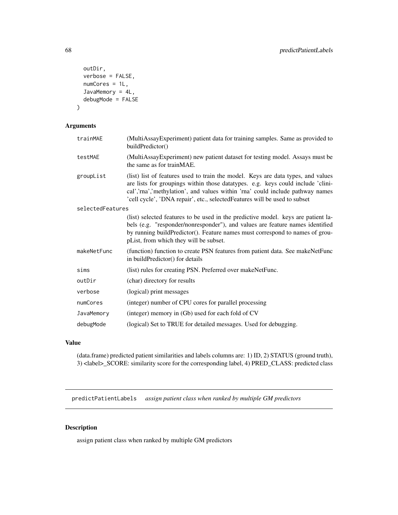```
outDir,
 verbose = FALSE,
 numCores = 1L,
  JavaMemory = 4L,
 debugMode = FALSE
)
```
## Arguments

| trainMAE         | (MultiAssayExperiment) patient data for training samples. Same as provided to                                                                                                                                                                                                                                                     |
|------------------|-----------------------------------------------------------------------------------------------------------------------------------------------------------------------------------------------------------------------------------------------------------------------------------------------------------------------------------|
|                  | buildPredictor()                                                                                                                                                                                                                                                                                                                  |
| testMAE          | (MultiAssayExperiment) new patient dataset for testing model. Assays must be<br>the same as for trainMAE.                                                                                                                                                                                                                         |
| groupList        | (list) list of features used to train the model. Keys are data types, and values<br>are lists for groupings within those datatypes. e.g. keys could include 'clini-<br>cal','rna','methylation', and values within 'rna' could include pathway names<br>'cell cycle', 'DNA repair', etc., selectedFeatures will be used to subset |
| selectedFeatures |                                                                                                                                                                                                                                                                                                                                   |
|                  | (list) selected features to be used in the predictive model. keys are patient la-<br>bels (e.g. "responder/nonresponder"), and values are feature names identified<br>by running buildPredictor(). Feature names must correspond to names of grou-<br>pList, from which they will be subset.                                      |
| makeNetFunc      | (function) function to create PSN features from patient data. See makeNetFunc<br>in buildPredictor() for details                                                                                                                                                                                                                  |
| sims             | (list) rules for creating PSN. Preferred over makeNetFunc.                                                                                                                                                                                                                                                                        |
| outDir           | (char) directory for results                                                                                                                                                                                                                                                                                                      |
| verbose          | (logical) print messages                                                                                                                                                                                                                                                                                                          |
| numCores         | (integer) number of CPU cores for parallel processing                                                                                                                                                                                                                                                                             |
| JavaMemory       | (integer) memory in (Gb) used for each fold of CV                                                                                                                                                                                                                                                                                 |
| debugMode        | (logical) Set to TRUE for detailed messages. Used for debugging.                                                                                                                                                                                                                                                                  |

## Value

(data.frame) predicted patient similarities and labels columns are: 1) ID, 2) STATUS (ground truth), 3) <label>\_SCORE: similarity score for the corresponding label, 4) PRED\_CLASS: predicted class

predictPatientLabels *assign patient class when ranked by multiple GM predictors*

# Description

assign patient class when ranked by multiple GM predictors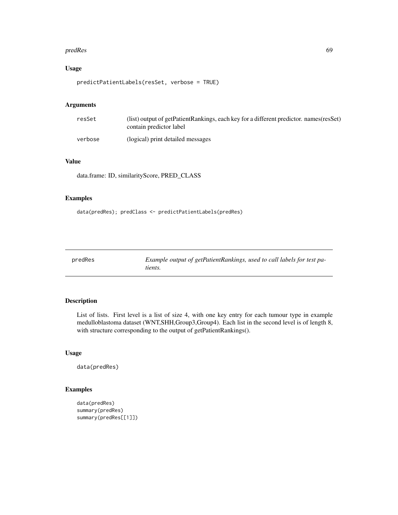#### predRes 69

# Usage

```
predictPatientLabels(resSet, verbose = TRUE)
```
## Arguments

| resSet  | (list) output of getPatientRankings, each key for a different predictor. names (resSet)<br>contain predictor label |
|---------|--------------------------------------------------------------------------------------------------------------------|
| verbose | (logical) print detailed messages                                                                                  |

# Value

data.frame: ID, similarityScore, PRED\_CLASS

# Examples

```
data(predRes); predClass <- predictPatientLabels(predRes)
```

| predRes | Example output of getPatientRankings, used to call labels for test pa- |
|---------|------------------------------------------------------------------------|
|         | tients.                                                                |

# Description

List of lists. First level is a list of size 4, with one key entry for each tumour type in example medulloblastoma dataset (WNT,SHH,Group3,Group4). Each list in the second level is of length 8, with structure corresponding to the output of getPatientRankings().

#### Usage

```
data(predRes)
```
# Examples

```
data(predRes)
summary(predRes)
summary(predRes[[1]])
```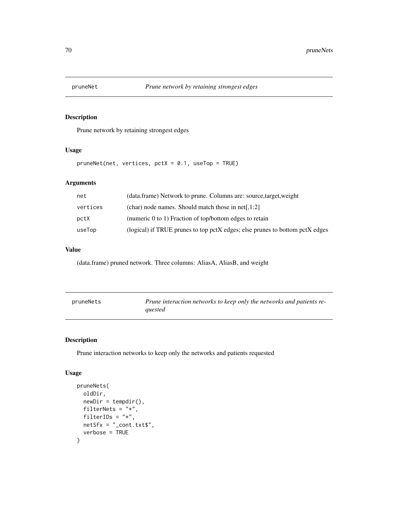Prune network by retaining strongest edges

# Usage

pruneNet(net, vertices, pctX = 0.1, useTop = TRUE)

# Arguments

| net      | (data.frame) Network to prune. Columns are: source, target, weight           |
|----------|------------------------------------------------------------------------------|
| vertices | $(char)$ node names. Should match those in net[,1:2]                         |
| pctX     | (numeric $0$ to 1) Fraction of top/bottom edges to retain                    |
| useTop   | (logical) if TRUE prunes to top pctX edges; else prunes to bottom pctX edges |

# Value

(data.frame) pruned network. Three columns: AliasA, AliasB, and weight

| pruneNets | Prune interaction networks to keep only the networks and patients re- |
|-----------|-----------------------------------------------------------------------|
|           | auested                                                               |

# Description

Prune interaction networks to keep only the networks and patients requested

## Usage

```
pruneNets(
 oldDir,
  newDir = tempdir(),
 filterNets = "*",
 filterIDs = "*",
 netSfx = "cont.txt$",verbose = TRUE
\mathcal{L}
```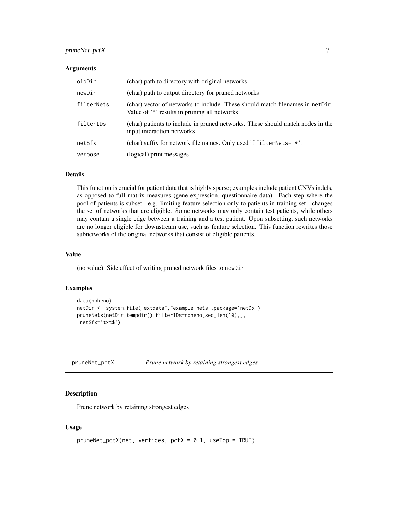# pruneNet\_pctX 71

#### Arguments

| oldDir     | (char) path to directory with original networks                                                                               |
|------------|-------------------------------------------------------------------------------------------------------------------------------|
| newDir     | (char) path to output directory for pruned networks                                                                           |
| filterNets | (char) vector of networks to include. These should match filenames in netDir.<br>Value of '*' results in pruning all networks |
| filterIDs  | (char) patients to include in pruned networks. These should match nodes in the<br>input interaction networks                  |
| netSfx     | (char) suffix for network file names. Only used if filterNets='*'.                                                            |
| verbose    | (logical) print messages                                                                                                      |

## Details

This function is crucial for patient data that is highly sparse; examples include patient CNVs indels, as opposed to full matrix measures (gene expression, questionnaire data). Each step where the pool of patients is subset - e.g. limiting feature selection only to patients in training set - changes the set of networks that are eligible. Some networks may only contain test patients, while others may contain a single edge between a training and a test patient. Upon subsetting, such networks are no longer eligible for downstream use, such as feature selection. This function rewrites those subnetworks of the original networks that consist of eligible patients.

## Value

(no value). Side effect of writing pruned network files to newDir

#### Examples

```
data(npheno)
netDir <- system.file("extdata","example_nets",package='netDx')
pruneNets(netDir,tempdir(),filterIDs=npheno[seq_len(10),],
netSfx='txt$')
```
pruneNet\_pctX *Prune network by retaining strongest edges*

## Description

Prune network by retaining strongest edges

#### Usage

```
pruneNet_pctX(net, vertices, pctX = 0.1, useTop = TRUE)
```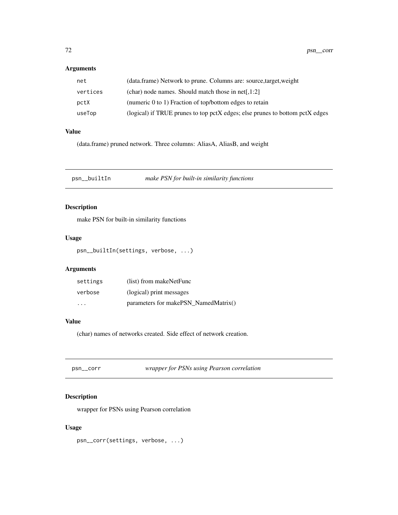# Arguments

| net      | (data.frame) Network to prune. Columns are: source, target, weight           |
|----------|------------------------------------------------------------------------------|
| vertices | (char) node names. Should match those in net[,1:2]                           |
| pctX     | (numeric $0$ to 1) Fraction of top/bottom edges to retain                    |
| useTop   | (logical) if TRUE prunes to top pctX edges; else prunes to bottom pctX edges |

# Value

(data.frame) pruned network. Three columns: AliasA, AliasB, and weight

psn\_\_builtIn *make PSN for built-in similarity functions*

# Description

make PSN for built-in similarity functions

## Usage

psn\_\_builtIn(settings, verbose, ...)

# Arguments

| settings | (list) from makeNetFunc              |
|----------|--------------------------------------|
| verbose  | (logical) print messages             |
| .        | parameters for makePSN NamedMatrix() |

# Value

(char) names of networks created. Side effect of network creation.

| psn__corr | wrapper for PSNs using Pearson correlation |
|-----------|--------------------------------------------|
|-----------|--------------------------------------------|

# Description

wrapper for PSNs using Pearson correlation

# Usage

psn\_\_corr(settings, verbose, ...)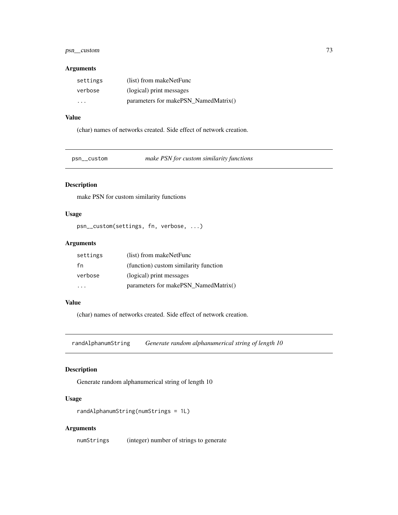# <span id="page-72-0"></span>psn\_\_custom 73

#### Arguments

| settings | (list) from makeNetFunc              |
|----------|--------------------------------------|
| verbose  | (logical) print messages             |
| .        | parameters for makePSN_NamedMatrix() |

# Value

(char) names of networks created. Side effect of network creation.

psn\_\_custom *make PSN for custom similarity functions*

# Description

make PSN for custom similarity functions

# Usage

```
psn__custom(settings, fn, verbose, ...)
```
# Arguments

| settings | (list) from makeNetFunc               |
|----------|---------------------------------------|
| fn       | (function) custom similarity function |
| verbose  | (logical) print messages              |
|          | parameters for makePSN NamedMatrix()  |

# Value

(char) names of networks created. Side effect of network creation.

randAlphanumString *Generate random alphanumerical string of length 10*

# Description

Generate random alphanumerical string of length 10

# Usage

```
randAlphanumString(numStrings = 1L)
```
# Arguments

numStrings (integer) number of strings to generate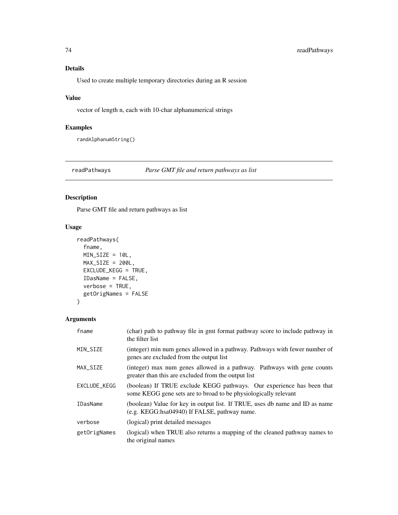# <span id="page-73-0"></span>Details

Used to create multiple temporary directories during an R session

# Value

vector of length n, each with 10-char alphanumerical strings

# Examples

randAlphanumString()

readPathways *Parse GMT file and return pathways as list*

# Description

Parse GMT file and return pathways as list

# Usage

```
readPathways(
  fname,
 MIN_SIZE = 10L,
 MAX\_SIZE = 200L,EXCLUDE_KEGG = TRUE,
  IDasName = FALSE,
 verbose = TRUE,
 getOrigNames = FALSE
)
```
#### Arguments

| fname           | (char) path to pathway file in gmt format pathway score to include pathway in<br>the filter list                                         |
|-----------------|------------------------------------------------------------------------------------------------------------------------------------------|
| MIN_SIZE        | (integer) min num genes allowed in a pathway. Pathways with fewer number of<br>genes are excluded from the output list                   |
| MAX_SIZE        | (integer) max num genes allowed in a pathway. Pathways with gene counts<br>greater than this are excluded from the output list           |
| EXCLUDE_KEGG    | (boolean) If TRUE exclude KEGG pathways. Our experience has been that<br>some KEGG gene sets are to broad to be physiologically relevant |
| <b>IDasName</b> | (boolean) Value for key in output list. If TRUE, uses db name and ID as name<br>(e.g. KEGG:hsa04940) If FALSE, pathway name.             |
| verbose         | (logical) print detailed messages                                                                                                        |
| getOrigNames    | (logical) when TRUE also returns a mapping of the cleaned pathway names to<br>the original names                                         |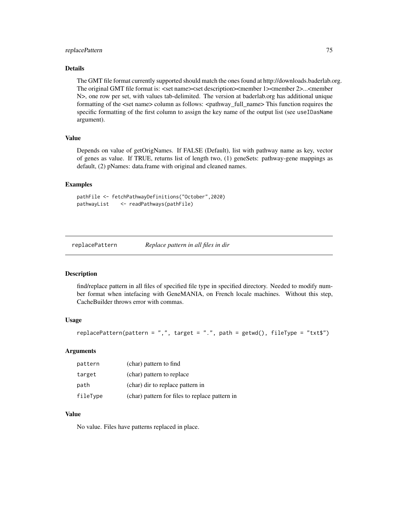# <span id="page-74-0"></span>replacePattern 75

# Details

The GMT file format currently supported should match the ones found at http://downloads.baderlab.org. The original GMT file format is: <set name><set description><member 1><member 2>...<member N>, one row per set, with values tab-delimited. The version at baderlab.org has additional unique formatting of the <set name> column as follows: <pathway\_full\_name> This function requires the specific formatting of the first column to assign the key name of the output list (see useIDasName argument).

#### Value

Depends on value of getOrigNames. If FALSE (Default), list with pathway name as key, vector of genes as value. If TRUE, returns list of length two, (1) geneSets: pathway-gene mappings as default, (2) pNames: data.frame with original and cleaned names.

#### Examples

```
pathFile <- fetchPathwayDefinitions("October",2020)
pathwayList <- readPathways(pathFile)
```
replacePattern *Replace pattern in all files in dir*

#### Description

find/replace pattern in all files of specified file type in specified directory. Needed to modify number format when intefacing with GeneMANIA, on French locale machines. Without this step, CacheBuilder throws error with commas.

### Usage

```
replacePattern(pattern = ",", target = ".", path = getwd(), fileType = "txt$")
```
#### Arguments

| pattern  | (char) pattern to find                         |
|----------|------------------------------------------------|
| target   | (char) pattern to replace                      |
| path     | (char) dir to replace pattern in               |
| fileType | (char) pattern for files to replace pattern in |

#### Value

No value. Files have patterns replaced in place.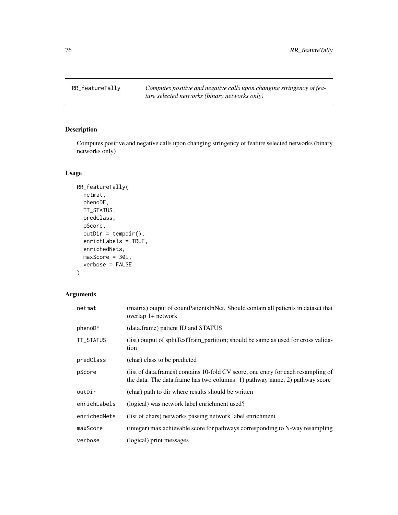<span id="page-75-0"></span>RR\_featureTally *Computes positive and negative calls upon changing stringency of feature selected networks (binary networks only)*

# Description

Computes positive and negative calls upon changing stringency of feature selected networks (binary networks only)

# Usage

```
RR_featureTally(
 netmat,
 phenoDF,
 TT_STATUS,
 predClass,
 pScore,
 outDir = tempdir(),enrichLabels = TRUE,
 enrichedNets,
 maxScore = 30L,
  verbose = FALSE
\mathcal{L}
```
# Arguments

| netmat       | (matrix) output of countPatientsInNet. Should contain all patients in dataset that<br>overlap 1+ network                                                          |
|--------------|-------------------------------------------------------------------------------------------------------------------------------------------------------------------|
| phenoDF      | (data.frame) patient ID and STATUS                                                                                                                                |
| TT_STATUS    | (list) output of splitTestTrain_partition; should be same as used for cross valida-<br>tion                                                                       |
| predClass    | (char) class to be predicted                                                                                                                                      |
| pScore       | (list of data.frames) contains 10-fold CV score, one entry for each resampling of<br>the data. The data. frame has two columns: 1) pathway name, 2) pathway score |
| outDir       | (char) path to dir where results should be written                                                                                                                |
| enrichLabels | (logical) was network label enrichment used?                                                                                                                      |
| enrichedNets | (list of chars) networks passing network label enrichment                                                                                                         |
| maxScore     | (integer) max achievable score for pathways corresponding to N-way resampling                                                                                     |
| verbose      | (logical) print messages                                                                                                                                          |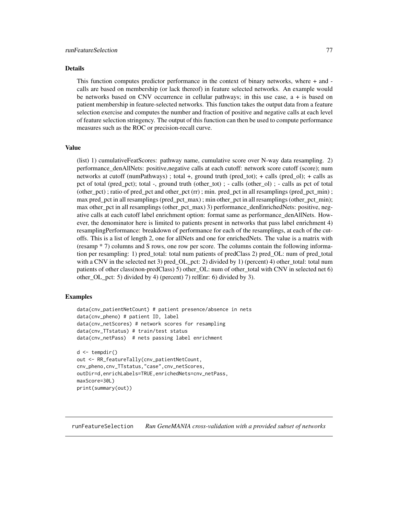#### <span id="page-76-0"></span>Details

This function computes predictor performance in the context of binary networks, where + and calls are based on membership (or lack thereof) in feature selected networks. An example would be networks based on CNV occurrence in cellular pathways; in this use case, a + is based on patient membership in feature-selected networks. This function takes the output data from a feature selection exercise and computes the number and fraction of positive and negative calls at each level of feature selection stringency. The output of this function can then be used to compute performance measures such as the ROC or precision-recall curve.

#### Value

(list) 1) cumulativeFeatScores: pathway name, cumulative score over N-way data resampling. 2) performance\_denAllNets: positive,negative calls at each cutoff: network score cutoff (score); num networks at cutoff (numPathways) ; total +, ground truth (pred\_tot); + calls (pred\_ol); + calls as pct of total (pred\_pct); total -, ground truth (other\_tot) ; - calls (other\_ol) ; - calls as pct of total (other\_pct) ; ratio of pred\_pct and other\_pct (rr) ; min. pred\_pct in all resamplings (pred\_pct\_min) ; max pred\_pct in all resamplings (pred\_pct\_max) ; min other\_pct in all resamplings (other\_pct\_min); max other\_pct in all resamplings (other\_pct\_max) 3) performance\_denEnrichedNets: positive, negative calls at each cutoff label enrichment option: format same as performance\_denAllNets. However, the denominator here is limited to patients present in networks that pass label enrichment 4) resamplingPerformance: breakdown of performance for each of the resamplings, at each of the cutoffs. This is a list of length 2, one for allNets and one for enrichedNets. The value is a matrix with (resamp \* 7) columns and S rows, one row per score. The columns contain the following information per resampling: 1) pred\_total: total num patients of predClass 2) pred\_OL: num of pred\_total with a CNV in the selected net 3) pred OL pct: 2) divided by 1) (percent) 4) other total: total num patients of other class(non-predClass) 5) other OL: num of other total with CNV in selected net 6) other\_OL\_pct: 5) divided by 4) (percent) 7) relEnr: 6) divided by 3).

## Examples

```
data(cnv_patientNetCount) # patient presence/absence in nets
data(cnv_pheno) # patient ID, label
data(cnv_netScores) # network scores for resampling
data(cnv_TTstatus) # train/test status
data(cnv_netPass) # nets passing label enrichment
d <- tempdir()
out <- RR_featureTally(cnv_patientNetCount,
cnv_pheno,cnv_TTstatus,"case",cnv_netScores,
outDir=d,enrichLabels=TRUE,enrichedNets=cnv_netPass,
maxScore=30L)
print(summary(out))
```
runFeatureSelection *Run GeneMANIA cross-validation with a provided subset of networks*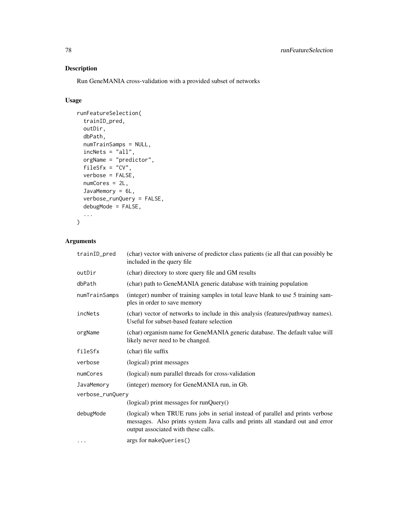# Description

Run GeneMANIA cross-validation with a provided subset of networks

# Usage

```
runFeatureSelection(
  trainID_pred,
 outDir,
 dbPath,
 numTrainSamps = NULL,
  inchets = "all",orgName = "predictor",
  fileSfx = "CV",verbose = FALSE,
 numCores = 2L,
 JavaMemory = 6L,
  verbose_runQuery = FALSE,
 debugMode = FALSE,
  ...
\mathcal{L}
```
# Arguments

| trainID_pred     | (char) vector with universe of predictor class patients (ie all that can possibly be<br>included in the query file                                                                                     |  |
|------------------|--------------------------------------------------------------------------------------------------------------------------------------------------------------------------------------------------------|--|
| outDir           | (char) directory to store query file and GM results                                                                                                                                                    |  |
| dbPath           | (char) path to GeneMANIA generic database with training population                                                                                                                                     |  |
| numTrainSamps    | (integer) number of training samples in total leave blank to use 5 training sam-<br>ples in order to save memory                                                                                       |  |
| incNets          | (char) vector of networks to include in this analysis (features/pathway names).<br>Useful for subset-based feature selection                                                                           |  |
| orgName          | (char) organism name for GeneMANIA generic database. The default value will<br>likely never need to be changed.                                                                                        |  |
| fileSfx          | (char) file suffix                                                                                                                                                                                     |  |
| verbose          | (logical) print messages                                                                                                                                                                               |  |
| numCores         | (logical) num parallel threads for cross-validation                                                                                                                                                    |  |
| JavaMemory       | (integer) memory for GeneMANIA run, in Gb.                                                                                                                                                             |  |
| verbose_runQuery |                                                                                                                                                                                                        |  |
|                  | $(logical)$ print messages for runQuery $()$                                                                                                                                                           |  |
| debugMode        | (logical) when TRUE runs jobs in serial instead of parallel and prints verbose<br>messages. Also prints system Java calls and prints all standard out and error<br>output associated with these calls. |  |
| $\cdots$         | args for makeQueries()                                                                                                                                                                                 |  |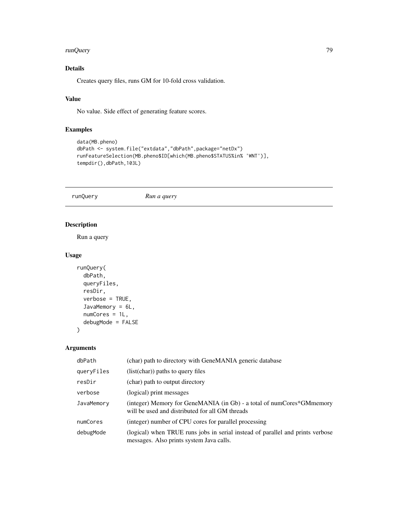#### <span id="page-78-0"></span>runQuery 79

# Details

Creates query files, runs GM for 10-fold cross validation.

# Value

No value. Side effect of generating feature scores.

# Examples

```
data(MB.pheno)
dbPath <- system.file("extdata","dbPath",package="netDx")
runFeatureSelection(MB.pheno$ID[which(MB.pheno$STATUS%in% 'WNT')],
tempdir(),dbPath,103L)
```
runQuery *Run a query*

# Description

Run a query

# Usage

```
runQuery(
  dbPath,
  queryFiles,
  resDir,
  verbose = TRUE,
  JavaMemory = 6L,
  numCores = 1L,
  debugMode = FALSE
\mathcal{L}
```
# Arguments

| dbPath     | (char) path to directory with GeneMANIA generic database                                                                   |
|------------|----------------------------------------------------------------------------------------------------------------------------|
| queryFiles | $(list(char))$ paths to query files                                                                                        |
| resDir     | (char) path to output directory                                                                                            |
| verbose    | (logical) print messages                                                                                                   |
| JavaMemory | (integer) Memory for GeneMANIA (in Gb) - a total of numCores*GMmemory<br>will be used and distributed for all GM threads   |
| numCores   | (integer) number of CPU cores for parallel processing                                                                      |
| debugMode  | (logical) when TRUE runs jobs in serial instead of parallel and prints verbose<br>messages. Also prints system Java calls. |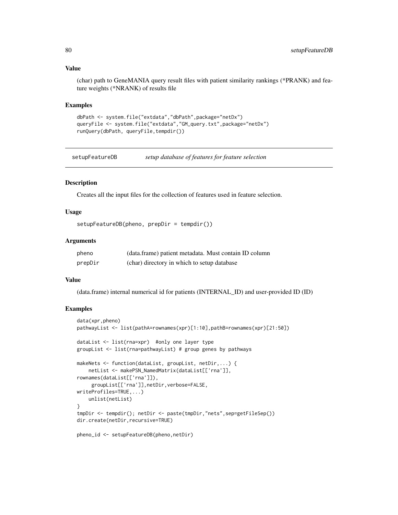# Value

(char) path to GeneMANIA query result files with patient similarity rankings (\*PRANK) and feature weights (\*NRANK) of results file

#### Examples

```
dbPath <- system.file("extdata","dbPath",package="netDx")
queryFile <- system.file("extdata","GM_query.txt",package="netDx")
runQuery(dbPath, queryFile,tempdir())
```
setupFeatureDB *setup database of features for feature selection*

# **Description**

Creates all the input files for the collection of features used in feature selection.

# Usage

```
setupFeatureDB(pheno, prepDir = tempdir())
```
## **Arguments**

| pheno   | (data.frame) patient metadata. Must contain ID column |
|---------|-------------------------------------------------------|
| prepDir | (char) directory in which to setup database           |

# Value

(data.frame) internal numerical id for patients (INTERNAL\_ID) and user-provided ID (ID)

#### Examples

```
data(xpr,pheno)
pathwayList <- list(pathA=rownames(xpr)[1:10],pathB=rownames(xpr)[21:50])
dataList <- list(rna=xpr) #only one layer type
groupList <- list(rna=pathwayList) # group genes by pathways
makeNets <- function(dataList, groupList, netDir,...) {
   netList <- makePSN_NamedMatrix(dataList[['rna']],
rownames(dataList[['rna']]),
     groupList[['rna']],netDir,verbose=FALSE,
writeProfiles=TRUE,...)
   unlist(netList)
}
tmpDir <- tempdir(); netDir <- paste(tmpDir,"nets",sep=getFileSep())
dir.create(netDir,recursive=TRUE)
pheno_id <- setupFeatureDB(pheno,netDir)
```
<span id="page-79-0"></span>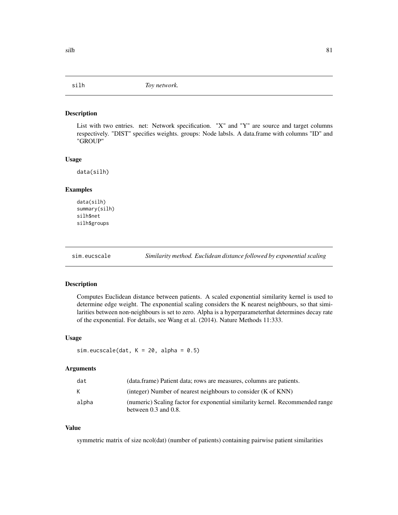<span id="page-80-0"></span>

#### Description

List with two entries. net: Network specification. "X" and "Y" are source and target columns respectively. "DIST" specifies weights. groups: Node labsls. A data.frame with columns "ID" and "GROUP"

#### Usage

data(silh)

# Examples

```
data(silh)
summary(silh)
silh$net
silh$groups
```
sim.eucscale *Similarity method. Euclidean distance followed by exponential scaling*

#### Description

Computes Euclidean distance between patients. A scaled exponential similarity kernel is used to determine edge weight. The exponential scaling considers the K nearest neighbours, so that similarities between non-neighbours is set to zero. Alpha is a hyperparameterthat determines decay rate of the exponential. For details, see Wang et al. (2014). Nature Methods 11:333.

#### Usage

```
sim.eucscale(dat, K = 20, alpha = 0.5)
```
#### Arguments

| dat   | (data.frame) Patient data; rows are measures, columns are patients.                                        |
|-------|------------------------------------------------------------------------------------------------------------|
| К     | (integer) Number of nearest neighbours to consider (K of KNN)                                              |
| alpha | (numeric) Scaling factor for exponential similarity kernel. Recommended range<br>between $0.3$ and $0.8$ . |

# Value

symmetric matrix of size ncol(dat) (number of patients) containing pairwise patient similarities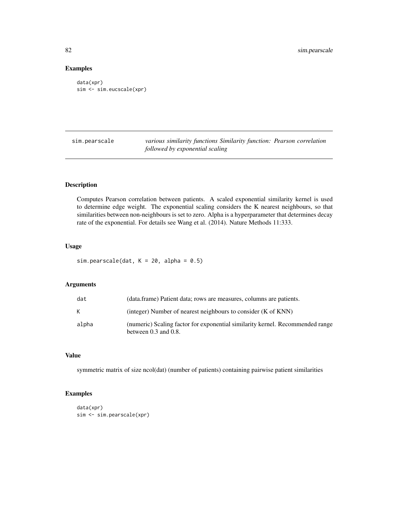# Examples

```
data(xpr)
sim <- sim.eucscale(xpr)
```
sim.pearscale *various similarity functions Similarity function: Pearson correlation followed by exponential scaling*

# Description

Computes Pearson correlation between patients. A scaled exponential similarity kernel is used to determine edge weight. The exponential scaling considers the K nearest neighbours, so that similarities between non-neighbours is set to zero. Alpha is a hyperparameter that determines decay rate of the exponential. For details see Wang et al. (2014). Nature Methods 11:333.

# Usage

```
sim.pearscale(dat, K = 20, alpha = 0.5)
```
# Arguments

| dat   | (data.frame) Patient data; rows are measures, columns are patients.                                        |
|-------|------------------------------------------------------------------------------------------------------------|
| K     | (integer) Number of nearest neighbours to consider (K of KNN)                                              |
| alpha | (numeric) Scaling factor for exponential similarity kernel. Recommended range<br>between $0.3$ and $0.8$ . |

## Value

symmetric matrix of size ncol(dat) (number of patients) containing pairwise patient similarities

# Examples

```
data(xpr)
sim <- sim.pearscale(xpr)
```
<span id="page-81-0"></span>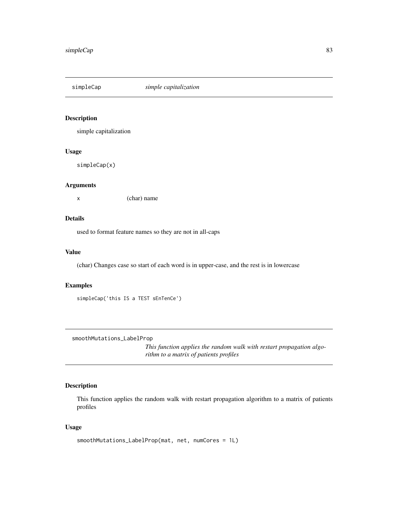<span id="page-82-0"></span>

# Description

simple capitalization

#### Usage

simpleCap(x)

#### Arguments

x (char) name

# Details

used to format feature names so they are not in all-caps

#### Value

(char) Changes case so start of each word is in upper-case, and the rest is in lowercase

# Examples

```
simpleCap('this IS a TEST sEnTenCe')
```
smoothMutations\_LabelProp

*This function applies the random walk with restart propagation algorithm to a matrix of patients profiles*

# Description

This function applies the random walk with restart propagation algorithm to a matrix of patients profiles

```
smoothMutations_LabelProp(mat, net, numCores = 1L)
```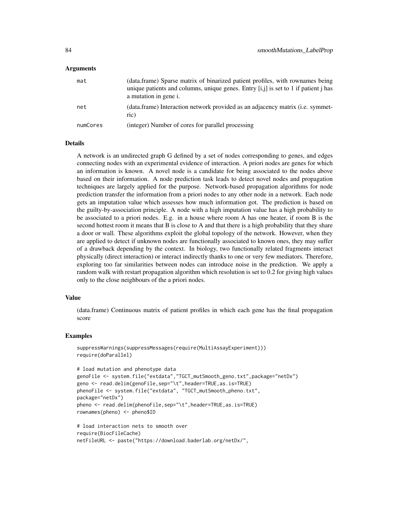#### Arguments

| mat      | (data.frame) Sparse matrix of binarized patient profiles, with rownames being<br>unique patients and columns, unique genes. Entry $[i, j]$ is set to 1 if patient j has<br>a mutation in gene i. |
|----------|--------------------------------------------------------------------------------------------------------------------------------------------------------------------------------------------------|
| net      | (data.frame) Interaction network provided as an adjacency matrix ( <i>i.e.</i> symmet-<br>ric)                                                                                                   |
| numCores | (integer) Number of cores for parallel processing                                                                                                                                                |

# **Details**

A network is an undirected graph G defined by a set of nodes corresponding to genes, and edges connecting nodes with an experimental evidence of interaction. A priori nodes are genes for which an information is known. A novel node is a candidate for being associated to the nodes above based on their information. A node prediction task leads to detect novel nodes and propagation techniques are largely applied for the purpose. Network-based propagation algorithms for node prediction transfer the information from a priori nodes to any other node in a network. Each node gets an imputation value which assesses how much information got. The prediction is based on the guilty-by-association principle. A node with a high imputation value has a high probability to be associated to a priori nodes. E.g. in a house where room A has one heater, if room B is the second hottest room it means that B is close to A and that there is a high probability that they share a door or wall. These algorithms exploit the global topology of the network. However, when they are applied to detect if unknown nodes are functionally associated to known ones, they may suffer of a drawback depending by the context. In biology, two functionally related fragments interact physically (direct interaction) or interact indirectly thanks to one or very few mediators. Therefore, exploring too far similarities between nodes can introduce noise in the prediction. We apply a random walk with restart propagation algorithm which resolution is set to 0.2 for giving high values only to the close neighbours of the a priori nodes.

#### Value

(data.frame) Continuous matrix of patient profiles in which each gene has the final propagation score

#### Examples

```
suppressWarnings(suppressMessages(require(MultiAssayExperiment)))
require(doParallel)
```
netFileURL <- paste("https://download.baderlab.org/netDx/",

```
# load mutation and phenotype data
genoFile <- system.file("extdata","TGCT_mutSmooth_geno.txt",package="netDx")
geno <- read.delim(genoFile,sep="\t",header=TRUE,as.is=TRUE)
phenoFile <- system.file("extdata", "TGCT_mutSmooth_pheno.txt",
package="netDx")
pheno <- read.delim(phenoFile,sep="\t",header=TRUE,as.is=TRUE)
rownames(pheno) <- pheno$ID
# load interaction nets to smooth over
require(BiocFileCache)
```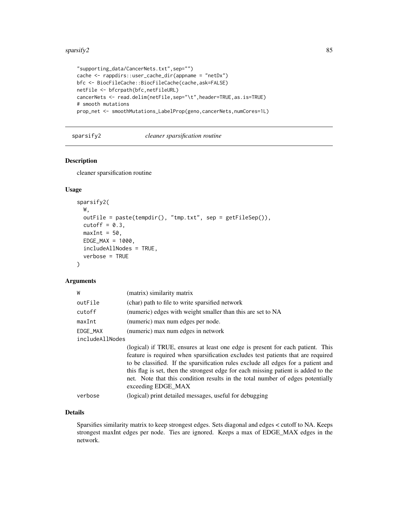#### <span id="page-84-0"></span>sparsify 2  $\frac{85}{2}$

```
"supporting_data/CancerNets.txt",sep="")
cache <- rappdirs::user_cache_dir(appname = "netDx")
bfc <- BiocFileCache::BiocFileCache(cache,ask=FALSE)
netFile <- bfcrpath(bfc,netFileURL)
cancerNets <- read.delim(netFile,sep="\t",header=TRUE,as.is=TRUE)
# smooth mutations
prop_net <- smoothMutations_LabelProp(geno,cancerNets,numCores=1L)
```
sparsify2 *cleaner sparsification routine*

# Description

cleaner sparsification routine

# Usage

```
sparsify2(
 W,
 outFile = paste(tempdir(), "tmp.txt", sep = getFileSep()),
 cutoff = 0.3,
 maxInt = 50,
 EDGE\_MAX = 1000,includeAllNodes = TRUE,
  verbose = TRUE
)
```
## Arguments

| W               | (matrix) similarity matrix                                                                                                                                                                                                                                                                                                                                                                                                                            |
|-----------------|-------------------------------------------------------------------------------------------------------------------------------------------------------------------------------------------------------------------------------------------------------------------------------------------------------------------------------------------------------------------------------------------------------------------------------------------------------|
| outFile         | (char) path to file to write sparsified network                                                                                                                                                                                                                                                                                                                                                                                                       |
| cutoff          | (numeric) edges with weight smaller than this are set to NA                                                                                                                                                                                                                                                                                                                                                                                           |
| maxInt          | (numeric) max num edges per node.                                                                                                                                                                                                                                                                                                                                                                                                                     |
| EDGE MAX        | (numeric) max num edges in network                                                                                                                                                                                                                                                                                                                                                                                                                    |
| includeAllNodes |                                                                                                                                                                                                                                                                                                                                                                                                                                                       |
|                 | (logical) if TRUE, ensures at least one edge is present for each patient. This<br>feature is required when sparsification excludes test patients that are required<br>to be classified. If the sparsification rules exclude all edges for a patient and<br>this flag is set, then the strongest edge for each missing patient is added to the<br>net. Note that this condition results in the total number of edges potentially<br>exceeding EDGE MAX |
| verbose         | (logical) print detailed messages, useful for debugging                                                                                                                                                                                                                                                                                                                                                                                               |
|                 |                                                                                                                                                                                                                                                                                                                                                                                                                                                       |

# Details

Sparsifies similarity matrix to keep strongest edges. Sets diagonal and edges < cutoff to NA. Keeps strongest maxInt edges per node. Ties are ignored. Keeps a max of EDGE\_MAX edges in the network.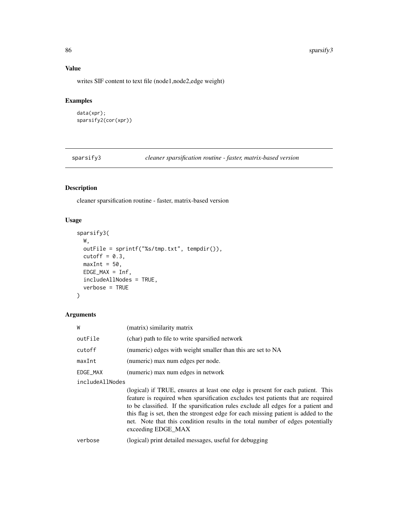#### 86 sparsify3

# Value

writes SIF content to text file (node1,node2,edge weight)

# Examples

```
data(xpr);
sparsify2(cor(xpr))
```
sparsify3 *cleaner sparsification routine - faster, matrix-based version*

# Description

cleaner sparsification routine - faster, matrix-based version

## Usage

```
sparsify3(
 W,
 outFile = sprintf("%s/tmp.txt", tempdir()),
 cutoff = 0.3,
 maxInt = 50,
 EDGE\_MAX = Inf,includeAllNodes = TRUE,
  verbose = TRUE
)
```
## Arguments

| W               | (matrix) similarity matrix                                  |
|-----------------|-------------------------------------------------------------|
| outFile         | (char) path to file to write sparsified network             |
| cutoff          | (numeric) edges with weight smaller than this are set to NA |
| maxInt          | (numeric) max num edges per node.                           |
| EDGE_MAX        | (numeric) max num edges in network                          |
| includeAllNodes |                                                             |

(logical) if TRUE, ensures at least one edge is present for each patient. This feature is required when sparsification excludes test patients that are required to be classified. If the sparsification rules exclude all edges for a patient and this flag is set, then the strongest edge for each missing patient is added to the net. Note that this condition results in the total number of edges potentially exceeding EDGE\_MAX

```
verbose (logical) print detailed messages, useful for debugging
```
<span id="page-85-0"></span>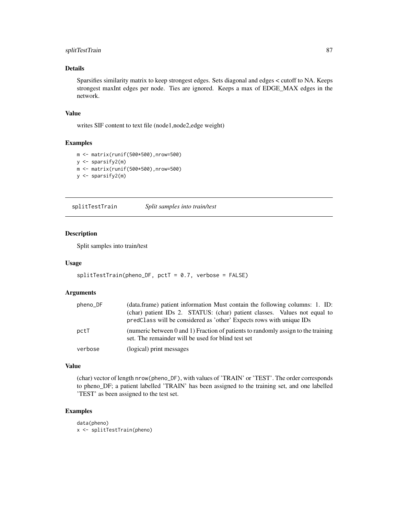# <span id="page-86-0"></span>splitTestTrain 87

# Details

Sparsifies similarity matrix to keep strongest edges. Sets diagonal and edges < cutoff to NA. Keeps strongest maxInt edges per node. Ties are ignored. Keeps a max of EDGE\_MAX edges in the network.

#### Value

writes SIF content to text file (node1,node2,edge weight)

# Examples

```
m <- matrix(runif(500*500),nrow=500)
y <- sparsify2(m)
m <- matrix(runif(500*500),nrow=500)
y <- sparsify2(m)
```
splitTestTrain *Split samples into train/test*

#### Description

Split samples into train/test

#### Usage

```
splitTestTrain(pheno_DF, pctT = 0.7, verbose = FALSE)
```
#### Arguments

| pheno_DF | (data.frame) patient information Must contain the following columns: 1. ID:                                                             |
|----------|-----------------------------------------------------------------------------------------------------------------------------------------|
|          | (char) patient IDs 2. STATUS: (char) patient classes. Values not equal to                                                               |
|          | predClass will be considered as 'other' Expects rows with unique IDs                                                                    |
| pctT     | (numeric between 0 and 1) Fraction of patients to randomly assign to the training<br>set. The remainder will be used for blind test set |
| verbose  | (logical) print messages                                                                                                                |

# Value

(char) vector of length nrow(pheno\_DF), with values of 'TRAIN' or 'TEST'. The order corresponds to pheno\_DF; a patient labelled 'TRAIN' has been assigned to the training set, and one labelled 'TEST' as been assigned to the test set.

# Examples

```
data(pheno)
x <- splitTestTrain(pheno)
```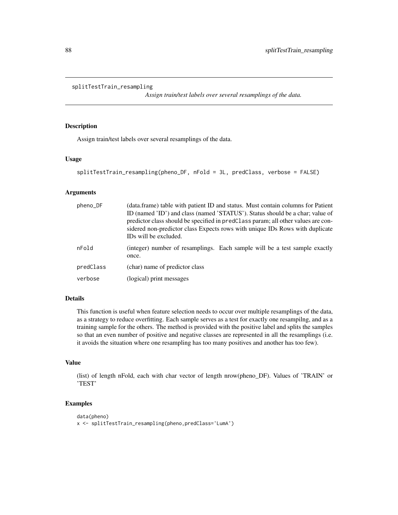```
splitTestTrain_resampling
```
*Assign train/test labels over several resamplings of the data.*

## Description

Assign train/test labels over several resamplings of the data.

#### Usage

```
splitTestTrain_resampling(pheno_DF, nFold = 3L, predClass, verbose = FALSE)
```
## Arguments

| pheno_DF  | (data.frame) table with patient ID and status. Must contain columns for Patient<br>ID (named 'ID') and class (named 'STATUS'). Status should be a char; value of<br>predictor class should be specified in predClass param; all other values are con-<br>sidered non-predictor class Expects rows with unique IDs Rows with duplicate<br>IDs will be excluded. |
|-----------|----------------------------------------------------------------------------------------------------------------------------------------------------------------------------------------------------------------------------------------------------------------------------------------------------------------------------------------------------------------|
| nFold     | (integer) number of resamplings. Each sample will be a test sample exactly<br>once.                                                                                                                                                                                                                                                                            |
| predClass | (char) name of predictor class                                                                                                                                                                                                                                                                                                                                 |
| verbose   | (logical) print messages                                                                                                                                                                                                                                                                                                                                       |

## Details

This function is useful when feature selection needs to occur over multiple resamplings of the data, as a strategy to reduce overfitting. Each sample serves as a test for exactly one resampilng, and as a training sample for the others. The method is provided with the positive label and splits the samples so that an even number of positive and negative classes are represented in all the resamplings (i.e. it avoids the situation where one resampling has too many positives and another has too few).

## Value

(list) of length nFold, each with char vector of length nrow(pheno\_DF). Values of 'TRAIN' or 'TEST'

# Examples

```
data(pheno)
x <- splitTestTrain_resampling(pheno,predClass='LumA')
```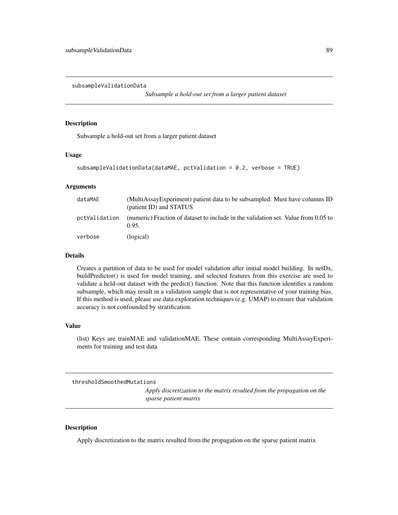<span id="page-88-0"></span>subsampleValidationData

*Subsample a hold-out set from a larger patient dataset*

#### Description

Subsample a hold-out set from a larger patient dataset

#### Usage

```
subsampleValidationData(dataMAE, pctValidation = 0.2, verbose = TRUE)
```
#### Arguments

| dataMAE       | (MultiAssayExperiment) patient data to be subsampled. Must have columns ID<br>(patient ID) and STATUS |
|---------------|-------------------------------------------------------------------------------------------------------|
| pctValidation | (numeric) Fraction of dataset to include in the validation set. Value from 0.05 to<br>0.95.           |
| verbose       | (logical)                                                                                             |

#### Details

Creates a partition of data to be used for model validation after initial model building. In netDx, buildPredictor() is used for model training, and selected features from this exercise are used to validate a held-out dataset with the predict() function. Note that this function identifies a random subsample, which may result in a validation sample that is not representative of your training bias. If this method is used, please use data exploration techniques (e.g. UMAP) to ensure that validation accuracy is not confounded by stratification.

#### Value

(list) Keys are trainMAE and validationMAE. These contain corresponding MultiAssayExperiments for training and test data

thresholdSmoothedMutations

*Apply discretization to the matrix resulted from the propagation on the sparse patient matrix*

#### Description

Apply discretization to the matrix resulted from the propagation on the sparse patient matrix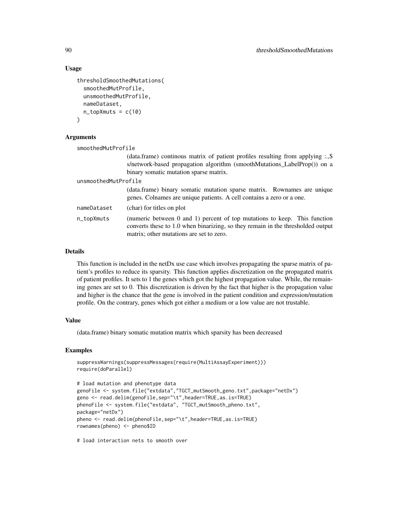#### Usage

```
thresholdSmoothedMutations(
  smoothedMutProfile,
  unsmoothedMutProfile,
 nameDataset,
  n_t topXmuts = c(10)\lambda
```
#### Arguments

| smoothedMutProfile   |                                                                                                                                                                                                          |  |
|----------------------|----------------------------------------------------------------------------------------------------------------------------------------------------------------------------------------------------------|--|
|                      | (data.frame) continous matrix of patient profiles resulting from applying :.,\$<br>s/network-based propagation algorithm (smoothMutations_LabelProp()) on a<br>binary somatic mutation sparse matrix.    |  |
| unsmoothedMutProfile |                                                                                                                                                                                                          |  |
|                      | (data.frame) binary somatic mutation sparse matrix. Rownames are unique<br>genes. Colnames are unique patients. A cell contains a zero or a one.                                                         |  |
| nameDataset          | (char) for titles on plot                                                                                                                                                                                |  |
| n_topXmuts           | (numeric between 0 and 1) percent of top mutations to keep. This function<br>converts these to 1.0 when binarizing, so they remain in the thresholded output<br>matrix; other mutations are set to zero. |  |

#### Details

This function is included in the netDx use case which involves propagating the sparse matrix of patient's profiles to reduce its sparsity. This function applies discretization on the propagated matrix of patient profiles. It sets to 1 the genes which got the highest propagation value. While, the remaining genes are set to 0. This discretization is driven by the fact that higher is the propagation value and higher is the chance that the gene is involved in the patient condition and expression/mutation profile. On the contrary, genes which got either a medium or a low value are not trustable.

# Value

(data.frame) binary somatic mutation matrix which sparsity has been decreased

# Examples

```
suppressWarnings(suppressMessages(require(MultiAssayExperiment)))
require(doParallel)
```

```
# load mutation and phenotype data
genoFile <- system.file("extdata","TGCT_mutSmooth_geno.txt",package="netDx")
geno <- read.delim(genoFile,sep="\t",header=TRUE,as.is=TRUE)
phenoFile <- system.file("extdata", "TGCT_mutSmooth_pheno.txt",
package="netDx")
pheno <- read.delim(phenoFile,sep="\t",header=TRUE,as.is=TRUE)
rownames(pheno) <- pheno$ID
```
# load interaction nets to smooth over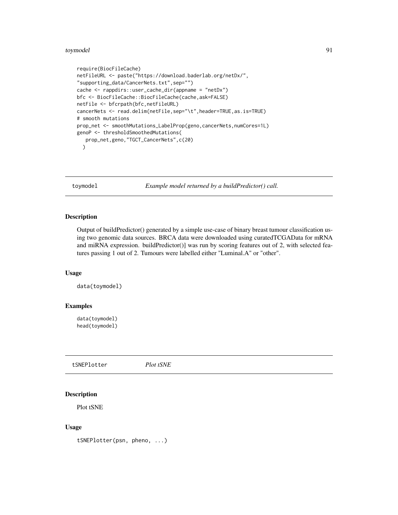#### <span id="page-90-0"></span>toymodel 91

```
require(BiocFileCache)
netFileURL <- paste("https://download.baderlab.org/netDx/",
"supporting_data/CancerNets.txt",sep="")
cache <- rappdirs::user_cache_dir(appname = "netDx")
bfc <- BiocFileCache::BiocFileCache(cache,ask=FALSE)
netFile <- bfcrpath(bfc,netFileURL)
cancerNets <- read.delim(netFile,sep="\t",header=TRUE,as.is=TRUE)
# smooth mutations
prop_net <- smoothMutations_LabelProp(geno,cancerNets,numCores=1L)
genoP <- thresholdSmoothedMutations(
   prop_net,geno,"TGCT_CancerNets",c(20)
  \lambda
```
toymodel *Example model returned by a buildPredictor() call.*

## Description

Output of buildPredictor() generated by a simple use-case of binary breast tumour classification using two genomic data sources. BRCA data were downloaded using curatedTCGAData for mRNA and miRNA expression. buildPredictor() was run by scoring features out of 2, with selected features passing 1 out of 2. Tumours were labelled either "Luminal.A" or "other".

## Usage

data(toymodel)

#### Examples

data(toymodel) head(toymodel)

tSNEPlotter *Plot tSNE*

#### Description

Plot tSNE

#### Usage

tSNEPlotter(psn, pheno, ...)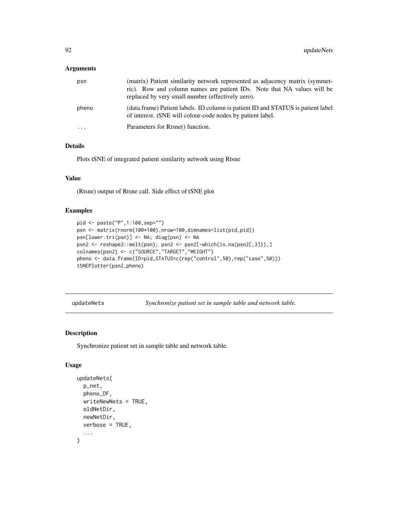#### <span id="page-91-0"></span>Arguments

| psn       | (matrix) Patient similarity network represented as adjacency matrix (symmet-<br>ric). Row and column names are patient IDs. Note that NA values will be<br>replaced by very small number (effectively zero). |
|-----------|--------------------------------------------------------------------------------------------------------------------------------------------------------------------------------------------------------------|
| pheno     | (data.frame) Patient labels. ID column is patient ID and STATUS is patient label<br>of interest. tSNE will colour-code nodes by patient label.                                                               |
| $\ddotsc$ | Parameters for Rtsne() function.                                                                                                                                                                             |

# Details

Plots tSNE of integrated patient similarity network using Rtsne

## Value

(Rtsne) output of Rtsne call. Side effect of tSNE plot

# Examples

```
pid <- paste("P",1:100,sep="")
psn <- matrix(rnorm(100*100),nrow=100,dimnames=list(pid,pid))
psn[lower.tri(psn)] <- NA; diag(psn) <- NA
psn2 <- reshape2::melt(psn); psn2 <- psn2[-which(is.na(psn2[,3])),]
colnames(psn2) <- c("SOURCE","TARGET","WEIGHT")
pheno <- data.frame(ID=pid,STATUS=c(rep("control",50),rep("case",50)))
tSNEPlotter(psn2,pheno)
```
updateNets *Synchronize patient set in sample table and network table.*

# Description

Synchronize patient set in sample table and network table.

```
updateNets(
 p_net,
 pheno_DF,
 writeNewNets = TRUE,
 oldNetDir,
  newNetDir,
  verbose = TRUE,
  ...
)
```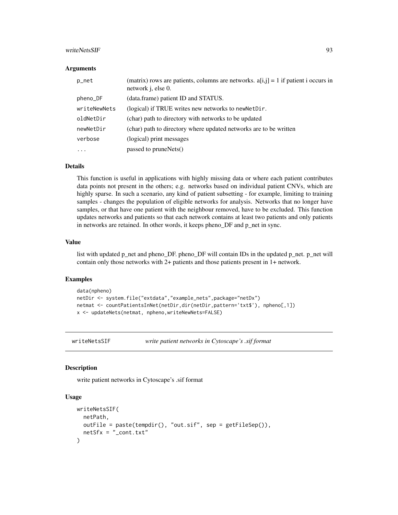#### <span id="page-92-0"></span>writeNetsSIF 93

#### Arguments

| p_net        | (matrix) rows are patients, columns are networks. $a[i,j] = 1$ if patient i occurs in<br>network j, else 0. |
|--------------|-------------------------------------------------------------------------------------------------------------|
| pheno_DF     | (data.frame) patient ID and STATUS.                                                                         |
| writeNewNets | (logical) if TRUE writes new networks to newNetDir.                                                         |
| oldNetDir    | (char) path to directory with networks to be updated                                                        |
| newNetDir    | (char) path to directory where updated networks are to be written                                           |
| verbose      | (logical) print messages                                                                                    |
| $\cdots$     | passed to pruneNets()                                                                                       |

#### Details

This function is useful in applications with highly missing data or where each patient contributes data points not present in the others; e.g. networks based on individual patient CNVs, which are highly sparse. In such a scenario, any kind of patient subsetting - for example, limiting to training samples - changes the population of eligible networks for analysis. Networks that no longer have samples, or that have one patient with the neighbour removed, have to be excluded. This function updates networks and patients so that each network contains at least two patients and only patients in networks are retained. In other words, it keeps pheno\_DF and p\_net in sync.

#### Value

list with updated p\_net and pheno\_DF. pheno\_DF will contain IDs in the updated p\_net. p\_net will contain only those networks with 2+ patients and those patients present in 1+ network.

# Examples

```
data(npheno)
netDir <- system.file("extdata","example_nets",package="netDx")
netmat <- countPatientsInNet(netDir,dir(netDir,pattern='txt$'), npheno[,1])
x <- updateNets(netmat, npheno,writeNewNets=FALSE)
```
writeNetsSIF *write patient networks in Cytoscape's .sif format*

#### Description

write patient networks in Cytoscape's .sif format

```
writeNetsSIF(
 netPath,
 outFile = paste(tempdir(), "out.sif", sep = getFileSep()),
 netSfx = "cont.txt")
```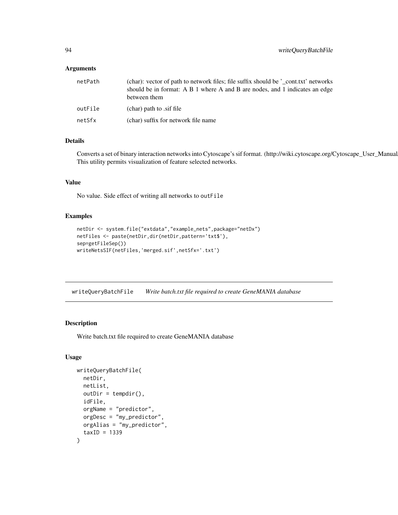## <span id="page-93-0"></span>Arguments

| netPath | (char): vector of path to network files; file suffix should be '_cont.txt' networks<br>should be in format: A B 1 where A and B are nodes, and 1 indicates an edge<br>between them |
|---------|------------------------------------------------------------------------------------------------------------------------------------------------------------------------------------|
| outFile | (char) path to sif file                                                                                                                                                            |
| netSfx  | (char) suffix for network file name                                                                                                                                                |

# Details

Converts a set of binary interaction networks into Cytoscape's sif format. (http://wiki.cytoscape.org/Cytoscape\_User\_Manual This utility permits visualization of feature selected networks.

# Value

No value. Side effect of writing all networks to outFile

#### Examples

```
netDir <- system.file("extdata","example_nets",package="netDx")
netFiles <- paste(netDir,dir(netDir,pattern='txt$'),
sep=getFileSep())
writeNetsSIF(netFiles,'merged.sif',netSfx='.txt')
```
writeQueryBatchFile *Write batch.txt file required to create GeneMANIA database*

# Description

Write batch.txt file required to create GeneMANIA database

```
writeQueryBatchFile(
  netDir,
  netList,
  outDir = tempdir(),idFile,
  orgName = "predictor",
  orgDesc = "my_predictor",
  orgAlias = "my_predictor",
  taxID = 1339)
```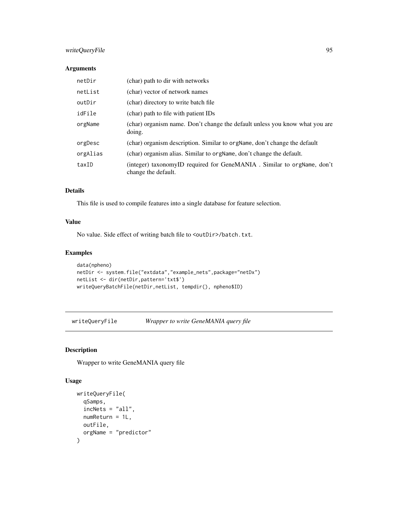# <span id="page-94-0"></span>writeQueryFile 95

## Arguments

| netDir   | (char) path to dir with networks                                                              |
|----------|-----------------------------------------------------------------------------------------------|
| netList  | (char) vector of network names                                                                |
| outDir   | (char) directory to write batch file                                                          |
| idFile   | (char) path to file with patient IDs                                                          |
| orgName  | (char) organism name. Don't change the default unless you know what you are<br>doing.         |
| orgDesc  | (char) organism description. Similar to orgName, don't change the default                     |
| orgAlias | (char) organism alias. Similar to orgName, don't change the default.                          |
| taxID    | (integer) taxonomyID required for GeneMANIA. Similar to orgName, don't<br>change the default. |

# Details

This file is used to compile features into a single database for feature selection.

## Value

No value. Side effect of writing batch file to <outDir>/batch.txt.

# Examples

```
data(npheno)
netDir <- system.file("extdata","example_nets",package="netDx")
netList <- dir(netDir,pattern='txt$')
writeQueryBatchFile(netDir,netList, tempdir(), npheno$ID)
```
writeQueryFile *Wrapper to write GeneMANIA query file*

# Description

Wrapper to write GeneMANIA query file

```
writeQueryFile(
  qSamps,
 inchets = "all",numReturn = 1L,
 outFile,
 orgName = "predictor"
)
```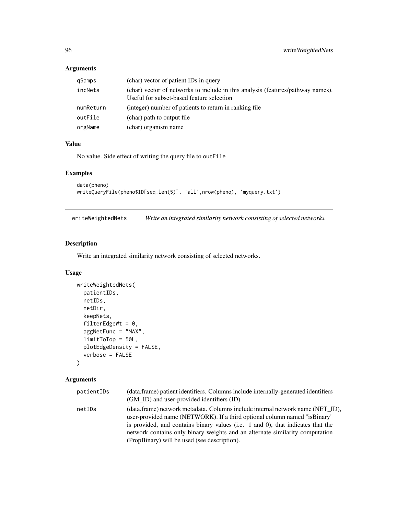# Arguments

| qSamps    | (char) vector of patient IDs in query                                                                                        |
|-----------|------------------------------------------------------------------------------------------------------------------------------|
| incNets   | (char) vector of networks to include in this analysis (features/pathway names).<br>Useful for subset-based feature selection |
| numReturn | (integer) number of patients to return in ranking file                                                                       |
| outFile   | (char) path to output file                                                                                                   |
| orgName   | (char) organism name                                                                                                         |

# Value

No value. Side effect of writing the query file to outFile

## Examples

```
data(pheno)
writeQueryFile(pheno$ID[seq_len(5)], 'all',nrow(pheno), 'myquery.txt')
```
writeWeightedNets *Write an integrated similarity network consisting of selected networks.*

# Description

Write an integrated similarity network consisting of selected networks.

# Usage

```
writeWeightedNets(
 patientIDs,
 netIDs,
 netDir,
  keepNets,
  filterEdgeWt = 0,
  aggNetFunc = "MAX",
  limitToTop = 50L,
 plotEdgeDensity = FALSE,
  verbose = FALSE
```

```
\mathcal{L}
```
# Arguments

| patientIDs | (data.frame) patient identifiers. Columns include internally-generated identifiers<br>(GM_ID) and user-provided identifiers (ID)                                                                                                                                                                                                                                                |
|------------|---------------------------------------------------------------------------------------------------------------------------------------------------------------------------------------------------------------------------------------------------------------------------------------------------------------------------------------------------------------------------------|
| netIDs     | (data.frame) network metadata. Columns include internal network name (NET ID),<br>user-provided name (NETWORK). If a third optional column named "is Binary"<br>is provided, and contains binary values (i.e. 1 and 0), that indicates that the<br>network contains only binary weights and an alternate similarity computation<br>(PropBinary) will be used (see description). |

<span id="page-95-0"></span>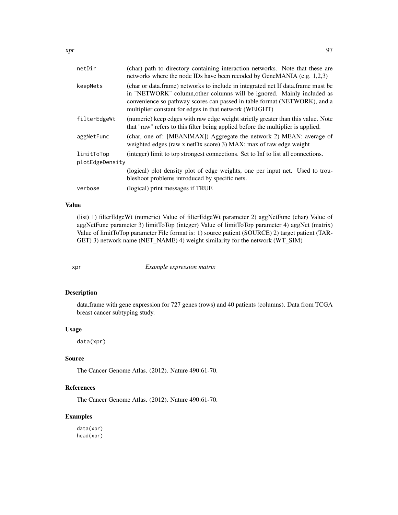<span id="page-96-0"></span>

| netDir          | (char) path to directory containing interaction networks. Note that these are<br>networks where the node IDs have been recoded by GeneMANIA (e.g. 1,2,3)                                                                                                                                          |  |
|-----------------|---------------------------------------------------------------------------------------------------------------------------------------------------------------------------------------------------------------------------------------------------------------------------------------------------|--|
| keepNets        | (char or data.frame) networks to include in integrated net If data.frame must be<br>in "NETWORK" column, other columns will be ignored. Mainly included as<br>convenience so pathway scores can passed in table format (NETWORK), and a<br>multiplier constant for edges in that network (WEIGHT) |  |
| filterEdgeWt    | (numeric) keep edges with raw edge weight strictly greater than this value. Note<br>that "raw" refers to this filter being applied before the multiplier is applied.                                                                                                                              |  |
| aggNetFunc      | (char, one of: [MEANIMAX]) Aggregate the network 2) MEAN: average of<br>weighted edges (raw x netDx score) 3) MAX: max of raw edge weight                                                                                                                                                         |  |
| limitToTop      | (integer) limit to top strongest connections. Set to Inf to list all connections.                                                                                                                                                                                                                 |  |
| plotEdgeDensity |                                                                                                                                                                                                                                                                                                   |  |
|                 | (logical) plot density plot of edge weights, one per input net. Used to trou-<br>bleshoot problems introduced by specific nets.                                                                                                                                                                   |  |
| verbose         | (logical) print messages if TRUE                                                                                                                                                                                                                                                                  |  |

# Value

(list) 1) filterEdgeWt (numeric) Value of filterEdgeWt parameter 2) aggNetFunc (char) Value of aggNetFunc parameter 3) limitToTop (integer) Value of limitToTop parameter 4) aggNet (matrix) Value of limitToTop parameter File format is: 1) source patient (SOURCE) 2) target patient (TAR-GET) 3) network name (NET\_NAME) 4) weight similarity for the network (WT\_SIM)

xpr *Example expression matrix*

# Description

data.frame with gene expression for 727 genes (rows) and 40 patients (columns). Data from TCGA breast cancer subtyping study.

#### Usage

data(xpr)

# Source

The Cancer Genome Atlas. (2012). Nature 490:61-70.

# References

The Cancer Genome Atlas. (2012). Nature 490:61-70.

# Examples

data(xpr) head(xpr)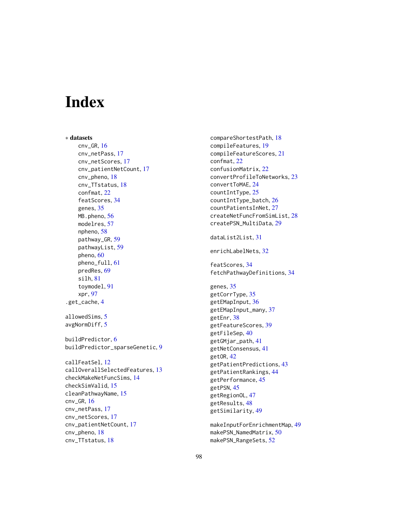# **Index**

∗ datasets cnv\_GR, [16](#page-15-0) cnv\_netPass, [17](#page-16-0) cnv\_netScores, [17](#page-16-0) cnv\_patientNetCount, [17](#page-16-0) cnv\_pheno, [18](#page-17-0) cnv\_TTstatus, [18](#page-17-0) confmat, [22](#page-21-0) featScores, [34](#page-33-0) genes, [35](#page-34-0) MB.pheno, [56](#page-55-0) modelres, [57](#page-56-0) npheno, [58](#page-57-0) pathway\_GR, [59](#page-58-0) pathwayList, [59](#page-58-0) pheno, [60](#page-59-0) pheno\_full, [61](#page-60-0) predRes, [69](#page-68-0) silh, [81](#page-80-0) toymodel, [91](#page-90-0) xpr, [97](#page-96-0) .get\_cache, [4](#page-3-0) allowedSims, [5](#page-4-0) avgNormDiff, [5](#page-4-0) buildPredictor, [6](#page-5-0) buildPredictor\_sparseGenetic, [9](#page-8-0) callFeatSel, [12](#page-11-0) callOverallSelectedFeatures, [13](#page-12-0) checkMakeNetFuncSims, [14](#page-13-0) checkSimValid, [15](#page-14-0) cleanPathwayName, [15](#page-14-0) cnv\_GR, [16](#page-15-0) cnv\_netPass, [17](#page-16-0) cnv\_netScores, [17](#page-16-0) cnv\_patientNetCount, [17](#page-16-0) cnv\_pheno, [18](#page-17-0) cnv\_TTstatus, [18](#page-17-0)

compareShortestPath, [18](#page-17-0) compileFeatures, [19](#page-18-0) compileFeatureScores, [21](#page-20-0) confmat, [22](#page-21-0) confusionMatrix, [22](#page-21-0) convertProfileToNetworks, [23](#page-22-0) convertToMAE, [24](#page-23-0) countIntType, [25](#page-24-0) countIntType\_batch, [26](#page-25-0) countPatientsInNet, [27](#page-26-0) createNetFuncFromSimList, [28](#page-27-0) createPSN\_MultiData, [29](#page-28-0) dataList2List, [31](#page-30-0) enrichLabelNets, [32](#page-31-0) featScores, [34](#page-33-0) fetchPathwayDefinitions, [34](#page-33-0) genes, [35](#page-34-0) getCorrType, [35](#page-34-0) getEMapInput, [36](#page-35-0) getEMapInput\_many, [37](#page-36-0) getEnr, [38](#page-37-0) getFeatureScores, [39](#page-38-0) getFileSep, [40](#page-39-0) getGMjar\_path, [41](#page-40-0) getNetConsensus, [41](#page-40-0) getOR, [42](#page-41-0) getPatientPredictions, [43](#page-42-0) getPatientRankings, [44](#page-43-0) getPerformance, [45](#page-44-0) getPSN, [45](#page-44-0) getRegionOL, [47](#page-46-0) getResults, [48](#page-47-0) getSimilarity, [49](#page-48-0) makeInputForEnrichmentMap, [49](#page-48-0)

makePSN\_NamedMatrix, [50](#page-49-0) makePSN\_RangeSets, [52](#page-51-0)